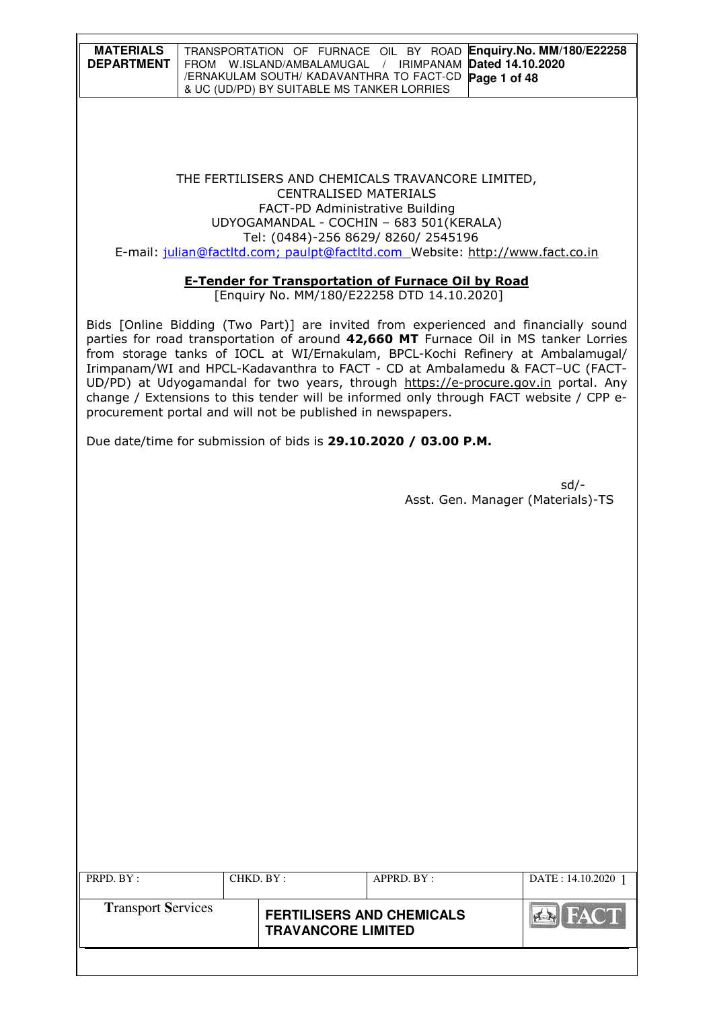| <b>MATERIALS</b><br><b>DEPARTMENT</b> | TRANSPORTATION OF FURNACE OIL BY ROAD Enquiry. No. MM/180/E22258<br>FROM W.ISLAND/AMBALAMUGAL / IRIMPANAM Dated 14.10.2020<br>/ERNAKULAM SOUTH/ KADAVANTHRA TO FACT-CD Page 1 of 48<br>& UC (UD/PD) BY SUITABLE MS TANKER LORRIES |
|---------------------------------------|-----------------------------------------------------------------------------------------------------------------------------------------------------------------------------------------------------------------------------------|
|                                       |                                                                                                                                                                                                                                   |

#### THE FERTILISERS AND CHEMICALS TRAVANCORE LIMITED, CENTRALISED MATERIALS FACT-PD Administrative Building UDYOGAMANDAL - COCHIN – 683 501(KERALA) Tel: (0484)-256 8629/ 8260/ 2545196 E-mail: julian@factltd.com; paulpt@factltd.com Website: http://www.fact.co.in

#### E-Tender for Transportation of Furnace Oil by Road

[Enquiry No. MM/180/E22258 DTD 14.10.2020]

Bids [Online Bidding (Two Part)] are invited from experienced and financially sound parties for road transportation of around 42,660 MT Furnace Oil in MS tanker Lorries from storage tanks of IOCL at WI/Ernakulam, BPCL-Kochi Refinery at Ambalamugal/ Irimpanam/WI and HPCL-Kadavanthra to FACT - CD at Ambalamedu & FACT–UC (FACT-UD/PD) at Udyogamandal for two years, through https://e-procure.gov.in portal. Any change / Extensions to this tender will be informed only through FACT website / CPP eprocurement portal and will not be published in newspapers.

Due date/time for submission of bids is 29.10.2020 / 03.00 P.M.

| $sd/-$                            |  |
|-----------------------------------|--|
| Asst. Gen. Manager (Materials)-TS |  |

| PRPD. BY:                 | CHKD. BY: |                                                               | APPRD. BY: | DATE: 14.10.2020 1 |
|---------------------------|-----------|---------------------------------------------------------------|------------|--------------------|
| <b>Transport Services</b> |           | <b>FERTILISERS AND CHEMICALS</b><br><b>TRAVANCORE LIMITED</b> |            | <b>HACT</b>        |
|                           |           |                                                               |            |                    |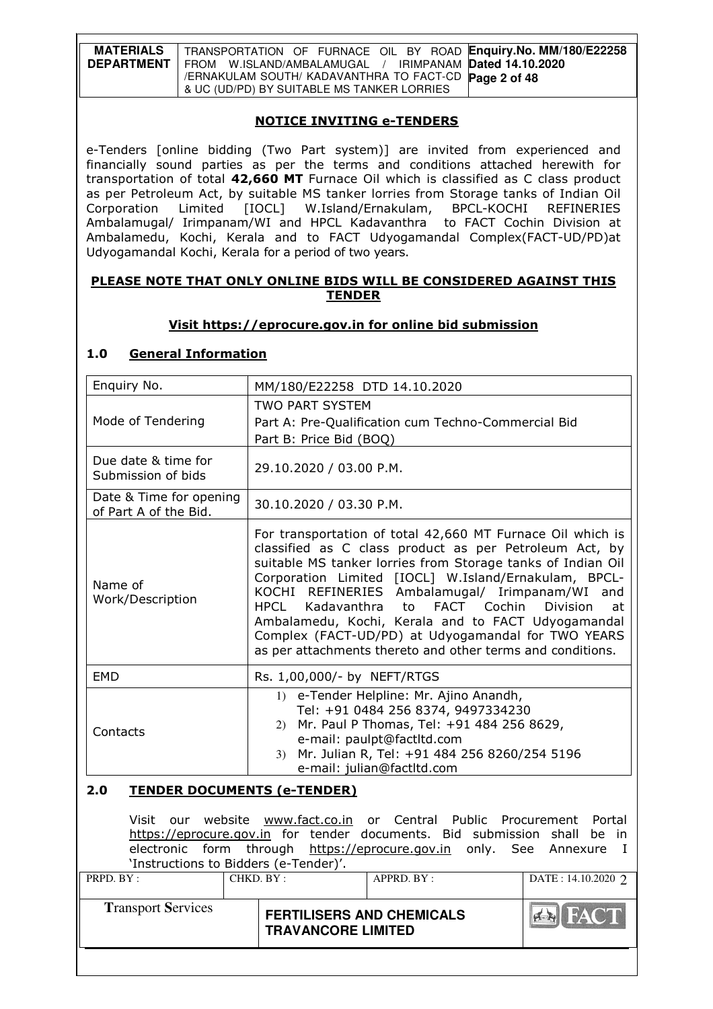| <b>MATERIALS</b>  | TRANSPORTATION OF FURNACE OIL BY ROAD Enquiry. No. MM/180/E22258 |
|-------------------|------------------------------------------------------------------|
| <b>DEPARTMENT</b> | FROM W.ISLAND/AMBALAMUGAL / IRIMPANAM Dated 14.10.2020           |
|                   | /ERNAKULAM SOUTH/ KADAVANTHRA TO FACT-CD Page 2 of 48            |
|                   | & UC (UD/PD) BY SUITABLE MS TANKER LORRIES                       |

### NOTICE INVITING e-TENDERS

e-Tenders [online bidding (Two Part system)] are invited from experienced and financially sound parties as per the terms and conditions attached herewith for transportation of total 42,660 MT Furnace Oil which is classified as C class product as per Petroleum Act, by suitable MS tanker lorries from Storage tanks of Indian Oil Corporation Limited [IOCL] W.Island/Ernakulam, BPCL-KOCHI REFINERIES Ambalamugal/ Irimpanam/WI and HPCL Kadavanthra to FACT Cochin Division at Ambalamedu, Kochi, Kerala and to FACT Udyogamandal Complex(FACT-UD/PD)at Udyogamandal Kochi, Kerala for a period of two years.

#### PLEASE NOTE THAT ONLY ONLINE BIDS WILL BE CONSIDERED AGAINST THIS TENDER

### Visit https://eprocure.gov.in for online bid submission

# 1.0 General Information

| Enquiry No.                                      | MM/180/E22258 DTD 14.10.2020                                                                                                                                                                                                                                                                                                                                                                                                                                                                                                                 |
|--------------------------------------------------|----------------------------------------------------------------------------------------------------------------------------------------------------------------------------------------------------------------------------------------------------------------------------------------------------------------------------------------------------------------------------------------------------------------------------------------------------------------------------------------------------------------------------------------------|
| Mode of Tendering                                | <b>TWO PART SYSTEM</b><br>Part A: Pre-Qualification cum Techno-Commercial Bid<br>Part B: Price Bid (BOQ)                                                                                                                                                                                                                                                                                                                                                                                                                                     |
| Due date & time for<br>Submission of bids        | 29.10.2020 / 03.00 P.M.                                                                                                                                                                                                                                                                                                                                                                                                                                                                                                                      |
| Date & Time for opening<br>of Part A of the Bid. | 30.10.2020 / 03.30 P.M.                                                                                                                                                                                                                                                                                                                                                                                                                                                                                                                      |
| Name of<br>Work/Description                      | For transportation of total 42,660 MT Furnace Oil which is<br>classified as C class product as per Petroleum Act, by<br>suitable MS tanker lorries from Storage tanks of Indian Oil<br>Corporation Limited [IOCL] W.Island/Ernakulam, BPCL-<br>KOCHI REFINERIES Ambalamugal/ Irimpanam/WI and<br>FACT Cochin Division<br>Kadavanthra<br>to to<br><b>HPCL</b><br>at<br>Ambalamedu, Kochi, Kerala and to FACT Udyogamandal<br>Complex (FACT-UD/PD) at Udyogamandal for TWO YEARS<br>as per attachments thereto and other terms and conditions. |
| <b>EMD</b>                                       | Rs. 1,00,000/- by NEFT/RTGS                                                                                                                                                                                                                                                                                                                                                                                                                                                                                                                  |
| Contacts                                         | 1) e-Tender Helpline: Mr. Ajino Anandh,<br>Tel: +91 0484 256 8374, 9497334230<br>2) Mr. Paul P Thomas, Tel: +91 484 256 8629,<br>e-mail: paulpt@factltd.com<br>Mr. Julian R, Tel: +91 484 256 8260/254 5196<br>3)<br>e-mail: julian@factltd.com                                                                                                                                                                                                                                                                                              |
| 2.0<br><b>TENDER DOCUMENTS (e-TENDER)</b>        |                                                                                                                                                                                                                                                                                                                                                                                                                                                                                                                                              |

|                                       |           | Visit our website www.fact.co.in or Central Public Procurement Portal<br>https://eprocure.gov.in for tender documents. Bid submission shall be in<br>electronic form through https://eprocure.gov.in only. See Annexure I |            |                      |
|---------------------------------------|-----------|---------------------------------------------------------------------------------------------------------------------------------------------------------------------------------------------------------------------------|------------|----------------------|
| 'Instructions to Bidders (e-Tender)'. |           |                                                                                                                                                                                                                           |            |                      |
| PRPD. BY:                             | CHKD. BY: |                                                                                                                                                                                                                           | APPRD. BY: | DATE: $14.10.2020$ 2 |
|                                       |           |                                                                                                                                                                                                                           |            |                      |
| <b>Transport Services</b>             |           | <b>FERTILISERS AND CHEMICALS</b><br><b>TRAVANCORE LIMITED</b>                                                                                                                                                             |            | <b>EN FACT</b>       |
|                                       |           |                                                                                                                                                                                                                           |            |                      |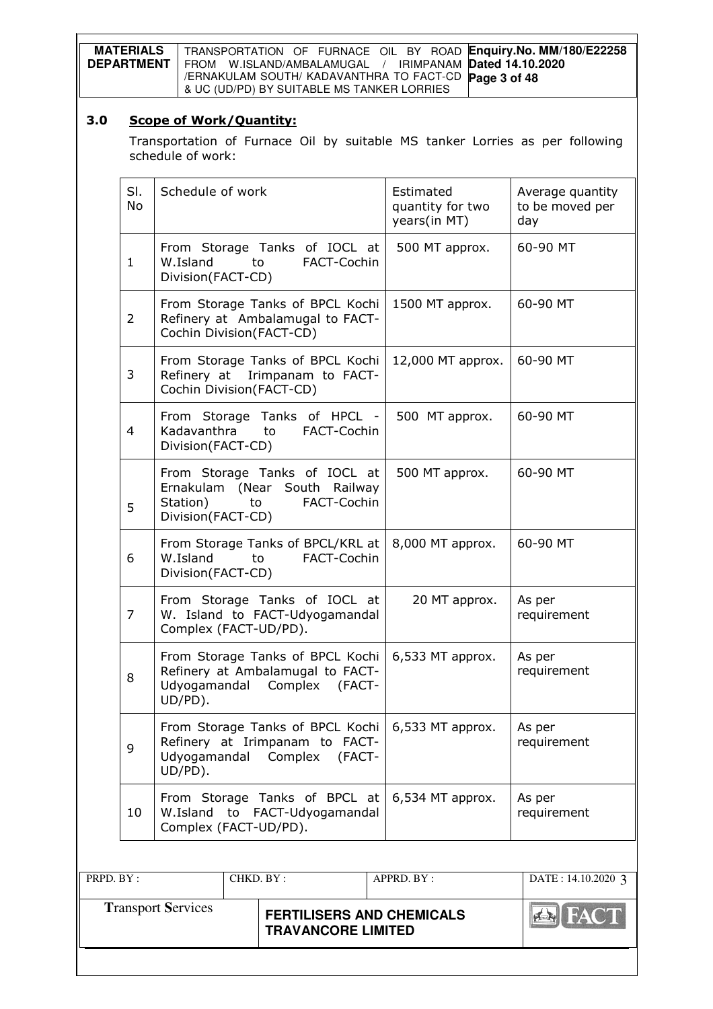| <b>MATERIALS</b>  | TRANSPORTATION OF FURNACE OIL BY ROAD Enquiry. No. MM/180/E22258 |
|-------------------|------------------------------------------------------------------|
| <b>DEPARTMENT</b> | FROM W.ISLAND/AMBALAMUGAL / IRIMPANAM Dated 14.10.2020           |
|                   | /ERNAKULAM SOUTH/ KADAVANTHRA TO FACT-CD Page 3 of 48            |
|                   | & UC (UD/PD) BY SUITABLE MS TANKER LORRIES                       |

# 3.0 Scope of Work/Quantity:

Transportation of Furnace Oil by suitable MS tanker Lorries as per following schedule of work:

|            |    | Cochin Division(FACT-CD)  |                                   |  |                   |                    |  |
|------------|----|---------------------------|-----------------------------------|--|-------------------|--------------------|--|
|            |    |                           |                                   |  |                   |                    |  |
|            |    |                           | From Storage Tanks of BPCL Kochi  |  | 12,000 MT approx. | 60-90 MT           |  |
|            | 3  |                           | Refinery at Irimpanam to FACT-    |  |                   |                    |  |
|            |    | Cochin Division(FACT-CD)  |                                   |  |                   |                    |  |
|            |    |                           |                                   |  |                   |                    |  |
|            |    |                           |                                   |  |                   |                    |  |
|            |    |                           | From Storage Tanks of HPCL -      |  | 500 MT approx.    | 60-90 MT           |  |
|            | 4  | Kadavanthra               | FACT-Cochin<br>to                 |  |                   |                    |  |
|            |    | Division(FACT-CD)         |                                   |  |                   |                    |  |
|            |    |                           |                                   |  |                   |                    |  |
|            |    |                           | From Storage Tanks of IOCL at     |  | 500 MT approx.    | 60-90 MT           |  |
|            |    |                           |                                   |  |                   |                    |  |
|            |    |                           | Ernakulam (Near South Railway     |  |                   |                    |  |
|            | 5  | Station)                  | FACT-Cochin<br>to                 |  |                   |                    |  |
|            |    | Division(FACT-CD)         |                                   |  |                   |                    |  |
|            |    |                           |                                   |  |                   |                    |  |
|            |    |                           | From Storage Tanks of BPCL/KRL at |  | 8,000 MT approx.  | 60-90 MT           |  |
|            | 6  | W.Island                  | FACT-Cochin<br>to                 |  |                   |                    |  |
|            |    |                           |                                   |  |                   |                    |  |
|            |    | Division(FACT-CD)         |                                   |  |                   |                    |  |
|            |    |                           |                                   |  |                   |                    |  |
|            |    |                           | From Storage Tanks of IOCL at     |  | 20 MT approx.     | As per             |  |
|            | 7  |                           | W. Island to FACT-Udyogamandal    |  |                   | requirement        |  |
|            |    | Complex (FACT-UD/PD).     |                                   |  |                   |                    |  |
|            |    |                           |                                   |  |                   |                    |  |
|            |    |                           | From Storage Tanks of BPCL Kochi  |  | 6,533 MT approx.  | As per             |  |
|            |    |                           | Refinery at Ambalamugal to FACT-  |  |                   | requirement        |  |
|            | 8  |                           |                                   |  |                   |                    |  |
|            |    | Udyogamandal Complex      | (FACT-                            |  |                   |                    |  |
|            |    | UD/PD).                   |                                   |  |                   |                    |  |
|            |    |                           |                                   |  |                   |                    |  |
|            |    |                           | From Storage Tanks of BPCL Kochi  |  | 6,533 MT approx.  | As per             |  |
|            |    |                           | Refinery at Irimpanam to FACT-    |  |                   | requirement        |  |
|            | 9  |                           | Udyogamandal Complex<br>(FACT-    |  |                   |                    |  |
|            |    |                           |                                   |  |                   |                    |  |
|            |    | UD/PD).                   |                                   |  |                   |                    |  |
|            |    |                           |                                   |  |                   |                    |  |
|            |    |                           | From Storage Tanks of BPCL at     |  | 6,534 MT approx.  | As per             |  |
|            | 10 | W.Island to               | FACT-Udyogamandal                 |  |                   | requirement        |  |
|            |    | Complex (FACT-UD/PD).     |                                   |  |                   |                    |  |
|            |    |                           |                                   |  |                   |                    |  |
|            |    |                           |                                   |  |                   |                    |  |
|            |    |                           |                                   |  |                   |                    |  |
| PRPD. BY : |    |                           | CHKD. BY:                         |  | APPRD. BY:        | DATE: 14.10.2020 3 |  |
|            |    |                           |                                   |  |                   |                    |  |
|            |    | <b>Transport Services</b> |                                   |  |                   |                    |  |
|            |    |                           | <b>FERTILISERS AND CHEMICALS</b>  |  |                   | <b>EN FACT</b>     |  |

**TRAVANCORE LIMITED**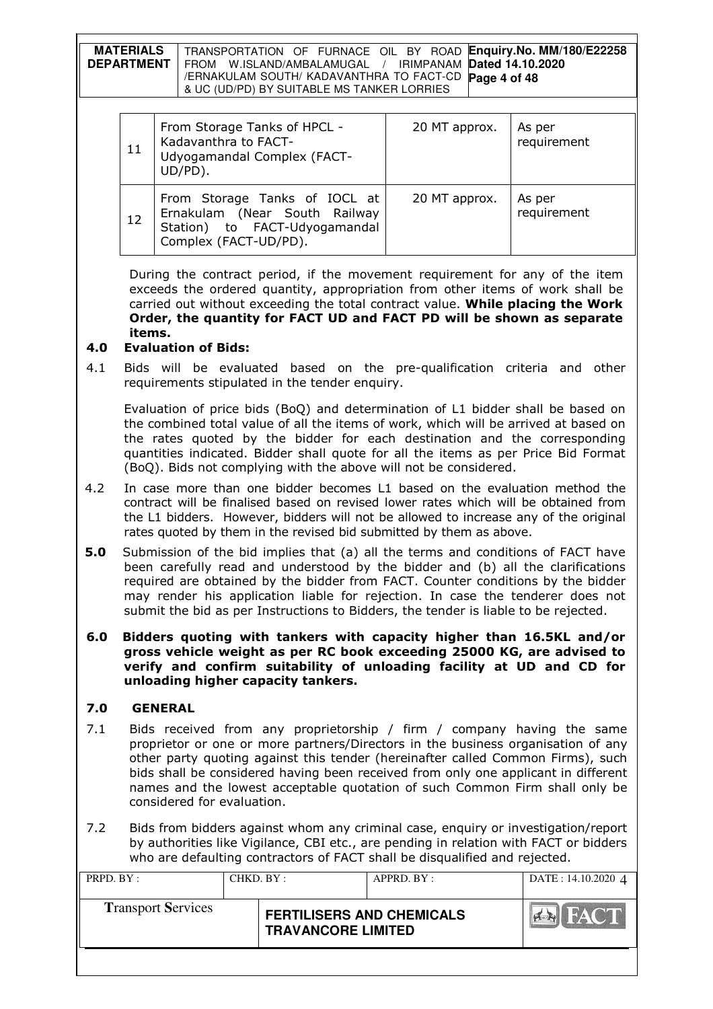| <b>MATERIALS</b>  | TRANSPORTATION OF FURNACE OIL BY ROAD Enquiry.No. MM/180/E22258 |
|-------------------|-----------------------------------------------------------------|
| <b>DEPARTMENT</b> | FROM W.ISLAND/AMBALAMUGAL / IRIMPANAM Dated 14.10.2020          |
|                   | /ERNAKULAM SOUTH/ KADAVANTHRA TO FACT-CD Page 4 of 48           |
|                   | & UC (UD/PD) BY SUITABLE MS TANKER LORRIES                      |

| 11 | From Storage Tanks of HPCL -<br>Kadavanthra to FACT-<br>Udyogamandal Complex (FACT-<br>UD/PD).                           | 20 MT approx. | As per<br>requirement |
|----|--------------------------------------------------------------------------------------------------------------------------|---------------|-----------------------|
| 12 | From Storage Tanks of IOCL at<br>Ernakulam (Near South Railway<br>Station) to FACT-Udyogamandal<br>Complex (FACT-UD/PD). | 20 MT approx. | As per<br>requirement |

During the contract period, if the movement requirement for any of the item exceeds the ordered quantity, appropriation from other items of work shall be carried out without exceeding the total contract value. While placing the Work Order, the quantity for FACT UD and FACT PD will be shown as separate items.

## 4.0 Evaluation of Bids:

4.1 Bids will be evaluated based on the pre-qualification criteria and other requirements stipulated in the tender enquiry.

 Evaluation of price bids (BoQ) and determination of L1 bidder shall be based on the combined total value of all the items of work, which will be arrived at based on the rates quoted by the bidder for each destination and the corresponding quantities indicated. Bidder shall quote for all the items as per Price Bid Format (BoQ). Bids not complying with the above will not be considered.

- 4.2 In case more than one bidder becomes L1 based on the evaluation method the contract will be finalised based on revised lower rates which will be obtained from the L1 bidders. However, bidders will not be allowed to increase any of the original rates quoted by them in the revised bid submitted by them as above.
- 5.0 Submission of the bid implies that (a) all the terms and conditions of FACT have been carefully read and understood by the bidder and (b) all the clarifications required are obtained by the bidder from FACT. Counter conditions by the bidder may render his application liable for rejection. In case the tenderer does not submit the bid as per Instructions to Bidders, the tender is liable to be rejected.

#### 6.0 Bidders quoting with tankers with capacity higher than 16.5KL and/or gross vehicle weight as per RC book exceeding 25000 KG, are advised to verify and confirm suitability of unloading facility at UD and CD for unloading higher capacity tankers.

# 7.0 GENERAL

- 7.1 Bids received from any proprietorship / firm / company having the same proprietor or one or more partners/Directors in the business organisation of any other party quoting against this tender (hereinafter called Common Firms), such bids shall be considered having been received from only one applicant in different names and the lowest acceptable quotation of such Common Firm shall only be considered for evaluation.
- 7.2 Bids from bidders against whom any criminal case, enquiry or investigation/report by authorities like Vigilance, CBI etc., are pending in relation with FACT or bidders who are defaulting contractors of FACT shall be disqualified and rejected.

| PRPD. BY:                 | CHKD. BY :                |  | APPRD. BY:                       | DATE: 14.10.2020 4 |
|---------------------------|---------------------------|--|----------------------------------|--------------------|
| <b>Transport Services</b> | <b>TRAVANCORE LIMITED</b> |  | <b>FERTILISERS AND CHEMICALS</b> | HAC I              |
|                           |                           |  |                                  |                    |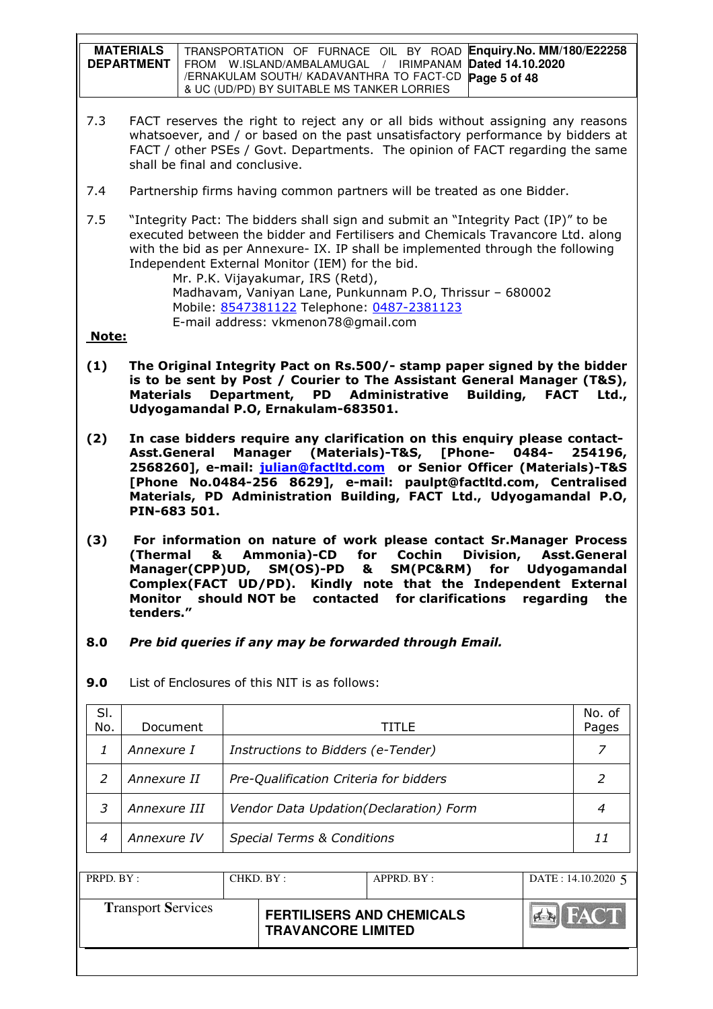| <b>MATERIALS</b>  | TRANSPORTATION OF FURNACE OIL BY ROAD Enquiry. No. MM/180/E22258         |
|-------------------|--------------------------------------------------------------------------|
| <b>DEPARTMENT</b> | I FROM    W.ISLAND/AMBALAMUGAL    /    IRIMPANAM <b>Dated 14.10.2020</b> |
|                   | /ERNAKULAM SOUTH/ KADAVANTHRA TO FACT-CD Page 5 of 48                    |
|                   | & UC (UD/PD) BY SUITABLE MS TANKER LORRIES                               |

- 7.3 FACT reserves the right to reject any or all bids without assigning any reasons whatsoever, and / or based on the past unsatisfactory performance by bidders at FACT / other PSEs / Govt. Departments. The opinion of FACT regarding the same shall be final and conclusive.
- 7.4 Partnership firms having common partners will be treated as one Bidder.
- 7.5 "Integrity Pact: The bidders shall sign and submit an "Integrity Pact (IP)" to be executed between the bidder and Fertilisers and Chemicals Travancore Ltd. along with the bid as per Annexure- IX. IP shall be implemented through the following Independent External Monitor (IEM) for the bid.

 Mr. P.K. Vijayakumar, IRS (Retd), Madhavam, Vaniyan Lane, Punkunnam P.O, Thrissur – 680002 Mobile: 8547381122 Telephone: 0487-2381123 E-mail address: vkmenon78@gmail.com

### Note:

- (1) The Original Integrity Pact on Rs.500/- stamp paper signed by the bidder is to be sent by Post / Courier to The Assistant General Manager (T&S), Materials Department, PD Administrative Building, FACT Ltd., Udyogamandal P.O, Ernakulam-683501.
- (2) In case bidders require any clarification on this enquiry please contact-Asst.General Manager (Materials)-T&S, [Phone- 0484- 254196, 2568260], e-mail: julian@factltd.com or Senior Officer (Materials)-T&S [Phone No.0484-256 8629], e-mail: paulpt@factltd.com, Centralised Materials, PD Administration Building, FACT Ltd., Udyogamandal P.O, PIN-683 501.
- (3) For information on nature of work please contact Sr.Manager Process (Thermal & Ammonia)-CD for Cochin Division, Asst.General Manager(CPP)UD, SM(OS)-PD & SM(PC&RM) for Udyogamandal Complex(FACT UD/PD). Kindly note that the Independent External Monitor should NOT be contacted for clarifications regarding the tenders."
- 8.0 Pre bid queries if any may be forwarded through Email.

| SI.<br>No. | Document     | TITLE                                  | No. of<br>Pages |
|------------|--------------|----------------------------------------|-----------------|
|            | Annexure I   | Instructions to Bidders (e-Tender)     | 7               |
|            | Annexure II  | Pre-Qualification Criteria for bidders | 2               |
| 3          | Annexure III | Vendor Data Updation(Declaration) Form | 4               |
| 4          | Annexure IV  | <b>Special Terms &amp; Conditions</b>  | 11              |

9.0 List of Enclosures of this NIT is as follows:

| PRPD. BY:                 | CHKD. BY : |                                                               | APPRD. BY: | DATE: $14.10.2020$ 5 |
|---------------------------|------------|---------------------------------------------------------------|------------|----------------------|
| <b>Transport Services</b> |            | <b>FERTILISERS AND CHEMICALS</b><br><b>TRAVANCORE LIMITED</b> |            | FACT.                |
|                           |            |                                                               |            |                      |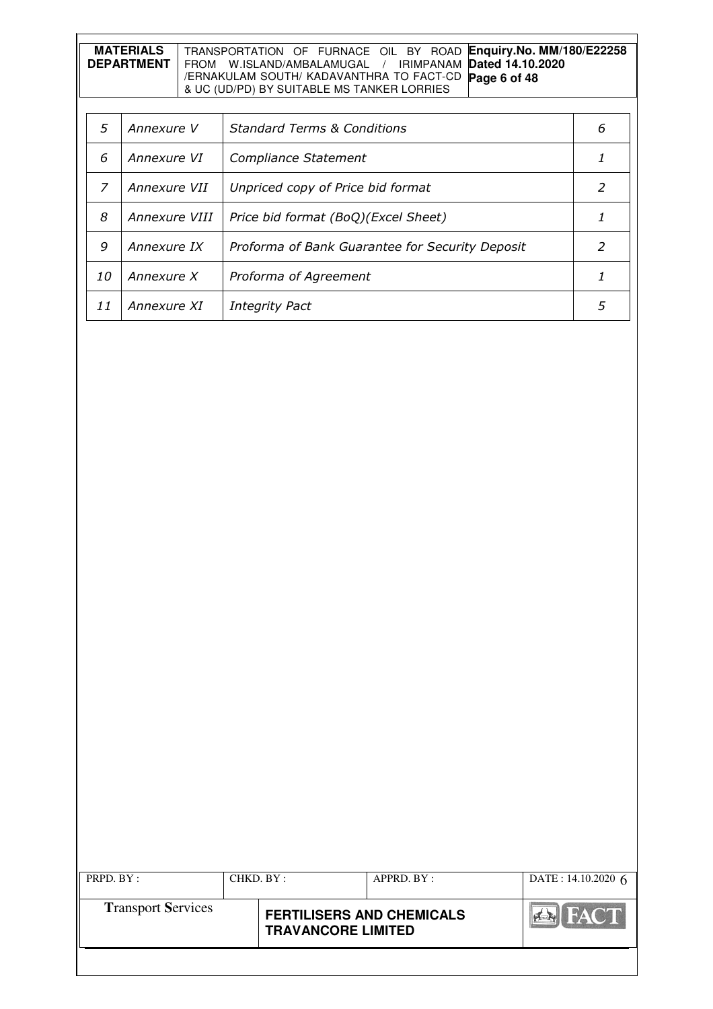| MATERIALS         | TRANSPORTATION OF FURNACE OIL BY ROAD Enquiry.No. MM/180/E22258 |
|-------------------|-----------------------------------------------------------------|
| <b>DEPARTMENT</b> | FROM W.ISLAND/AMBALAMUGAL / IRIMPANAM Dated 14.10.2020          |
|                   | /ERNAKULAM SOUTH/ KADAVANTHRA TO FACT-CD Page 6 of 48           |
|                   | & UC (UD/PD) BY SUITABLE MS TANKER LORRIES                      |

| 5  | Annexure V    | <b>Standard Terms &amp; Conditions</b>          | 6 |
|----|---------------|-------------------------------------------------|---|
| 6  | Annexure VI   | Compliance Statement                            |   |
|    | Annexure VII  | Unpriced copy of Price bid format               |   |
| 8  | Annexure VIII | Price bid format (BoQ)(Excel Sheet)             |   |
| 9  | Annexure IX   | Proforma of Bank Guarantee for Security Deposit |   |
| 10 | Annexure X    | Proforma of Agreement                           |   |
| 11 | Annexure XI   | <b>Integrity Pact</b>                           |   |

| PRPD. BY:                 |  | CHKD. BY:                                                     | $APPRD$ . BY : | DATE: $14.10.2020$ 6 |
|---------------------------|--|---------------------------------------------------------------|----------------|----------------------|
| <b>Transport Services</b> |  | <b>FERTILISERS AND CHEMICALS</b><br><b>TRAVANCORE LIMITED</b> |                | <b>THACT</b>         |
|                           |  |                                                               |                |                      |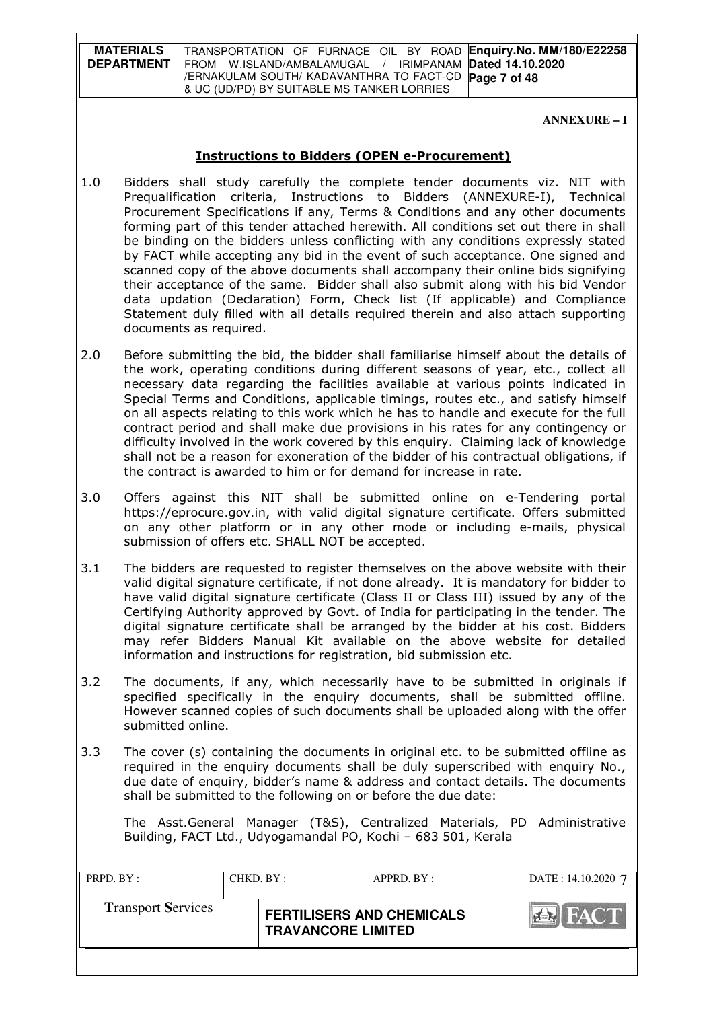**MATERIALS DEPARTMENT**  TRANSPORTATION OF FURNACE OIL BY ROAD **Enquiry.No. MM/180/E22258**  FROM W.ISLAND/AMBALAMUGAL / IRIMPANAM **Dated 14.10.2020**  /ERNAKULAM SOUTH/ KADAVANTHRA TO FACT-CD **Page 7 of 48** & UC (UD/PD) BY SUITABLE MS TANKER LORRIES

#### **ANNEXURE – I**

#### Instructions to Bidders (OPEN e-Procurement)

- 1.0 Bidders shall study carefully the complete tender documents viz. NIT with Prequalification criteria, Instructions to Bidders (ANNEXURE-I), Technical Procurement Specifications if any, Terms & Conditions and any other documents forming part of this tender attached herewith. All conditions set out there in shall be binding on the bidders unless conflicting with any conditions expressly stated by FACT while accepting any bid in the event of such acceptance. One signed and scanned copy of the above documents shall accompany their online bids signifying their acceptance of the same. Bidder shall also submit along with his bid Vendor data updation (Declaration) Form, Check list (If applicable) and Compliance Statement duly filled with all details required therein and also attach supporting documents as required.
- 2.0 Before submitting the bid, the bidder shall familiarise himself about the details of the work, operating conditions during different seasons of year, etc., collect all necessary data regarding the facilities available at various points indicated in Special Terms and Conditions, applicable timings, routes etc., and satisfy himself on all aspects relating to this work which he has to handle and execute for the full contract period and shall make due provisions in his rates for any contingency or difficulty involved in the work covered by this enquiry. Claiming lack of knowledge shall not be a reason for exoneration of the bidder of his contractual obligations, if the contract is awarded to him or for demand for increase in rate.
- 3.0 Offers against this NIT shall be submitted online on e-Tendering portal https://eprocure.gov.in, with valid digital signature certificate. Offers submitted on any other platform or in any other mode or including e-mails, physical submission of offers etc. SHALL NOT be accepted.
- 3.1 The bidders are requested to register themselves on the above website with their valid digital signature certificate, if not done already. It is mandatory for bidder to have valid digital signature certificate (Class II or Class III) issued by any of the Certifying Authority approved by Govt. of India for participating in the tender. The digital signature certificate shall be arranged by the bidder at his cost. Bidders may refer Bidders Manual Kit available on the above website for detailed information and instructions for registration, bid submission etc.
- 3.2 The documents, if any, which necessarily have to be submitted in originals if specified specifically in the enquiry documents, shall be submitted offline. However scanned copies of such documents shall be uploaded along with the offer submitted online.
- 3.3 The cover (s) containing the documents in original etc. to be submitted offline as required in the enquiry documents shall be duly superscribed with enquiry No., due date of enquiry, bidder's name & address and contact details. The documents shall be submitted to the following on or before the due date:

The Asst.General Manager (T&S), Centralized Materials, PD Administrative Building, FACT Ltd., Udyogamandal PO, Kochi – 683 501, Kerala

| PRPD. BY:                 | CHKD. BY: |                                                               | APPRD. BY: | DATE: 14.10.2020 7 |
|---------------------------|-----------|---------------------------------------------------------------|------------|--------------------|
| <b>Transport Services</b> |           | <b>FERTILISERS AND CHEMICALS</b><br><b>TRAVANCORE LIMITED</b> |            | <b>FACT</b>        |
|                           |           |                                                               |            |                    |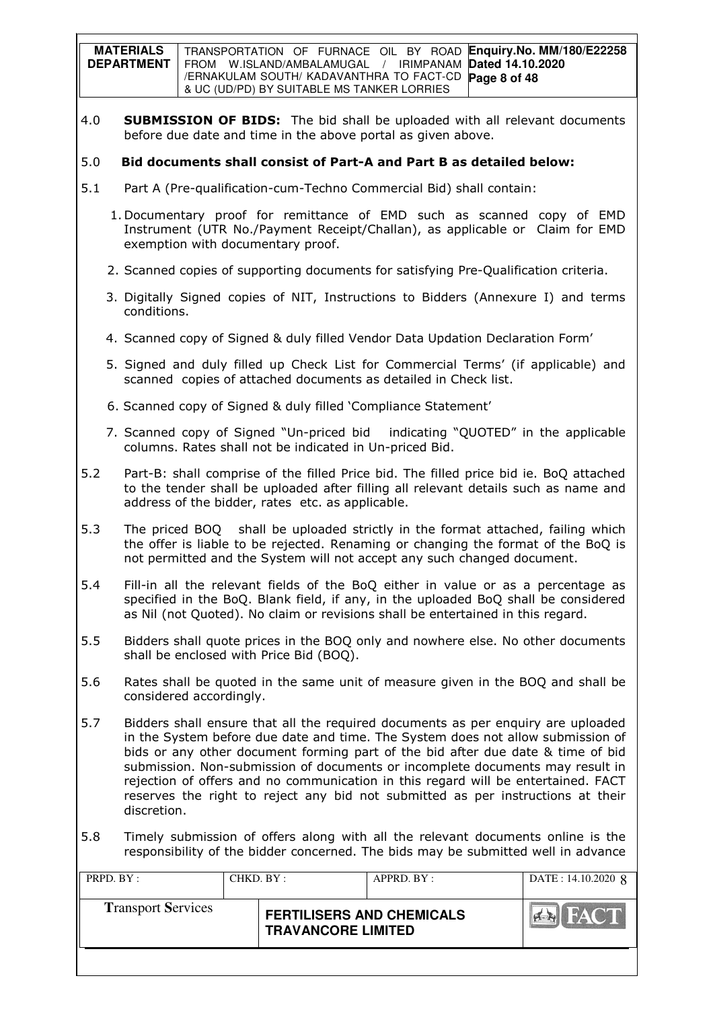|     | <b>MATERIALS</b><br><b>DEPARTMENT</b>                                                                                                                                                                                                                                                                                                                                                                                                                                                                                          |                                                                                                                                                                                                                                                           | TRANSPORTATION OF FURNACE OIL BY ROAD<br>FROM W.ISLAND/AMBALAMUGAL / IRIMPANAM<br>/ERNAKULAM SOUTH/ KADAVANTHRA TO FACT-CD<br>& UC (UD/PD) BY SUITABLE MS TANKER LORRIES                    |            | Dated 14.10.2020<br>Page 8 of 48 | Enquiry.No. MM/180/E22258 |
|-----|--------------------------------------------------------------------------------------------------------------------------------------------------------------------------------------------------------------------------------------------------------------------------------------------------------------------------------------------------------------------------------------------------------------------------------------------------------------------------------------------------------------------------------|-----------------------------------------------------------------------------------------------------------------------------------------------------------------------------------------------------------------------------------------------------------|---------------------------------------------------------------------------------------------------------------------------------------------------------------------------------------------|------------|----------------------------------|---------------------------|
| 4.0 |                                                                                                                                                                                                                                                                                                                                                                                                                                                                                                                                |                                                                                                                                                                                                                                                           | <b>SUBMISSION OF BIDS:</b> The bid shall be uploaded with all relevant documents<br>before due date and time in the above portal as given above.                                            |            |                                  |                           |
| 5.0 |                                                                                                                                                                                                                                                                                                                                                                                                                                                                                                                                | Bid documents shall consist of Part-A and Part B as detailed below:                                                                                                                                                                                       |                                                                                                                                                                                             |            |                                  |                           |
| 5.1 |                                                                                                                                                                                                                                                                                                                                                                                                                                                                                                                                |                                                                                                                                                                                                                                                           | Part A (Pre-qualification-cum-Techno Commercial Bid) shall contain:                                                                                                                         |            |                                  |                           |
|     |                                                                                                                                                                                                                                                                                                                                                                                                                                                                                                                                |                                                                                                                                                                                                                                                           | 1. Documentary proof for remittance of EMD such as scanned copy of EMD<br>Instrument (UTR No./Payment Receipt/Challan), as applicable or Claim for EMD<br>exemption with documentary proof. |            |                                  |                           |
|     |                                                                                                                                                                                                                                                                                                                                                                                                                                                                                                                                |                                                                                                                                                                                                                                                           | 2. Scanned copies of supporting documents for satisfying Pre-Qualification criteria.                                                                                                        |            |                                  |                           |
|     | conditions.                                                                                                                                                                                                                                                                                                                                                                                                                                                                                                                    |                                                                                                                                                                                                                                                           | 3. Digitally Signed copies of NIT, Instructions to Bidders (Annexure I) and terms                                                                                                           |            |                                  |                           |
|     |                                                                                                                                                                                                                                                                                                                                                                                                                                                                                                                                |                                                                                                                                                                                                                                                           | 4. Scanned copy of Signed & duly filled Vendor Data Updation Declaration Form'                                                                                                              |            |                                  |                           |
|     |                                                                                                                                                                                                                                                                                                                                                                                                                                                                                                                                |                                                                                                                                                                                                                                                           | 5. Signed and duly filled up Check List for Commercial Terms' (if applicable) and<br>scanned copies of attached documents as detailed in Check list.                                        |            |                                  |                           |
|     |                                                                                                                                                                                                                                                                                                                                                                                                                                                                                                                                |                                                                                                                                                                                                                                                           | 6. Scanned copy of Signed & duly filled 'Compliance Statement'                                                                                                                              |            |                                  |                           |
|     |                                                                                                                                                                                                                                                                                                                                                                                                                                                                                                                                | 7. Scanned copy of Signed "Un-priced bid indicating "QUOTED" in the applicable<br>columns. Rates shall not be indicated in Un-priced Bid.                                                                                                                 |                                                                                                                                                                                             |            |                                  |                           |
| 5.2 |                                                                                                                                                                                                                                                                                                                                                                                                                                                                                                                                | Part-B: shall comprise of the filled Price bid. The filled price bid ie. BoQ attached<br>to the tender shall be uploaded after filling all relevant details such as name and<br>address of the bidder, rates etc. as applicable.                          |                                                                                                                                                                                             |            |                                  |                           |
| 5.3 |                                                                                                                                                                                                                                                                                                                                                                                                                                                                                                                                | The priced BOQ shall be uploaded strictly in the format attached, failing which<br>the offer is liable to be rejected. Renaming or changing the format of the BoQ is<br>not permitted and the System will not accept any such changed document.           |                                                                                                                                                                                             |            |                                  |                           |
| 5.4 |                                                                                                                                                                                                                                                                                                                                                                                                                                                                                                                                | Fill-in all the relevant fields of the BoQ either in value or as a percentage as<br>specified in the BoQ. Blank field, if any, in the uploaded BoQ shall be considered<br>as Nil (not Quoted). No claim or revisions shall be entertained in this regard. |                                                                                                                                                                                             |            |                                  |                           |
| 5.5 |                                                                                                                                                                                                                                                                                                                                                                                                                                                                                                                                | Bidders shall quote prices in the BOQ only and nowhere else. No other documents<br>shall be enclosed with Price Bid (BOQ).                                                                                                                                |                                                                                                                                                                                             |            |                                  |                           |
| 5.6 |                                                                                                                                                                                                                                                                                                                                                                                                                                                                                                                                | Rates shall be quoted in the same unit of measure given in the BOQ and shall be<br>considered accordingly.                                                                                                                                                |                                                                                                                                                                                             |            |                                  |                           |
| 5.7 | Bidders shall ensure that all the required documents as per enquiry are uploaded<br>in the System before due date and time. The System does not allow submission of<br>bids or any other document forming part of the bid after due date & time of bid<br>submission. Non-submission of documents or incomplete documents may result in<br>rejection of offers and no communication in this regard will be entertained. FACT<br>reserves the right to reject any bid not submitted as per instructions at their<br>discretion. |                                                                                                                                                                                                                                                           |                                                                                                                                                                                             |            |                                  |                           |
| 5.8 | Timely submission of offers along with all the relevant documents online is the<br>responsibility of the bidder concerned. The bids may be submitted well in advance                                                                                                                                                                                                                                                                                                                                                           |                                                                                                                                                                                                                                                           |                                                                                                                                                                                             |            |                                  |                           |
|     | PRPD. BY:                                                                                                                                                                                                                                                                                                                                                                                                                                                                                                                      |                                                                                                                                                                                                                                                           | CHKD. BY:                                                                                                                                                                                   | APPRD. BY: |                                  | DATE: 14.10.2020 8        |
|     | <b>Transport Services</b>                                                                                                                                                                                                                                                                                                                                                                                                                                                                                                      |                                                                                                                                                                                                                                                           |                                                                                                                                                                                             |            |                                  |                           |

**TRANSPORT SERTILISERS AND CHEMICALS EN FACT TRAVANCORE LIMITED**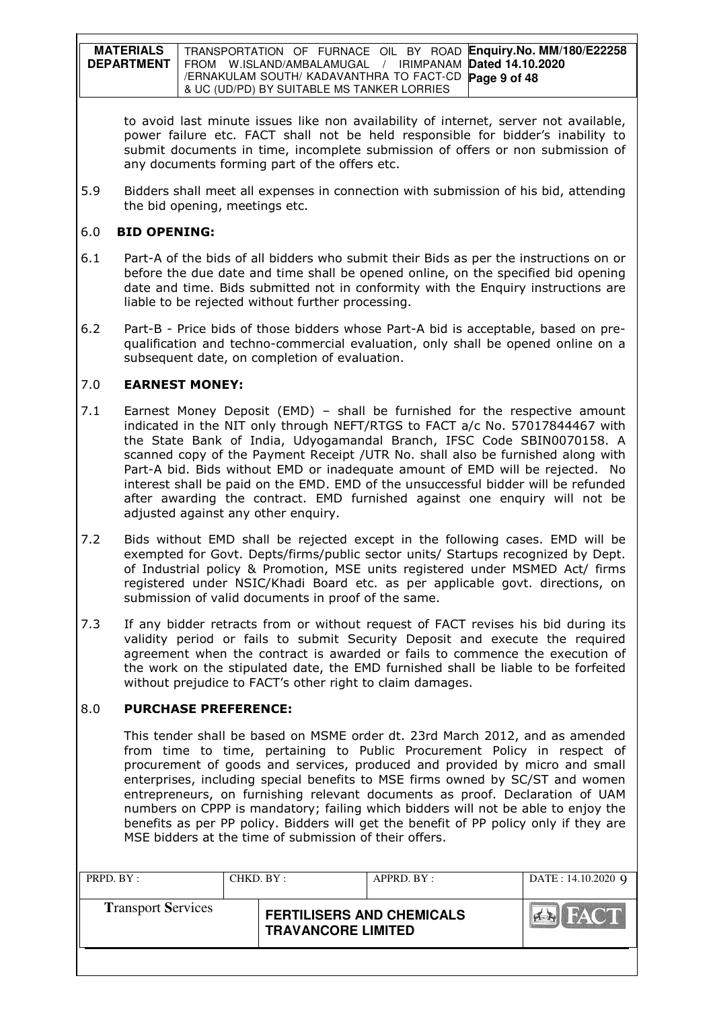| <b>MATERIALS</b>  | TRANSPORTATION OF FURNACE OIL BY ROAD Enquiry. No. MM/180/E22258 |
|-------------------|------------------------------------------------------------------|
| <b>DEPARTMENT</b> | FROM W.ISLAND/AMBALAMUGAL / IRIMPANAM Dated 14.10.2020           |
|                   | /ERNAKULAM SOUTH/ KADAVANTHRA TO FACT-CD Page 9 of 48            |
|                   | 8 UC (UD/PD) BY SUITABLE MS TANKER LORRIES                       |

to avoid last minute issues like non availability of internet, server not available, power failure etc. FACT shall not be held responsible for bidder's inability to submit documents in time, incomplete submission of offers or non submission of any documents forming part of the offers etc.

5.9 Bidders shall meet all expenses in connection with submission of his bid, attending the bid opening, meetings etc.

### 6.0 BID OPENING:

- 6.1 Part-A of the bids of all bidders who submit their Bids as per the instructions on or before the due date and time shall be opened online, on the specified bid opening date and time. Bids submitted not in conformity with the Enquiry instructions are liable to be rejected without further processing.
- 6.2 Part-B Price bids of those bidders whose Part-A bid is acceptable, based on prequalification and techno-commercial evaluation, only shall be opened online on a subsequent date, on completion of evaluation.

## 7.0 EARNEST MONEY:

- 7.1 Earnest Money Deposit (EMD) shall be furnished for the respective amount indicated in the NIT only through NEFT/RTGS to FACT a/c No. 57017844467 with the State Bank of India, Udyogamandal Branch, IFSC Code SBIN0070158. A scanned copy of the Payment Receipt /UTR No. shall also be furnished along with Part-A bid. Bids without EMD or inadequate amount of EMD will be rejected. No interest shall be paid on the EMD. EMD of the unsuccessful bidder will be refunded after awarding the contract. EMD furnished against one enquiry will not be adjusted against any other enquiry.
- 7.2 Bids without EMD shall be rejected except in the following cases. EMD will be exempted for Govt. Depts/firms/public sector units/ Startups recognized by Dept. of Industrial policy & Promotion, MSE units registered under MSMED Act/ firms registered under NSIC/Khadi Board etc. as per applicable govt. directions, on submission of valid documents in proof of the same.
- 7.3 If any bidder retracts from or without request of FACT revises his bid during its validity period or fails to submit Security Deposit and execute the required agreement when the contract is awarded or fails to commence the execution of the work on the stipulated date, the EMD furnished shall be liable to be forfeited without prejudice to FACT's other right to claim damages.

### 8.0 PURCHASE PREFERENCE:

This tender shall be based on MSME order dt. 23rd March 2012, and as amended from time to time, pertaining to Public Procurement Policy in respect of procurement of goods and services, produced and provided by micro and small enterprises, including special benefits to MSE firms owned by SC/ST and women entrepreneurs, on furnishing relevant documents as proof. Declaration of UAM numbers on CPPP is mandatory; failing which bidders will not be able to enjoy the benefits as per PP policy. Bidders will get the benefit of PP policy only if they are MSE bidders at the time of submission of their offers.

| PRPD. BY:                 | CHKD. BY : |                                                               | APPRD. BY: | DATE: 14.10.2020 9 |
|---------------------------|------------|---------------------------------------------------------------|------------|--------------------|
| <b>Transport Services</b> |            | <b>FERTILISERS AND CHEMICALS</b><br><b>TRAVANCORE LIMITED</b> |            |                    |
|                           |            |                                                               |            |                    |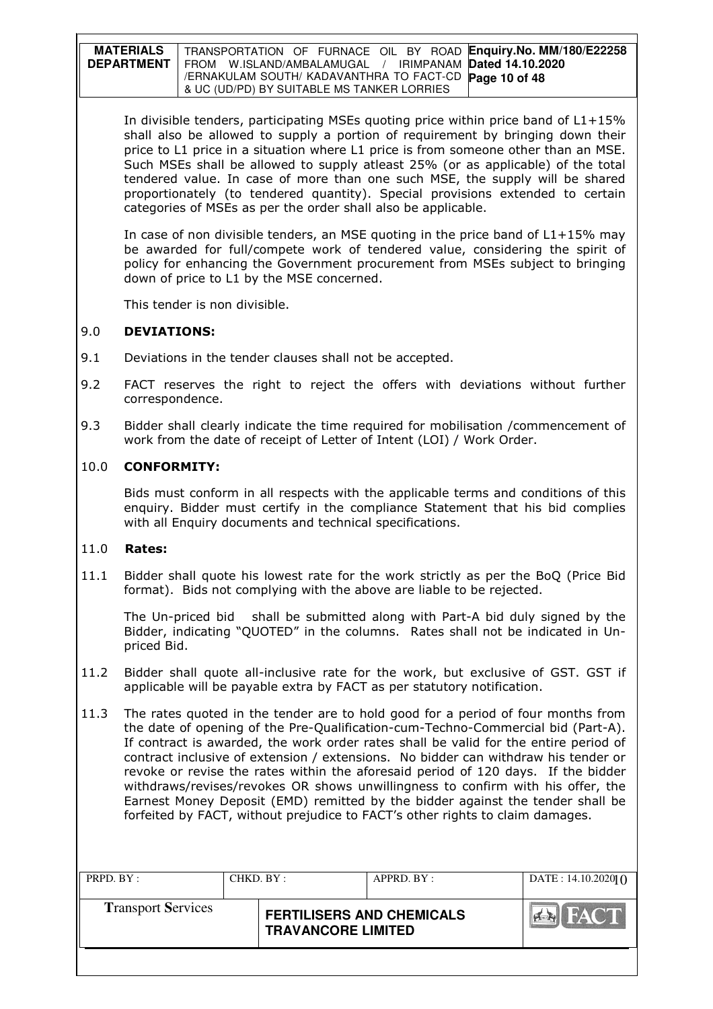| <b>MATERIALS</b> | TRANSPORTATION OF FURNACE OIL BY ROAD Enquiry.No. MM/180/E22258     |
|------------------|---------------------------------------------------------------------|
|                  | DEPARTMENT   FROM W.ISLAND/AMBALAMUGAL / IRIMPANAM Dated 14.10.2020 |
|                  | /ERNAKULAM SOUTH/KADAVANTHRA TO FACT-CD <b>Page 10 of 48</b>        |
|                  | & UC (UD/PD) BY SUITABLE MS TANKER LORRIES                          |

In divisible tenders, participating MSEs quoting price within price band of L1+15% shall also be allowed to supply a portion of requirement by bringing down their price to L1 price in a situation where L1 price is from someone other than an MSE. Such MSEs shall be allowed to supply atleast 25% (or as applicable) of the total tendered value. In case of more than one such MSE, the supply will be shared proportionately (to tendered quantity). Special provisions extended to certain categories of MSEs as per the order shall also be applicable.

In case of non divisible tenders, an MSE quoting in the price band of  $L1+15%$  may be awarded for full/compete work of tendered value, considering the spirit of policy for enhancing the Government procurement from MSEs subject to bringing down of price to L1 by the MSE concerned.

This tender is non divisible.

## 9.0 DEVIATIONS:

- 9.1 Deviations in the tender clauses shall not be accepted.
- 9.2 FACT reserves the right to reject the offers with deviations without further correspondence.
- 9.3 Bidder shall clearly indicate the time required for mobilisation / commencement of work from the date of receipt of Letter of Intent (LOI) / Work Order.

### 10.0 CONFORMITY:

Bids must conform in all respects with the applicable terms and conditions of this enquiry. Bidder must certify in the compliance Statement that his bid complies with all Enquiry documents and technical specifications.

### 11.0 Rates:

11.1 Bidder shall quote his lowest rate for the work strictly as per the BoQ (Price Bid format). Bids not complying with the above are liable to be rejected.

The Un-priced bid shall be submitted along with Part-A bid duly signed by the Bidder, indicating "QUOTED" in the columns. Rates shall not be indicated in Unpriced Bid.

- 11.2 Bidder shall quote all-inclusive rate for the work, but exclusive of GST. GST if applicable will be payable extra by FACT as per statutory notification.
- 11.3 The rates quoted in the tender are to hold good for a period of four months from the date of opening of the Pre-Qualification-cum-Techno-Commercial bid (Part-A). If contract is awarded, the work order rates shall be valid for the entire period of contract inclusive of extension / extensions. No bidder can withdraw his tender or revoke or revise the rates within the aforesaid period of 120 days. If the bidder withdraws/revises/revokes OR shows unwillingness to confirm with his offer, the Earnest Money Deposit (EMD) remitted by the bidder against the tender shall be forfeited by FACT, without prejudice to FACT's other rights to claim damages.

| PRPD. BY:                 | CHKD. BY : |                                                               | APPRD. BY: | DATE: $14.10.20201$ O       |
|---------------------------|------------|---------------------------------------------------------------|------------|-----------------------------|
| <b>Transport Services</b> |            | <b>FERTILISERS AND CHEMICALS</b><br><b>TRAVANCORE LIMITED</b> |            | <b>I FACT</b><br><b>PER</b> |
|                           |            |                                                               |            |                             |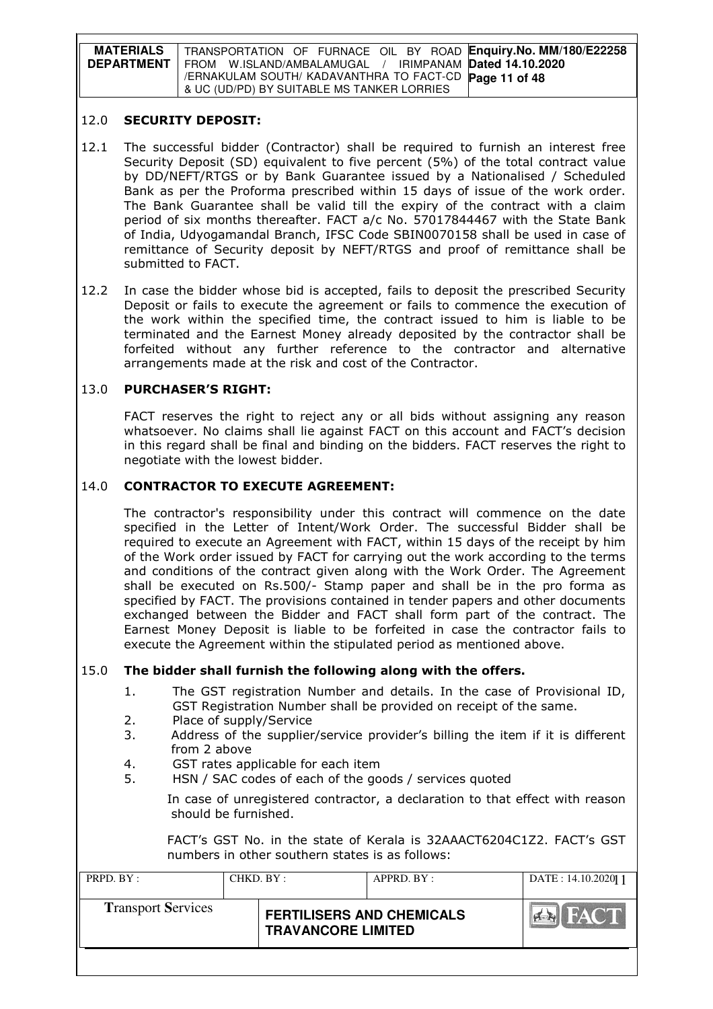| <b>MATERIALS</b>  | TRANSPORTATION OF FURNACE OIL BY ROAD Enquiry.No. MM/180/E22258 |
|-------------------|-----------------------------------------------------------------|
| <b>DEPARTMENT</b> | FROM W.ISLAND/AMBALAMUGAL / IRIMPANAM Dated 14.10.2020          |
|                   | /ERNAKULAM SOUTH/ KADAVANTHRA TO FACT-CD Page 11 of 48          |
|                   | & UC (UD/PD) BY SUITABLE MS TANKER LORRIES                      |

#### 12.0 SECURITY DEPOSIT:

- 12.1 The successful bidder (Contractor) shall be required to furnish an interest free Security Deposit (SD) equivalent to five percent (5%) of the total contract value by DD/NEFT/RTGS or by Bank Guarantee issued by a Nationalised / Scheduled Bank as per the Proforma prescribed within 15 days of issue of the work order. The Bank Guarantee shall be valid till the expiry of the contract with a claim period of six months thereafter. FACT a/c No. 57017844467 with the State Bank of India, Udyogamandal Branch, IFSC Code SBIN0070158 shall be used in case of remittance of Security deposit by NEFT/RTGS and proof of remittance shall be submitted to FACT.
- 12.2 In case the bidder whose bid is accepted, fails to deposit the prescribed Security Deposit or fails to execute the agreement or fails to commence the execution of the work within the specified time, the contract issued to him is liable to be terminated and the Earnest Money already deposited by the contractor shall be forfeited without any further reference to the contractor and alternative arrangements made at the risk and cost of the Contractor.

## 13.0 PURCHASER'S RIGHT:

 FACT reserves the right to reject any or all bids without assigning any reason whatsoever. No claims shall lie against FACT on this account and FACT's decision in this regard shall be final and binding on the bidders. FACT reserves the right to negotiate with the lowest bidder.

### 14.0 CONTRACTOR TO EXECUTE AGREEMENT:

 The contractor's responsibility under this contract will commence on the date specified in the Letter of Intent/Work Order. The successful Bidder shall be required to execute an Agreement with FACT, within 15 days of the receipt by him of the Work order issued by FACT for carrying out the work according to the terms and conditions of the contract given along with the Work Order. The Agreement shall be executed on Rs.500/- Stamp paper and shall be in the pro forma as specified by FACT. The provisions contained in tender papers and other documents exchanged between the Bidder and FACT shall form part of the contract. The Earnest Money Deposit is liable to be forfeited in case the contractor fails to execute the Agreement within the stipulated period as mentioned above.

### 15.0 The bidder shall furnish the following along with the offers.

- 1. The GST registration Number and details. In the case of Provisional ID, GST Registration Number shall be provided on receipt of the same.
- 2. Place of supply/Service
- 3. Address of the supplier/service provider's billing the item if it is different from 2 above
- 4. GST rates applicable for each item
- 5. HSN / SAC codes of each of the goods / services quoted
	- In case of unregistered contractor, a declaration to that effect with reason should be furnished.

FACT's GST No. in the state of Kerala is 32AAACT6204C1Z2. FACT's GST numbers in other southern states is as follows:

| PRPD. BY:                 | CHKD. BY : |                                                               | APPRD. BY : | DATE: 14.10.202011 |
|---------------------------|------------|---------------------------------------------------------------|-------------|--------------------|
| <b>Transport Services</b> |            | <b>FERTILISERS AND CHEMICALS</b><br><b>TRAVANCORE LIMITED</b> |             | <b>FACT</b>        |
|                           |            |                                                               |             |                    |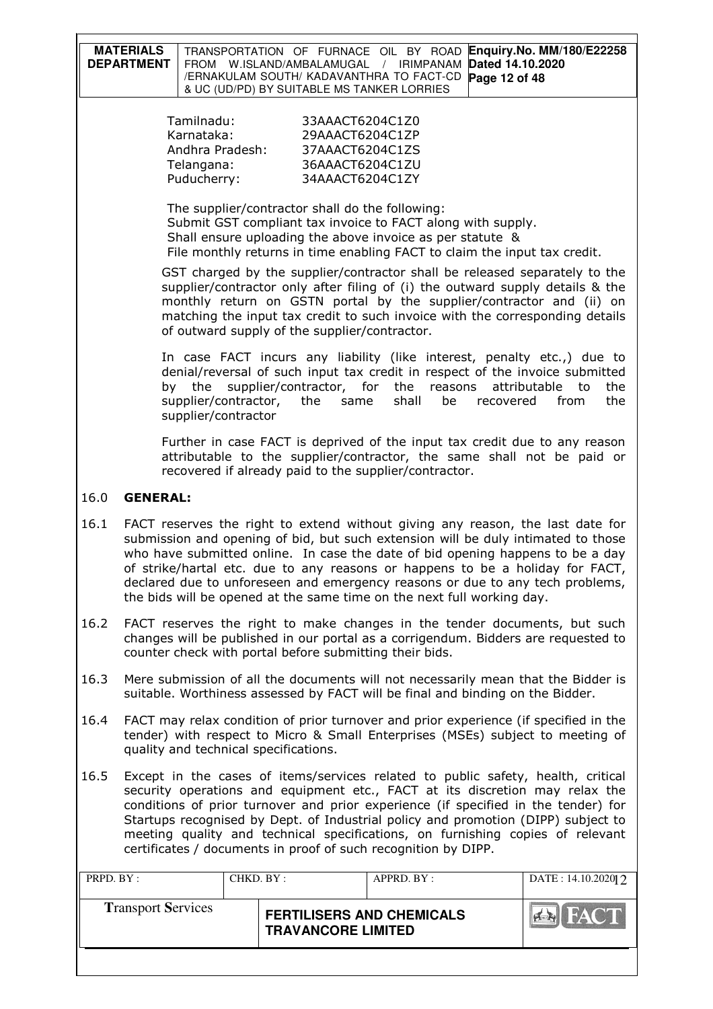| <b>MATERIALS</b><br><b>DEPARTMENT</b> |                                                                                                                                                                                                                                                                                                                                                                                                                                                                                                 | TRANSPORTATION OF FURNACE OIL BY ROAD<br>FROM W.ISLAND/AMBALAMUGAL<br>/ERNAKULAM SOUTH/ KADAVANTHRA TO FACT-CD<br>& UC (UD/PD) BY SUITABLE MS TANKER LORRIES | <b>IRIMPANAM</b><br>$\sqrt{2}$ | Dated 14.10.2020<br>Page 12 of 48 | Enquiry.No. MM/180/E22258                                                                                                                                                                                                                                                                                                                                                                                               |  |  |  |  |  |
|---------------------------------------|-------------------------------------------------------------------------------------------------------------------------------------------------------------------------------------------------------------------------------------------------------------------------------------------------------------------------------------------------------------------------------------------------------------------------------------------------------------------------------------------------|--------------------------------------------------------------------------------------------------------------------------------------------------------------|--------------------------------|-----------------------------------|-------------------------------------------------------------------------------------------------------------------------------------------------------------------------------------------------------------------------------------------------------------------------------------------------------------------------------------------------------------------------------------------------------------------------|--|--|--|--|--|
|                                       | Tamilnadu:<br>Karnataka:<br>Andhra Pradesh:<br>Telangana:<br>Puducherry:                                                                                                                                                                                                                                                                                                                                                                                                                        | 33AAACT6204C1Z0<br>29AAACT6204C1ZP<br>37AAACT6204C1ZS<br>36AAACT6204C1ZU<br>34AAACT6204C1ZY                                                                  |                                |                                   |                                                                                                                                                                                                                                                                                                                                                                                                                         |  |  |  |  |  |
|                                       | The supplier/contractor shall do the following:<br>Submit GST compliant tax invoice to FACT along with supply.<br>Shall ensure uploading the above invoice as per statute &<br>File monthly returns in time enabling FACT to claim the input tax credit.                                                                                                                                                                                                                                        |                                                                                                                                                              |                                |                                   |                                                                                                                                                                                                                                                                                                                                                                                                                         |  |  |  |  |  |
|                                       |                                                                                                                                                                                                                                                                                                                                                                                                                                                                                                 | of outward supply of the supplier/contractor.                                                                                                                |                                |                                   | GST charged by the supplier/contractor shall be released separately to the<br>supplier/contractor only after filing of (i) the outward supply details & the<br>monthly return on GSTN portal by the supplier/contractor and (ii) on<br>matching the input tax credit to such invoice with the corresponding details                                                                                                     |  |  |  |  |  |
|                                       | by the<br>supplier/contractor, the<br>supplier/contractor                                                                                                                                                                                                                                                                                                                                                                                                                                       | supplier/contractor, for<br>same                                                                                                                             | the<br>shall                   | reasons<br>be<br>recovered        | In case FACT incurs any liability (like interest, penalty etc.,) due to<br>denial/reversal of such input tax credit in respect of the invoice submitted<br>attributable<br>the<br>to<br>from<br>the                                                                                                                                                                                                                     |  |  |  |  |  |
|                                       |                                                                                                                                                                                                                                                                                                                                                                                                                                                                                                 | recovered if already paid to the supplier/contractor.                                                                                                        |                                |                                   | Further in case FACT is deprived of the input tax credit due to any reason<br>attributable to the supplier/contractor, the same shall not be paid or                                                                                                                                                                                                                                                                    |  |  |  |  |  |
| 16.0<br><b>GENERAL:</b>               |                                                                                                                                                                                                                                                                                                                                                                                                                                                                                                 |                                                                                                                                                              |                                |                                   |                                                                                                                                                                                                                                                                                                                                                                                                                         |  |  |  |  |  |
| 16.1                                  |                                                                                                                                                                                                                                                                                                                                                                                                                                                                                                 | the bids will be opened at the same time on the next full working day.                                                                                       |                                |                                   | FACT reserves the right to extend without giving any reason, the last date for<br>submission and opening of bid, but such extension will be duly intimated to those<br>who have submitted online. In case the date of bid opening happens to be a day<br>of strike/hartal etc. due to any reasons or happens to be a holiday for FACT,<br>declared due to unforeseen and emergency reasons or due to any tech problems, |  |  |  |  |  |
| 16.2                                  |                                                                                                                                                                                                                                                                                                                                                                                                                                                                                                 | counter check with portal before submitting their bids.                                                                                                      |                                |                                   | FACT reserves the right to make changes in the tender documents, but such<br>changes will be published in our portal as a corrigendum. Bidders are requested to                                                                                                                                                                                                                                                         |  |  |  |  |  |
| 16.3                                  |                                                                                                                                                                                                                                                                                                                                                                                                                                                                                                 | suitable. Worthiness assessed by FACT will be final and binding on the Bidder.                                                                               |                                |                                   | Mere submission of all the documents will not necessarily mean that the Bidder is                                                                                                                                                                                                                                                                                                                                       |  |  |  |  |  |
| 16.4                                  | FACT may relax condition of prior turnover and prior experience (if specified in the<br>tender) with respect to Micro & Small Enterprises (MSEs) subject to meeting of<br>quality and technical specifications.                                                                                                                                                                                                                                                                                 |                                                                                                                                                              |                                |                                   |                                                                                                                                                                                                                                                                                                                                                                                                                         |  |  |  |  |  |
| 16.5                                  | Except in the cases of items/services related to public safety, health, critical<br>security operations and equipment etc., FACT at its discretion may relax the<br>conditions of prior turnover and prior experience (if specified in the tender) for<br>Startups recognised by Dept. of Industrial policy and promotion (DIPP) subject to<br>meeting quality and technical specifications, on furnishing copies of relevant<br>certificates / documents in proof of such recognition by DIPP. |                                                                                                                                                              |                                |                                   |                                                                                                                                                                                                                                                                                                                                                                                                                         |  |  |  |  |  |
| PRPD. BY:                             | CHKD. BY:                                                                                                                                                                                                                                                                                                                                                                                                                                                                                       |                                                                                                                                                              | APPRD. BY:                     |                                   | DATE: 14.10.2020  2                                                                                                                                                                                                                                                                                                                                                                                                     |  |  |  |  |  |
| <b>Transport Services</b>             |                                                                                                                                                                                                                                                                                                                                                                                                                                                                                                 | <b>FERTILISERS AND CHEMICALS</b><br><b>TRAVANCORE LIMITED</b>                                                                                                |                                |                                   |                                                                                                                                                                                                                                                                                                                                                                                                                         |  |  |  |  |  |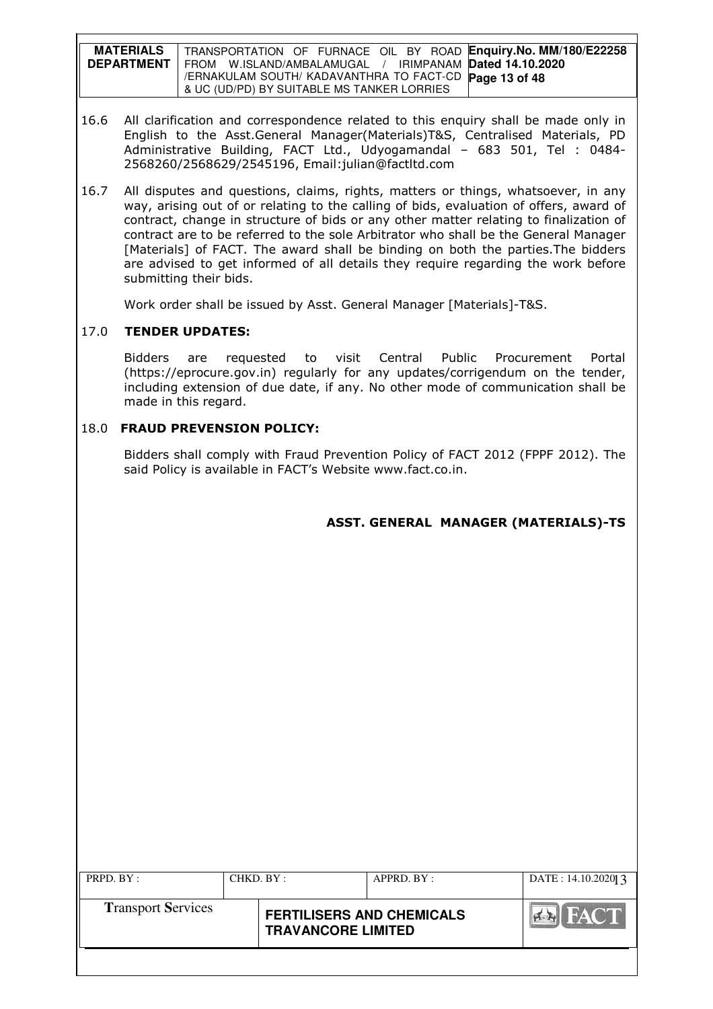**MATERIALS DEPARTMENT**  TRANSPORTATION OF FURNACE OIL BY ROAD **Enquiry.No. MM/180/E22258**  FROM W.ISLAND/AMBALAMUGAL / IRIMPANAM **Dated 14.10.2020**  /ERNAKULAM SOUTH/ KADAVANTHRA TO FACT-CD **Page 13 of 48** & UC (UD/PD) BY SUITABLE MS TANKER LORRIES

- 16.6 All clarification and correspondence related to this enquiry shall be made only in English to the Asst.General Manager(Materials)T&S, Centralised Materials, PD Administrative Building, FACT Ltd., Udyogamandal – 683 501, Tel : 0484- 2568260/2568629/2545196, Email:julian@factltd.com
- 16.7 All disputes and questions, claims, rights, matters or things, whatsoever, in any way, arising out of or relating to the calling of bids, evaluation of offers, award of contract, change in structure of bids or any other matter relating to finalization of contract are to be referred to the sole Arbitrator who shall be the General Manager [Materials] of FACT. The award shall be binding on both the parties. The bidders are advised to get informed of all details they require regarding the work before submitting their bids.

Work order shall be issued by Asst. General Manager [Materials]-T&S.

## 17.0 TENDER UPDATES:

Bidders are requested to visit Central Public Procurement Portal (https://eprocure.gov.in) regularly for any updates/corrigendum on the tender, including extension of due date, if any. No other mode of communication shall be made in this regard.

## 18.0 FRAUD PREVENSION POLICY:

Bidders shall comply with Fraud Prevention Policy of FACT 2012 (FPPF 2012). The said Policy is available in FACT's Website www.fact.co.in.

# ASST. GENERAL MANAGER (MATERIALS)-TS

| PRPD. BY :                | CHKD. BY : |                                                               | $APPRD$ . BY : | DATE: $14.10.20201$ 3 |
|---------------------------|------------|---------------------------------------------------------------|----------------|-----------------------|
| <b>Transport Services</b> |            | <b>FERTILISERS AND CHEMICALS</b><br><b>TRAVANCORE LIMITED</b> |                | HACT.<br><b>PERS</b>  |
|                           |            |                                                               |                |                       |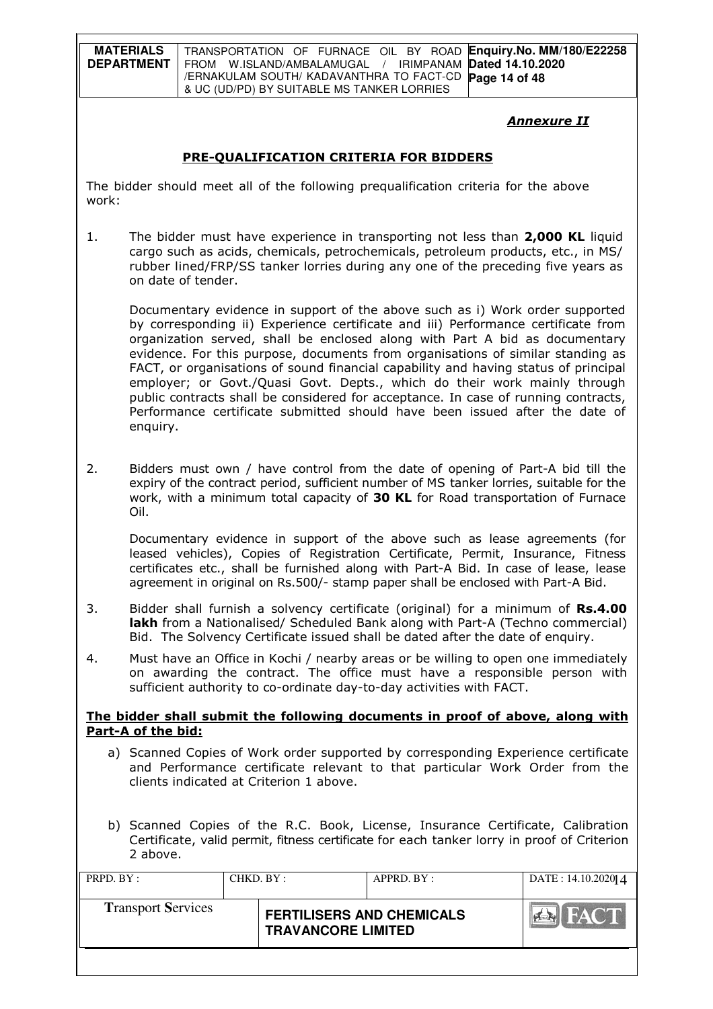**MATERIALS DEPARTMENT**  TRANSPORTATION OF FURNACE OIL BY ROAD **Enquiry.No. MM/180/E22258**  FROM W.ISLAND/AMBALAMUGAL / IRIMPANAM **Dated 14.10.2020**  /ERNAKULAM SOUTH/ KADAVANTHRA TO FACT-CD **Page 14 of 48** & UC (UD/PD) BY SUITABLE MS TANKER LORRIES

## Annexure II

## PRE-QUALIFICATION CRITERIA FOR BIDDERS

The bidder should meet all of the following prequalification criteria for the above work:

1. The bidder must have experience in transporting not less than 2,000 KL liquid cargo such as acids, chemicals, petrochemicals, petroleum products, etc., in MS/ rubber lined/FRP/SS tanker lorries during any one of the preceding five years as on date of tender.

 Documentary evidence in support of the above such as i) Work order supported by corresponding ii) Experience certificate and iii) Performance certificate from organization served, shall be enclosed along with Part A bid as documentary evidence. For this purpose, documents from organisations of similar standing as FACT, or organisations of sound financial capability and having status of principal employer; or Govt./Quasi Govt. Depts., which do their work mainly through public contracts shall be considered for acceptance. In case of running contracts, Performance certificate submitted should have been issued after the date of enquiry.

2. Bidders must own / have control from the date of opening of Part-A bid till the expiry of the contract period, sufficient number of MS tanker lorries, suitable for the work, with a minimum total capacity of 30 KL for Road transportation of Furnace Oil.

Documentary evidence in support of the above such as lease agreements (for leased vehicles), Copies of Registration Certificate, Permit, Insurance, Fitness certificates etc., shall be furnished along with Part-A Bid. In case of lease, lease agreement in original on Rs.500/- stamp paper shall be enclosed with Part-A Bid.

- 3. Bidder shall furnish a solvency certificate (original) for a minimum of Rs.4.00 lakh from a Nationalised/ Scheduled Bank along with Part-A (Techno commercial) Bid. The Solvency Certificate issued shall be dated after the date of enquiry.
- 4. Must have an Office in Kochi / nearby areas or be willing to open one immediately on awarding the contract. The office must have a responsible person with sufficient authority to co-ordinate day-to-day activities with FACT.

#### The bidder shall submit the following documents in proof of above, along with Part-A of the bid:

- a) Scanned Copies of Work order supported by corresponding Experience certificate and Performance certificate relevant to that particular Work Order from the clients indicated at Criterion 1 above.
- b) Scanned Copies of the R.C. Book, License, Insurance Certificate, Calibration Certificate, valid permit, fitness certificate for each tanker lorry in proof of Criterion 2 above.

| PRPD. BY:                 | CHKD. BY: |                                                               | APPRD. BY: | DATE: 14.10.202014            |
|---------------------------|-----------|---------------------------------------------------------------|------------|-------------------------------|
| <b>Transport Services</b> |           | <b>FERTILISERS AND CHEMICALS</b><br><b>TRAVANCORE LIMITED</b> |            | <b>ILFACT</b><br><b>CLERK</b> |
|                           |           |                                                               |            |                               |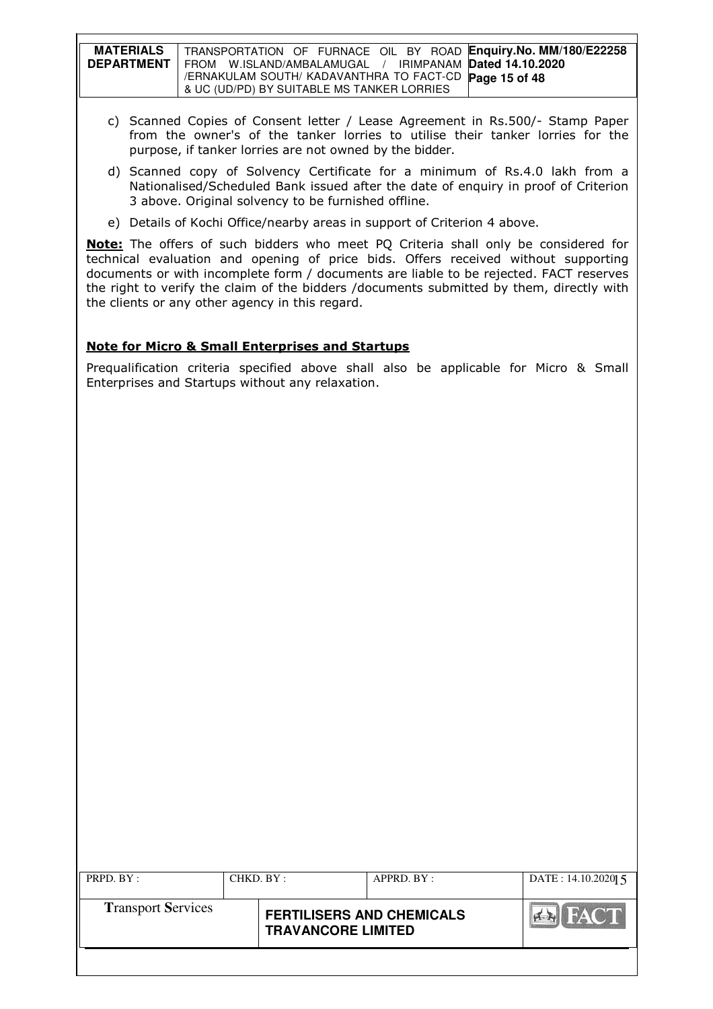| <b>MATERIALS</b>  | TRANSPORTATION OF FURNACE OIL BY ROAD Enquiry.No. MM/180/E22258 |
|-------------------|-----------------------------------------------------------------|
| <b>DEPARTMENT</b> | FROM W.ISLAND/AMBALAMUGAL / IRIMPANAM Dated 14.10.2020          |
|                   | /ERNAKULAM SOUTH/ KADAVANTHRA TO FACT-CD Page 15 of 48          |
|                   | & UC (UD/PD) BY SUITABLE MS TANKER LORRIES                      |

- c) Scanned Copies of Consent letter / Lease Agreement in Rs.500/- Stamp Paper from the owner's of the tanker lorries to utilise their tanker lorries for the purpose, if tanker lorries are not owned by the bidder.
- d) Scanned copy of Solvency Certificate for a minimum of Rs.4.0 lakh from a Nationalised/Scheduled Bank issued after the date of enquiry in proof of Criterion 3 above. Original solvency to be furnished offline.
- e) Details of Kochi Office/nearby areas in support of Criterion 4 above.

Note: The offers of such bidders who meet PO Criteria shall only be considered for technical evaluation and opening of price bids. Offers received without supporting documents or with incomplete form / documents are liable to be rejected. FACT reserves the right to verify the claim of the bidders /documents submitted by them, directly with the clients or any other agency in this regard.

### Note for Micro & Small Enterprises and Startups

Prequalification criteria specified above shall also be applicable for Micro & Small Enterprises and Startups without any relaxation.

| PRPD. BY:                 | CHKD. BY: |                                                               | APPRD. BY: | DATE: $14.10.2020$ [5] |
|---------------------------|-----------|---------------------------------------------------------------|------------|------------------------|
| <b>Transport Services</b> |           | <b>FERTILISERS AND CHEMICALS</b><br><b>TRAVANCORE LIMITED</b> |            | <b>FACT</b>            |
|                           |           |                                                               |            |                        |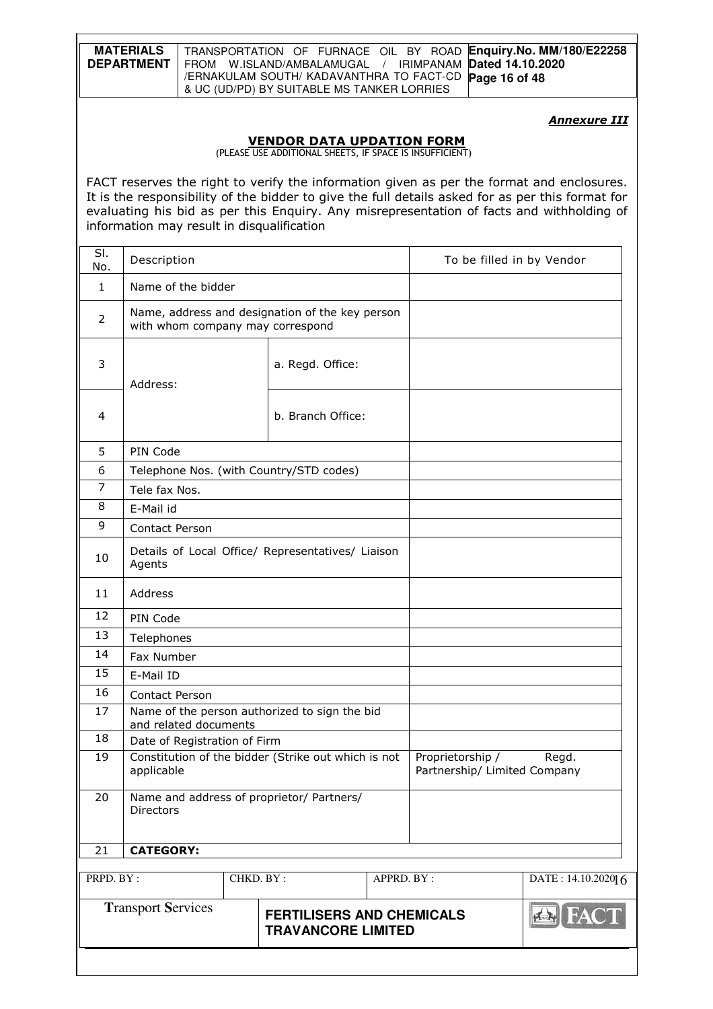| <b>MATERIALS</b>  | TRANSPORTATION OF FURNACE OIL BY ROAD Enquiry. No. MM/180/E22258 |
|-------------------|------------------------------------------------------------------|
| <b>DEPARTMENT</b> | I FROM W.ISLAND/AMBALAMUGAL / IRIMPANAM Dated 14.10.2020         |
|                   | / ERNAKULAM SOUTH/ KADAVANTHRA TO FACT-CD Page 16 of 48          |
|                   | & UC (UD/PD) BY SUITABLE MS TANKER LORRIES                       |

**Annexure III** 

#### VENDOR DATA UPDATION FORM

(PLEASE USE ADDITIONAL SHEETS, IF SPACE IS INSUFFICIENT)

FACT reserves the right to verify the information given as per the format and enclosures. It is the responsibility of the bidder to give the full details asked for as per this format for evaluating his bid as per this Enquiry. Any misrepresentation of facts and withholding of information may result in disqualification

| SI.<br>No.                                                                                 | Description                      |           |                                                     | To be filled in by Vendor |                                                  |       |
|--------------------------------------------------------------------------------------------|----------------------------------|-----------|-----------------------------------------------------|---------------------------|--------------------------------------------------|-------|
| $\mathbf{1}$                                                                               | Name of the bidder               |           |                                                     |                           |                                                  |       |
| 2                                                                                          | with whom company may correspond |           | Name, address and designation of the key person     |                           |                                                  |       |
| 3                                                                                          | Address:                         |           | a. Regd. Office:                                    |                           |                                                  |       |
| 4                                                                                          |                                  |           | b. Branch Office:                                   |                           |                                                  |       |
| 5                                                                                          | PIN Code                         |           |                                                     |                           |                                                  |       |
| 6                                                                                          |                                  |           | Telephone Nos. (with Country/STD codes)             |                           |                                                  |       |
| $\overline{7}$                                                                             | Tele fax Nos.                    |           |                                                     |                           |                                                  |       |
| 8                                                                                          | E-Mail id                        |           |                                                     |                           |                                                  |       |
| 9                                                                                          | Contact Person                   |           |                                                     |                           |                                                  |       |
| 10                                                                                         | Agents                           |           | Details of Local Office/ Representatives/ Liaison   |                           |                                                  |       |
| 11                                                                                         | Address                          |           |                                                     |                           |                                                  |       |
| 12                                                                                         | PIN Code                         |           |                                                     |                           |                                                  |       |
| 13                                                                                         | Telephones                       |           |                                                     |                           |                                                  |       |
| 14                                                                                         | Fax Number                       |           |                                                     |                           |                                                  |       |
| 15                                                                                         | E-Mail ID                        |           |                                                     |                           |                                                  |       |
| 16                                                                                         | Contact Person                   |           |                                                     |                           |                                                  |       |
| 17                                                                                         | and related documents            |           | Name of the person authorized to sign the bid       |                           |                                                  |       |
| 18                                                                                         | Date of Registration of Firm     |           |                                                     |                           |                                                  |       |
| 19                                                                                         | applicable                       |           | Constitution of the bidder (Strike out which is not |                           | Proprietorship /<br>Partnership/ Limited Company | Regd. |
| 20                                                                                         | Directors                        |           | Name and address of proprietor/ Partners/           |                           |                                                  |       |
| 21                                                                                         | <b>CATEGORY:</b>                 |           |                                                     |                           |                                                  |       |
| PRPD. BY:                                                                                  |                                  | CHKD. BY: | APPRD. BY :                                         | DATE: 14.10.202016        |                                                  |       |
| <b>Transport Services</b><br><b>FERTILISERS AND CHEMICALS</b><br><b>TRAVANCORE LIMITED</b> |                                  |           |                                                     |                           |                                                  |       |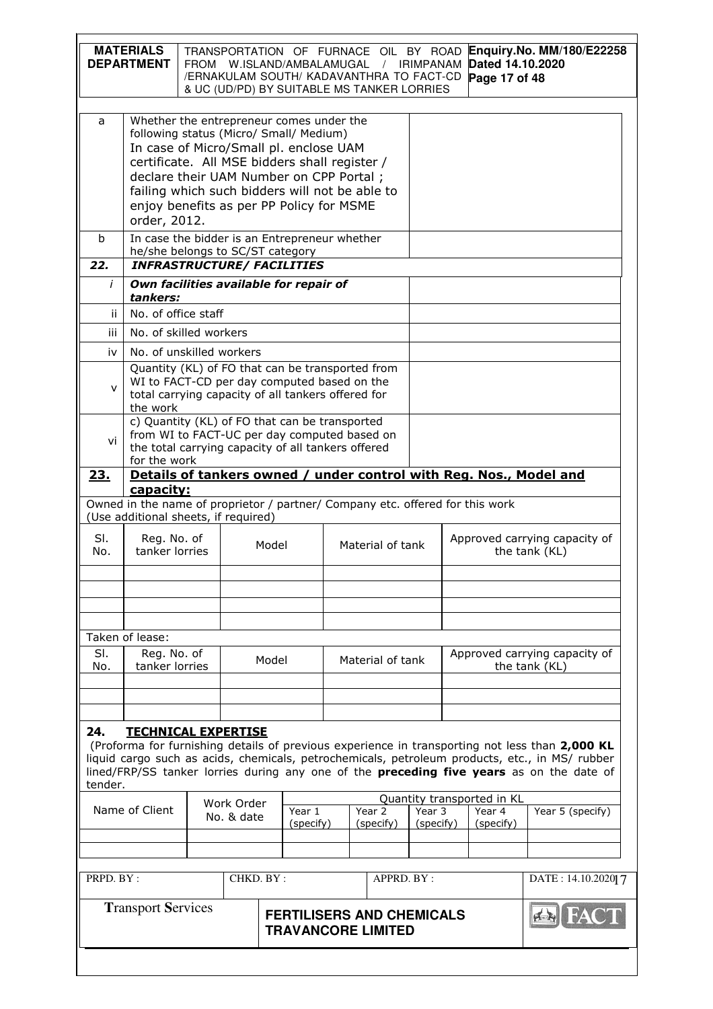| Whether the entrepreneur comes under the<br>a<br>following status (Micro/ Small/ Medium)<br>In case of Micro/Small pl. enclose UAM<br>certificate. All MSE bidders shall register /<br>declare their UAM Number on CPP Portal;<br>failing which such bidders will not be able to<br>enjoy benefits as per PP Policy for MSME<br>order, 2012.<br>In case the bidder is an Entrepreneur whether<br>$\mathbf b$<br>he/she belongs to SC/ST category<br><b>INFRASTRUCTURE/ FACILITIES</b><br>22.<br>Own facilities available for repair of<br>İ<br>tankers:<br>No. of office staff<br>ii.<br>iii<br>No. of skilled workers<br>No. of unskilled workers<br>iv<br>Quantity (KL) of FO that can be transported from<br>WI to FACT-CD per day computed based on the<br>$\mathsf{v}$<br>total carrying capacity of all tankers offered for<br>the work<br>c) Quantity (KL) of FO that can be transported<br>from WI to FACT-UC per day computed based on<br>vi<br>the total carrying capacity of all tankers offered<br>for the work<br>Details of tankers owned / under control with Reg. Nos., Model and<br>23.<br>capacity:<br>Owned in the name of proprietor / partner/ Company etc. offered for this work<br>(Use additional sheets, if required)<br>SI.<br>Reg. No. of<br>Approved carrying capacity of<br>Model<br>Material of tank<br>tanker lorries<br>the tank (KL)<br>No.<br>Taken of lease:<br>SI.<br>Reg. No. of<br>Approved carrying capacity of<br>Model<br>Material of tank<br>tanker lorries<br>No.<br>the tank (KL)<br>24.<br><b>TECHNICAL EXPERTISE</b><br>(Proforma for furnishing details of previous experience in transporting not less than 2,000 KL<br>liquid cargo such as acids, chemicals, petrochemicals, petroleum products, etc., in MS/ rubber<br>lined/FRP/SS tanker lorries during any one of the <b>preceding five years</b> as on the date of<br>tender.<br>Quantity transported in KL<br>Work Order<br>Name of Client<br>Year 2<br>Year 5 (specify)<br>Year 1<br>Year 3<br>Year 4<br>No. & date<br>(specify)<br>(specify)<br>(specify)<br>(specify)<br>PRPD. BY:<br>CHKD. BY:<br>APPRD. BY :<br>DATE: 14.10.2020 7<br><b>Transport Services</b><br><b>FERTILISERS AND CHEMICALS</b><br><b>TRAVANCORE LIMITED</b> |  | <b>MATERIALS</b><br><b>DEPARTMENT</b> | FROM W.ISLAND/AMBALAMUGAL |  |  |  |  | TRANSPORTATION OF FURNACE OIL BY ROAD<br>$\frac{1}{2}$<br>/ERNAKULAM SOUTH/ KADAVANTHRA TO FACT-CD<br>& UC (UD/PD) BY SUITABLE MS TANKER LORRIES |  | IRIMPANAM | Dated 14.10.2020<br>Page 17 of 48 | Enquiry.No. MM/180/E22258 |  |
|-----------------------------------------------------------------------------------------------------------------------------------------------------------------------------------------------------------------------------------------------------------------------------------------------------------------------------------------------------------------------------------------------------------------------------------------------------------------------------------------------------------------------------------------------------------------------------------------------------------------------------------------------------------------------------------------------------------------------------------------------------------------------------------------------------------------------------------------------------------------------------------------------------------------------------------------------------------------------------------------------------------------------------------------------------------------------------------------------------------------------------------------------------------------------------------------------------------------------------------------------------------------------------------------------------------------------------------------------------------------------------------------------------------------------------------------------------------------------------------------------------------------------------------------------------------------------------------------------------------------------------------------------------------------------------------------------------------------------------------------------------------------------------------------------------------------------------------------------------------------------------------------------------------------------------------------------------------------------------------------------------------------------------------------------------------------------------------------------------------------------------------------------------------------------------------------------------------------------------------------------|--|---------------------------------------|---------------------------|--|--|--|--|--------------------------------------------------------------------------------------------------------------------------------------------------|--|-----------|-----------------------------------|---------------------------|--|
|                                                                                                                                                                                                                                                                                                                                                                                                                                                                                                                                                                                                                                                                                                                                                                                                                                                                                                                                                                                                                                                                                                                                                                                                                                                                                                                                                                                                                                                                                                                                                                                                                                                                                                                                                                                                                                                                                                                                                                                                                                                                                                                                                                                                                                               |  |                                       |                           |  |  |  |  |                                                                                                                                                  |  |           |                                   |                           |  |
|                                                                                                                                                                                                                                                                                                                                                                                                                                                                                                                                                                                                                                                                                                                                                                                                                                                                                                                                                                                                                                                                                                                                                                                                                                                                                                                                                                                                                                                                                                                                                                                                                                                                                                                                                                                                                                                                                                                                                                                                                                                                                                                                                                                                                                               |  |                                       |                           |  |  |  |  |                                                                                                                                                  |  |           |                                   |                           |  |
|                                                                                                                                                                                                                                                                                                                                                                                                                                                                                                                                                                                                                                                                                                                                                                                                                                                                                                                                                                                                                                                                                                                                                                                                                                                                                                                                                                                                                                                                                                                                                                                                                                                                                                                                                                                                                                                                                                                                                                                                                                                                                                                                                                                                                                               |  |                                       |                           |  |  |  |  |                                                                                                                                                  |  |           |                                   |                           |  |
|                                                                                                                                                                                                                                                                                                                                                                                                                                                                                                                                                                                                                                                                                                                                                                                                                                                                                                                                                                                                                                                                                                                                                                                                                                                                                                                                                                                                                                                                                                                                                                                                                                                                                                                                                                                                                                                                                                                                                                                                                                                                                                                                                                                                                                               |  |                                       |                           |  |  |  |  |                                                                                                                                                  |  |           |                                   |                           |  |
|                                                                                                                                                                                                                                                                                                                                                                                                                                                                                                                                                                                                                                                                                                                                                                                                                                                                                                                                                                                                                                                                                                                                                                                                                                                                                                                                                                                                                                                                                                                                                                                                                                                                                                                                                                                                                                                                                                                                                                                                                                                                                                                                                                                                                                               |  |                                       |                           |  |  |  |  |                                                                                                                                                  |  |           |                                   |                           |  |
|                                                                                                                                                                                                                                                                                                                                                                                                                                                                                                                                                                                                                                                                                                                                                                                                                                                                                                                                                                                                                                                                                                                                                                                                                                                                                                                                                                                                                                                                                                                                                                                                                                                                                                                                                                                                                                                                                                                                                                                                                                                                                                                                                                                                                                               |  |                                       |                           |  |  |  |  |                                                                                                                                                  |  |           |                                   |                           |  |
|                                                                                                                                                                                                                                                                                                                                                                                                                                                                                                                                                                                                                                                                                                                                                                                                                                                                                                                                                                                                                                                                                                                                                                                                                                                                                                                                                                                                                                                                                                                                                                                                                                                                                                                                                                                                                                                                                                                                                                                                                                                                                                                                                                                                                                               |  |                                       |                           |  |  |  |  |                                                                                                                                                  |  |           |                                   |                           |  |
|                                                                                                                                                                                                                                                                                                                                                                                                                                                                                                                                                                                                                                                                                                                                                                                                                                                                                                                                                                                                                                                                                                                                                                                                                                                                                                                                                                                                                                                                                                                                                                                                                                                                                                                                                                                                                                                                                                                                                                                                                                                                                                                                                                                                                                               |  |                                       |                           |  |  |  |  |                                                                                                                                                  |  |           |                                   |                           |  |
|                                                                                                                                                                                                                                                                                                                                                                                                                                                                                                                                                                                                                                                                                                                                                                                                                                                                                                                                                                                                                                                                                                                                                                                                                                                                                                                                                                                                                                                                                                                                                                                                                                                                                                                                                                                                                                                                                                                                                                                                                                                                                                                                                                                                                                               |  |                                       |                           |  |  |  |  |                                                                                                                                                  |  |           |                                   |                           |  |
|                                                                                                                                                                                                                                                                                                                                                                                                                                                                                                                                                                                                                                                                                                                                                                                                                                                                                                                                                                                                                                                                                                                                                                                                                                                                                                                                                                                                                                                                                                                                                                                                                                                                                                                                                                                                                                                                                                                                                                                                                                                                                                                                                                                                                                               |  |                                       |                           |  |  |  |  |                                                                                                                                                  |  |           |                                   |                           |  |
|                                                                                                                                                                                                                                                                                                                                                                                                                                                                                                                                                                                                                                                                                                                                                                                                                                                                                                                                                                                                                                                                                                                                                                                                                                                                                                                                                                                                                                                                                                                                                                                                                                                                                                                                                                                                                                                                                                                                                                                                                                                                                                                                                                                                                                               |  |                                       |                           |  |  |  |  |                                                                                                                                                  |  |           |                                   |                           |  |
|                                                                                                                                                                                                                                                                                                                                                                                                                                                                                                                                                                                                                                                                                                                                                                                                                                                                                                                                                                                                                                                                                                                                                                                                                                                                                                                                                                                                                                                                                                                                                                                                                                                                                                                                                                                                                                                                                                                                                                                                                                                                                                                                                                                                                                               |  |                                       |                           |  |  |  |  |                                                                                                                                                  |  |           |                                   |                           |  |
|                                                                                                                                                                                                                                                                                                                                                                                                                                                                                                                                                                                                                                                                                                                                                                                                                                                                                                                                                                                                                                                                                                                                                                                                                                                                                                                                                                                                                                                                                                                                                                                                                                                                                                                                                                                                                                                                                                                                                                                                                                                                                                                                                                                                                                               |  |                                       |                           |  |  |  |  |                                                                                                                                                  |  |           |                                   |                           |  |
|                                                                                                                                                                                                                                                                                                                                                                                                                                                                                                                                                                                                                                                                                                                                                                                                                                                                                                                                                                                                                                                                                                                                                                                                                                                                                                                                                                                                                                                                                                                                                                                                                                                                                                                                                                                                                                                                                                                                                                                                                                                                                                                                                                                                                                               |  |                                       |                           |  |  |  |  |                                                                                                                                                  |  |           |                                   |                           |  |
|                                                                                                                                                                                                                                                                                                                                                                                                                                                                                                                                                                                                                                                                                                                                                                                                                                                                                                                                                                                                                                                                                                                                                                                                                                                                                                                                                                                                                                                                                                                                                                                                                                                                                                                                                                                                                                                                                                                                                                                                                                                                                                                                                                                                                                               |  |                                       |                           |  |  |  |  |                                                                                                                                                  |  |           |                                   |                           |  |
|                                                                                                                                                                                                                                                                                                                                                                                                                                                                                                                                                                                                                                                                                                                                                                                                                                                                                                                                                                                                                                                                                                                                                                                                                                                                                                                                                                                                                                                                                                                                                                                                                                                                                                                                                                                                                                                                                                                                                                                                                                                                                                                                                                                                                                               |  |                                       |                           |  |  |  |  |                                                                                                                                                  |  |           |                                   |                           |  |
|                                                                                                                                                                                                                                                                                                                                                                                                                                                                                                                                                                                                                                                                                                                                                                                                                                                                                                                                                                                                                                                                                                                                                                                                                                                                                                                                                                                                                                                                                                                                                                                                                                                                                                                                                                                                                                                                                                                                                                                                                                                                                                                                                                                                                                               |  |                                       |                           |  |  |  |  |                                                                                                                                                  |  |           |                                   |                           |  |
|                                                                                                                                                                                                                                                                                                                                                                                                                                                                                                                                                                                                                                                                                                                                                                                                                                                                                                                                                                                                                                                                                                                                                                                                                                                                                                                                                                                                                                                                                                                                                                                                                                                                                                                                                                                                                                                                                                                                                                                                                                                                                                                                                                                                                                               |  |                                       |                           |  |  |  |  |                                                                                                                                                  |  |           |                                   |                           |  |
|                                                                                                                                                                                                                                                                                                                                                                                                                                                                                                                                                                                                                                                                                                                                                                                                                                                                                                                                                                                                                                                                                                                                                                                                                                                                                                                                                                                                                                                                                                                                                                                                                                                                                                                                                                                                                                                                                                                                                                                                                                                                                                                                                                                                                                               |  |                                       |                           |  |  |  |  |                                                                                                                                                  |  |           |                                   |                           |  |
|                                                                                                                                                                                                                                                                                                                                                                                                                                                                                                                                                                                                                                                                                                                                                                                                                                                                                                                                                                                                                                                                                                                                                                                                                                                                                                                                                                                                                                                                                                                                                                                                                                                                                                                                                                                                                                                                                                                                                                                                                                                                                                                                                                                                                                               |  |                                       |                           |  |  |  |  |                                                                                                                                                  |  |           |                                   |                           |  |
|                                                                                                                                                                                                                                                                                                                                                                                                                                                                                                                                                                                                                                                                                                                                                                                                                                                                                                                                                                                                                                                                                                                                                                                                                                                                                                                                                                                                                                                                                                                                                                                                                                                                                                                                                                                                                                                                                                                                                                                                                                                                                                                                                                                                                                               |  |                                       |                           |  |  |  |  |                                                                                                                                                  |  |           |                                   |                           |  |
|                                                                                                                                                                                                                                                                                                                                                                                                                                                                                                                                                                                                                                                                                                                                                                                                                                                                                                                                                                                                                                                                                                                                                                                                                                                                                                                                                                                                                                                                                                                                                                                                                                                                                                                                                                                                                                                                                                                                                                                                                                                                                                                                                                                                                                               |  |                                       |                           |  |  |  |  |                                                                                                                                                  |  |           |                                   |                           |  |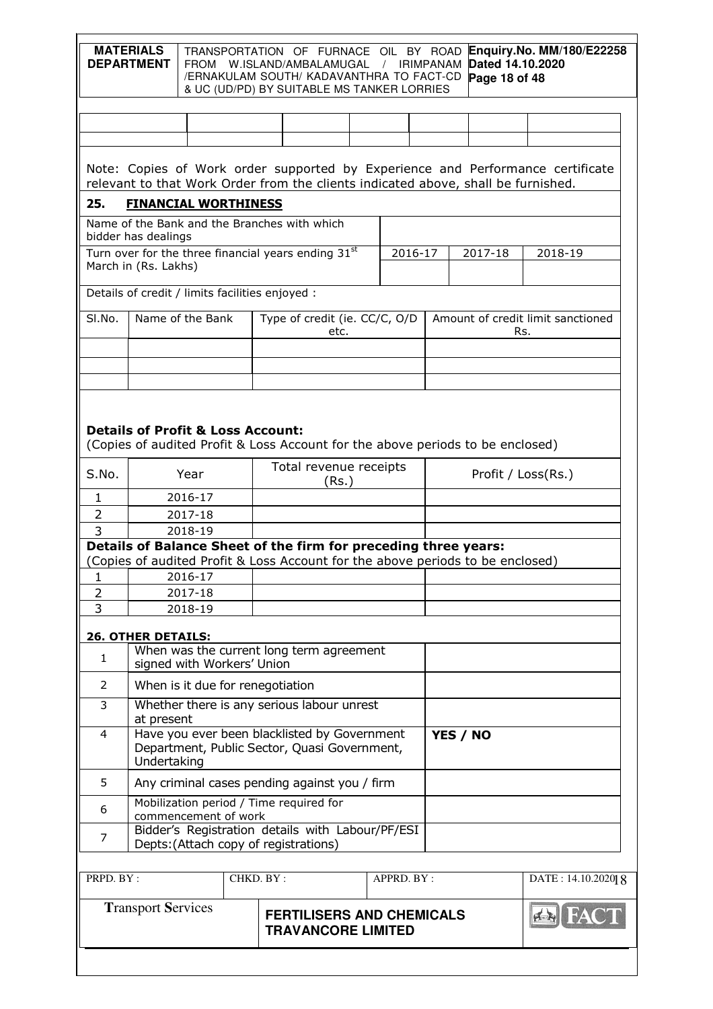|                                                                                                                                                                                                           | <b>MATERIALS</b><br><b>DEPARTMENT</b>                                                                                          |                    |  |           | TRANSPORTATION OF FURNACE OIL BY ROAD<br>FROM W.ISLAND/AMBALAMUGAL<br>/ERNAKULAM SOUTH/ KADAVANTHRA TO FACT-CD<br>& UC (UD/PD) BY SUITABLE MS TANKER LORRIES |       |  | / IRIMPANAM |  |  |  | Dated 14.10.2020<br>Page 18 of 48 |     | Enquiry.No. MM/180/E22258         |  |  |
|-----------------------------------------------------------------------------------------------------------------------------------------------------------------------------------------------------------|--------------------------------------------------------------------------------------------------------------------------------|--------------------|--|-----------|--------------------------------------------------------------------------------------------------------------------------------------------------------------|-------|--|-------------|--|--|--|-----------------------------------|-----|-----------------------------------|--|--|
|                                                                                                                                                                                                           |                                                                                                                                |                    |  |           |                                                                                                                                                              |       |  |             |  |  |  |                                   |     |                                   |  |  |
|                                                                                                                                                                                                           |                                                                                                                                |                    |  |           |                                                                                                                                                              |       |  |             |  |  |  |                                   |     |                                   |  |  |
| Note: Copies of Work order supported by Experience and Performance certificate<br>relevant to that Work Order from the clients indicated above, shall be furnished.<br>25.<br><b>FINANCIAL WORTHINESS</b> |                                                                                                                                |                    |  |           |                                                                                                                                                              |       |  |             |  |  |  |                                   |     |                                   |  |  |
|                                                                                                                                                                                                           | Name of the Bank and the Branches with which                                                                                   |                    |  |           |                                                                                                                                                              |       |  |             |  |  |  |                                   |     |                                   |  |  |
|                                                                                                                                                                                                           | bidder has dealings<br>Turn over for the three financial years ending 31st<br>March in (Rs. Lakhs)                             |                    |  |           |                                                                                                                                                              |       |  | 2016-17     |  |  |  | 2017-18                           |     | 2018-19                           |  |  |
|                                                                                                                                                                                                           | Details of credit / limits facilities enjoyed :                                                                                |                    |  |           |                                                                                                                                                              |       |  |             |  |  |  |                                   |     |                                   |  |  |
| SI.No.                                                                                                                                                                                                    | Name of the Bank                                                                                                               |                    |  |           | Type of credit (ie. CC/C, O/D                                                                                                                                | etc.  |  |             |  |  |  |                                   | Rs. | Amount of credit limit sanctioned |  |  |
|                                                                                                                                                                                                           |                                                                                                                                |                    |  |           |                                                                                                                                                              |       |  |             |  |  |  |                                   |     |                                   |  |  |
|                                                                                                                                                                                                           |                                                                                                                                |                    |  |           |                                                                                                                                                              |       |  |             |  |  |  |                                   |     |                                   |  |  |
| S.No.                                                                                                                                                                                                     | <b>Details of Profit &amp; Loss Account:</b><br>(Copies of audited Profit & Loss Account for the above periods to be enclosed) | Year               |  |           | Total revenue receipts                                                                                                                                       |       |  |             |  |  |  | Profit / Loss(Rs.)                |     |                                   |  |  |
| 1                                                                                                                                                                                                         |                                                                                                                                | 2016-17            |  |           |                                                                                                                                                              | (Rs.) |  |             |  |  |  |                                   |     |                                   |  |  |
| $\overline{2}$                                                                                                                                                                                            |                                                                                                                                | 2017-18            |  |           |                                                                                                                                                              |       |  |             |  |  |  |                                   |     |                                   |  |  |
| 3                                                                                                                                                                                                         |                                                                                                                                | 2018-19            |  |           |                                                                                                                                                              |       |  |             |  |  |  |                                   |     |                                   |  |  |
|                                                                                                                                                                                                           | Details of Balance Sheet of the firm for preceding three years:                                                                |                    |  |           |                                                                                                                                                              |       |  |             |  |  |  |                                   |     |                                   |  |  |
|                                                                                                                                                                                                           | (Copies of audited Profit & Loss Account for the above periods to be enclosed)                                                 |                    |  |           |                                                                                                                                                              |       |  |             |  |  |  |                                   |     |                                   |  |  |
| ı<br>$\overline{2}$                                                                                                                                                                                       |                                                                                                                                | 2016-17<br>2017-18 |  |           |                                                                                                                                                              |       |  |             |  |  |  |                                   |     |                                   |  |  |
| 3                                                                                                                                                                                                         |                                                                                                                                | 2018-19            |  |           |                                                                                                                                                              |       |  |             |  |  |  |                                   |     |                                   |  |  |
|                                                                                                                                                                                                           |                                                                                                                                |                    |  |           |                                                                                                                                                              |       |  |             |  |  |  |                                   |     |                                   |  |  |
| $\mathbf{1}$                                                                                                                                                                                              | <b>26. OTHER DETAILS:</b><br>signed with Workers' Union                                                                        |                    |  |           | When was the current long term agreement                                                                                                                     |       |  |             |  |  |  |                                   |     |                                   |  |  |
| $\overline{2}$                                                                                                                                                                                            | When is it due for renegotiation                                                                                               |                    |  |           |                                                                                                                                                              |       |  |             |  |  |  |                                   |     |                                   |  |  |
| 3                                                                                                                                                                                                         | at present                                                                                                                     |                    |  |           | Whether there is any serious labour unrest                                                                                                                   |       |  |             |  |  |  |                                   |     |                                   |  |  |
| 4                                                                                                                                                                                                         | Have you ever been blacklisted by Government<br>YES / NO<br>Department, Public Sector, Quasi Government,<br>Undertaking        |                    |  |           |                                                                                                                                                              |       |  |             |  |  |  |                                   |     |                                   |  |  |
| 5                                                                                                                                                                                                         |                                                                                                                                |                    |  |           | Any criminal cases pending against you / firm                                                                                                                |       |  |             |  |  |  |                                   |     |                                   |  |  |
| 6                                                                                                                                                                                                         | Mobilization period / Time required for<br>commencement of work                                                                |                    |  |           |                                                                                                                                                              |       |  |             |  |  |  |                                   |     |                                   |  |  |
| 7                                                                                                                                                                                                         |                                                                                                                                |                    |  |           | Bidder's Registration details with Labour/PF/ESI<br>Depts: (Attach copy of registrations)                                                                    |       |  |             |  |  |  |                                   |     |                                   |  |  |
| PRPD. BY:                                                                                                                                                                                                 |                                                                                                                                |                    |  | CHKD. BY: |                                                                                                                                                              |       |  | APPRD. BY:  |  |  |  |                                   |     | DATE: 14.10.202018                |  |  |
|                                                                                                                                                                                                           | <b>Transport Services</b>                                                                                                      |                    |  |           | <b>FERTILISERS AND CHEMICALS</b><br><b>TRAVANCORE LIMITED</b>                                                                                                |       |  |             |  |  |  |                                   |     | <b>ER FAC</b>                     |  |  |
|                                                                                                                                                                                                           |                                                                                                                                |                    |  |           |                                                                                                                                                              |       |  |             |  |  |  |                                   |     |                                   |  |  |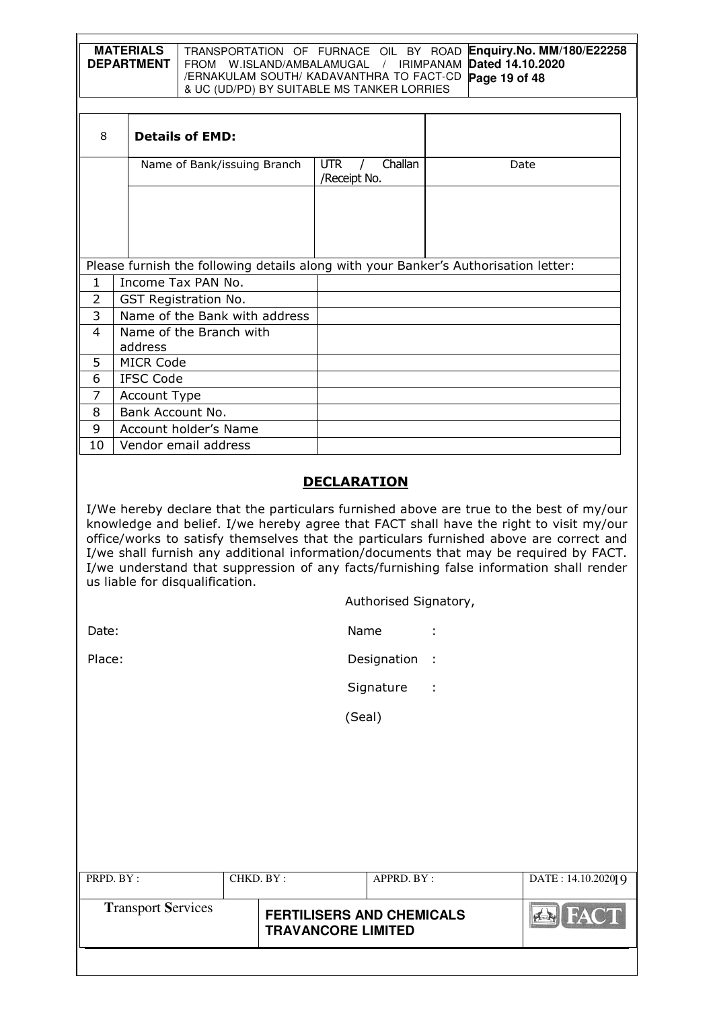| <b>MATERIALS</b> | TRANSPORTATION OF FURNACE OIL BY ROAD Enquiry. No. MM/180/E22258           |
|------------------|----------------------------------------------------------------------------|
|                  | <b>DEPARTMENT</b>   FROM W.ISLAND/AMBALAMUGAL / IRIMPANAM Dated 14.10.2020 |
|                  | /ERNAKULAM SOUTH/ KADAVANTHRA TO FACT-CD Page 19 of 48                     |
|                  | & UC (UD/PD) BY SUITABLE MS TANKER LORRIES                                 |

| 8            | <b>Details of EMD:</b>                                                              |                                 |      |  |  |  |  |  |  |  |  |
|--------------|-------------------------------------------------------------------------------------|---------------------------------|------|--|--|--|--|--|--|--|--|
|              | Name of Bank/issuing Branch                                                         | Challan<br>UTR.<br>/Receipt No. | Date |  |  |  |  |  |  |  |  |
|              |                                                                                     |                                 |      |  |  |  |  |  |  |  |  |
|              |                                                                                     |                                 |      |  |  |  |  |  |  |  |  |
|              |                                                                                     |                                 |      |  |  |  |  |  |  |  |  |
|              | Please furnish the following details along with your Banker's Authorisation letter: |                                 |      |  |  |  |  |  |  |  |  |
| $\mathbf{1}$ | Income Tax PAN No.                                                                  |                                 |      |  |  |  |  |  |  |  |  |
| 2            | <b>GST Registration No.</b>                                                         |                                 |      |  |  |  |  |  |  |  |  |
| 3            | Name of the Bank with address                                                       |                                 |      |  |  |  |  |  |  |  |  |
| 4            | Name of the Branch with                                                             |                                 |      |  |  |  |  |  |  |  |  |
|              | address                                                                             |                                 |      |  |  |  |  |  |  |  |  |
| 5.           | <b>MICR Code</b>                                                                    |                                 |      |  |  |  |  |  |  |  |  |
| 6            | <b>IFSC Code</b>                                                                    |                                 |      |  |  |  |  |  |  |  |  |
| 7            | <b>Account Type</b>                                                                 |                                 |      |  |  |  |  |  |  |  |  |
| 8            | Bank Account No.                                                                    |                                 |      |  |  |  |  |  |  |  |  |
| 9            | Account holder's Name                                                               |                                 |      |  |  |  |  |  |  |  |  |
| 10           | Vendor email address                                                                |                                 |      |  |  |  |  |  |  |  |  |

# **DECLARATION**

I/We hereby declare that the particulars furnished above are true to the best of my/our knowledge and belief. I/we hereby agree that FACT shall have the right to visit my/our office/works to satisfy themselves that the particulars furnished above are correct and I/we shall furnish any additional information/documents that may be required by FACT. I/we understand that suppression of any facts/furnishing false information shall render us liable for disqualification.

| Authorised Signatory, |  |
|-----------------------|--|

| Date: | Name |  |
|-------|------|--|
|       |      |  |

Place: Place: Place: Place: Place: Place: Place: Place: Place: Place: Place: Place: Place: Place: Place: Place: Place: Place: Place: Place: Place: Place: Place: Place: Place: Place: Place: Place: Place: Place: Place: Place

Signature :

(Seal)

| PRPD. BY:                 | CHKD. BY : |                                                               | APPRD. BY: | DATE: 14.10.202019       |
|---------------------------|------------|---------------------------------------------------------------|------------|--------------------------|
| <b>Transport Services</b> |            | <b>FERTILISERS AND CHEMICALS</b><br><b>TRAVANCORE LIMITED</b> |            | <b>FACT</b><br>$ A - A $ |
|                           |            |                                                               |            |                          |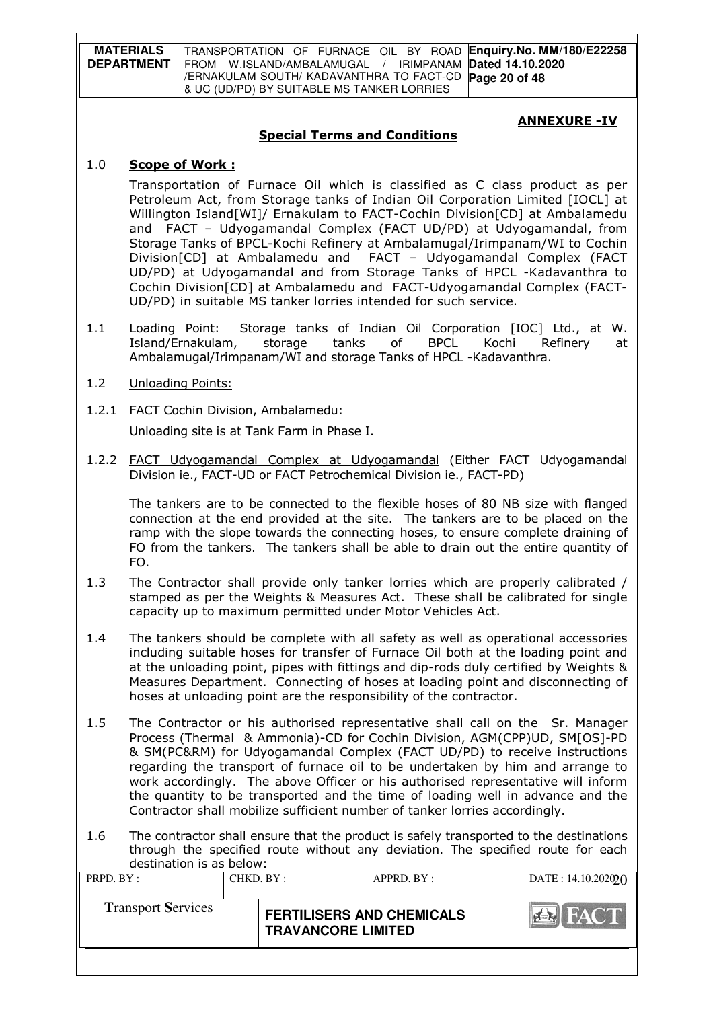| <b>MATERIALS</b>  | TRANSPORTATION OF FURNACE OIL BY ROAD Enquiry. No. MM/180/E22258 |
|-------------------|------------------------------------------------------------------|
| <b>DEPARTMENT</b> | FROM W.ISLAND/AMBALAMUGAL / IRIMPANAM Dated 14.10.2020           |
|                   | /ERNAKULAM SOUTH/ KADAVANTHRA TO FACT-CD Page 20 of 48           |
|                   | & UC (UD/PD) BY SUITABLE MS TANKER LORRIES                       |

#### ANNEXURE -IV

### Special Terms and Conditions

#### 1.0 Scope of Work :

Transportation of Furnace Oil which is classified as C class product as per Petroleum Act, from Storage tanks of Indian Oil Corporation Limited [IOCL] at Willington Island[WI]/ Ernakulam to FACT-Cochin Division[CD] at Ambalamedu and FACT – Udyogamandal Complex (FACT UD/PD) at Udyogamandal, from Storage Tanks of BPCL-Kochi Refinery at Ambalamugal/Irimpanam/WI to Cochin Division[CD] at Ambalamedu and FACT – Udyogamandal Complex (FACT UD/PD) at Udyogamandal and from Storage Tanks of HPCL -Kadavanthra to Cochin Division[CD] at Ambalamedu and FACT-Udyogamandal Complex (FACT-UD/PD) in suitable MS tanker lorries intended for such service.

- 1.1 Loading Point: Storage tanks of Indian Oil Corporation [IOC] Ltd., at W. Island/Ernakulam, storage tanks of BPCL Kochi Refinery at Ambalamugal/Irimpanam/WI and storage Tanks of HPCL -Kadavanthra.
- 1.2 Unloading Points:
- 1.2.1 FACT Cochin Division, Ambalamedu: Unloading site is at Tank Farm in Phase I.
- 1.2.2 FACT Udyogamandal Complex at Udyogamandal (Either FACT Udyogamandal Division ie., FACT-UD or FACT Petrochemical Division ie., FACT-PD)

The tankers are to be connected to the flexible hoses of 80 NB size with flanged connection at the end provided at the site. The tankers are to be placed on the ramp with the slope towards the connecting hoses, to ensure complete draining of FO from the tankers. The tankers shall be able to drain out the entire quantity of FO.

- 1.3 The Contractor shall provide only tanker lorries which are properly calibrated / stamped as per the Weights & Measures Act. These shall be calibrated for single capacity up to maximum permitted under Motor Vehicles Act.
- 1.4 The tankers should be complete with all safety as well as operational accessories including suitable hoses for transfer of Furnace Oil both at the loading point and at the unloading point, pipes with fittings and dip-rods duly certified by Weights & Measures Department. Connecting of hoses at loading point and disconnecting of hoses at unloading point are the responsibility of the contractor.
- 1.5 The Contractor or his authorised representative shall call on the Sr. Manager Process (Thermal & Ammonia)-CD for Cochin Division, AGM(CPP)UD, SM[OS]-PD & SM(PC&RM) for Udyogamandal Complex (FACT UD/PD) to receive instructions regarding the transport of furnace oil to be undertaken by him and arrange to work accordingly. The above Officer or his authorised representative will inform the quantity to be transported and the time of loading well in advance and the Contractor shall mobilize sufficient number of tanker lorries accordingly.
- 1.6 The contractor shall ensure that the product is safely transported to the destinations through the specified route without any deviation. The specified route for each destination is as below:

| PRPD. BY:                 | CHKD. BY: |                                                               | APPRD. BY: | DATA: 14.10.202020 |
|---------------------------|-----------|---------------------------------------------------------------|------------|--------------------|
| <b>Transport Services</b> |           | <b>FERTILISERS AND CHEMICALS</b><br><b>TRAVANCORE LIMITED</b> |            | <b>FACT</b><br> AB |
|                           |           |                                                               |            |                    |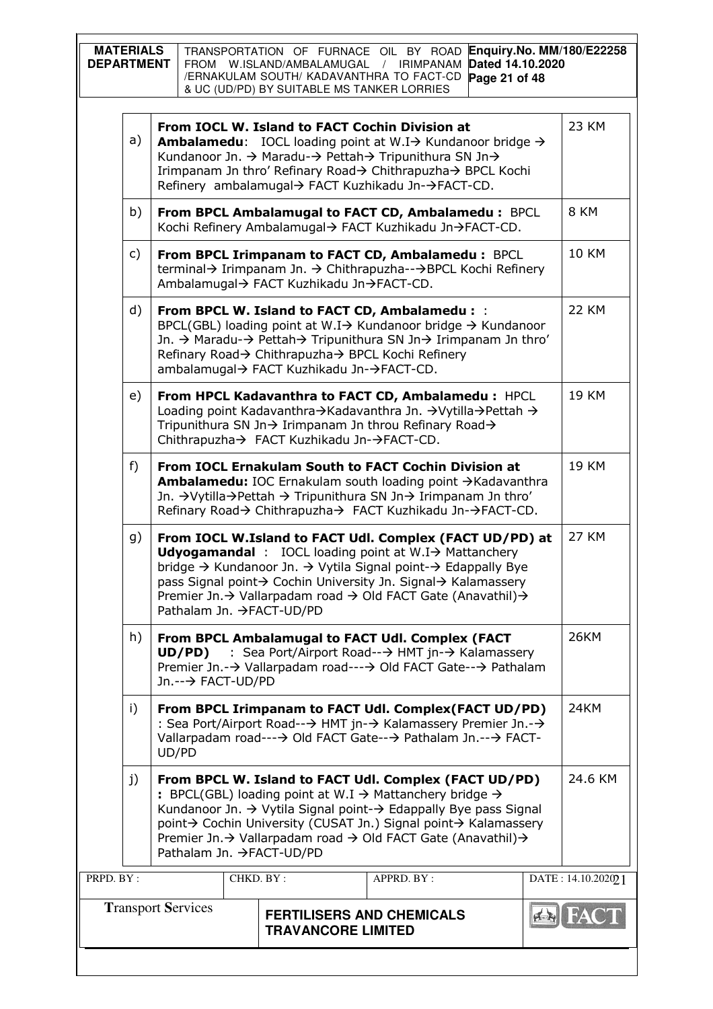|           | Enquiry.No. MM/180/E22258<br><b>MATERIALS</b><br>TRANSPORTATION OF FURNACE OIL BY ROAD<br><b>DEPARTMENT</b><br>Dated 14.10.2020<br>FROM W.ISLAND/AMBALAMUGAL / IRIMPANAM<br>/ERNAKULAM SOUTH/ KADAVANTHRA TO FACT-CD<br>Page 21 of 48<br>& UC (UD/PD) BY SUITABLE MS TANKER LORRIES                                                                                                        |                                                                                                                                                                                                                                                                                                                                                                  |                                                                                                                                                                                                                                                                    |           |                                                                                              |                                                                                                                                                                                 |  |                    |  |
|-----------|--------------------------------------------------------------------------------------------------------------------------------------------------------------------------------------------------------------------------------------------------------------------------------------------------------------------------------------------------------------------------------------------|------------------------------------------------------------------------------------------------------------------------------------------------------------------------------------------------------------------------------------------------------------------------------------------------------------------------------------------------------------------|--------------------------------------------------------------------------------------------------------------------------------------------------------------------------------------------------------------------------------------------------------------------|-----------|----------------------------------------------------------------------------------------------|---------------------------------------------------------------------------------------------------------------------------------------------------------------------------------|--|--------------------|--|
|           | a)                                                                                                                                                                                                                                                                                                                                                                                         | From IOCL W. Island to FACT Cochin Division at<br><b>Ambalamedu:</b> IOCL loading point at W.I $\rightarrow$ Kundanoor bridge $\rightarrow$<br>Kundanoor Jn. → Maradu-→ Pettah→ Tripunithura SN Jn→<br>Irimpanam Jn thro' Refinary Road→ Chithrapuzha→ BPCL Kochi<br>Refinery ambalamugal→ FACT Kuzhikadu Jn-→FACT-CD.                                           |                                                                                                                                                                                                                                                                    |           |                                                                                              |                                                                                                                                                                                 |  |                    |  |
|           | b)                                                                                                                                                                                                                                                                                                                                                                                         |                                                                                                                                                                                                                                                                                                                                                                  |                                                                                                                                                                                                                                                                    |           |                                                                                              | From BPCL Ambalamugal to FACT CD, Ambalamedu : BPCL<br>Kochi Refinery Ambalamugal→ FACT Kuzhikadu Jn→FACT-CD.                                                                   |  | 8 KM               |  |
|           | c)                                                                                                                                                                                                                                                                                                                                                                                         |                                                                                                                                                                                                                                                                                                                                                                  |                                                                                                                                                                                                                                                                    |           | Ambalamugal→ FACT Kuzhikadu Jn→FACT-CD.                                                      | From BPCL Irimpanam to FACT CD, Ambalamedu : BPCL<br>terminal→ Irimpanam Jn. → Chithrapuzha--→BPCL Kochi Refinery                                                               |  | <b>10 KM</b>       |  |
|           | d)                                                                                                                                                                                                                                                                                                                                                                                         |                                                                                                                                                                                                                                                                                                                                                                  |                                                                                                                                                                                                                                                                    |           | Refinary Road→ Chithrapuzha→ BPCL Kochi Refinery<br>ambalamugal→ FACT Kuzhikadu Jn-→FACT-CD. | From BPCL W. Island to FACT CD, Ambalamedu : :<br>BPCL(GBL) loading point at W.I→ Kundanoor bridge → Kundanoor<br>Jn. → Maradu-→ Pettah→ Tripunithura SN Jn→ Irimpanam Jn thro' |  | <b>22 KM</b>       |  |
|           | e)                                                                                                                                                                                                                                                                                                                                                                                         |                                                                                                                                                                                                                                                                                                                                                                  | <b>19 KM</b><br>From HPCL Kadavanthra to FACT CD, Ambalamedu : HPCL<br>Loading point Kadavanthra→Kadavanthra Jn. →Vytilla→Pettah →<br>Tripunithura SN Jn $\rightarrow$ Irimpanam Jn throu Refinary Road $\rightarrow$<br>Chithrapuzha→ FACT Kuzhikadu Jn-→FACT-CD. |           |                                                                                              |                                                                                                                                                                                 |  |                    |  |
|           | f)                                                                                                                                                                                                                                                                                                                                                                                         | <b>19 KM</b><br>From IOCL Ernakulam South to FACT Cochin Division at<br>Ambalamedu: IOC Ernakulam south loading point →Kadavanthra<br>Jn. → Vytilla → Pettah → Tripunithura SN Jn → Irimpanam Jn thro'<br>Refinary Road→ Chithrapuzha→ FACT Kuzhikadu Jn-→FACT-CD.                                                                                               |                                                                                                                                                                                                                                                                    |           |                                                                                              |                                                                                                                                                                                 |  |                    |  |
|           | g)                                                                                                                                                                                                                                                                                                                                                                                         | From IOCL W.Island to FACT Udl. Complex (FACT UD/PD) at<br><b>Udyogamandal</b> : IOCL loading point at $W.I \rightarrow$ Mattanchery<br>bridge → Kundanoor Jn. → Vytila Signal point-→ Edappally Bye<br>pass Signal point→ Cochin University Jn. Signal→ Kalamassery<br>Premier Jn. → Vallarpadam road → Old FACT Gate (Anavathil) →<br>Pathalam Jn. →FACT-UD/PD |                                                                                                                                                                                                                                                                    |           |                                                                                              |                                                                                                                                                                                 |  | <b>27 KM</b>       |  |
|           | h)                                                                                                                                                                                                                                                                                                                                                                                         | 26KM<br>From BPCL Ambalamugal to FACT Udl. Complex (FACT<br>: Sea Port/Airport Road--→ HMT jn-→ Kalamassery<br>UD/PD)<br>Premier Jn.-→ Vallarpadam road---→ Old FACT Gate--→ Pathalam<br>Jn.--→ FACT-UD/PD                                                                                                                                                       |                                                                                                                                                                                                                                                                    |           |                                                                                              |                                                                                                                                                                                 |  |                    |  |
|           | 24KM<br>i)<br>From BPCL Irimpanam to FACT Udl. Complex(FACT UD/PD)<br>: Sea Port/Airport Road--→ HMT jn-→ Kalamassery Premier Jn.-→<br>Vallarpadam road---→ Old FACT Gate--→ Pathalam Jn.--→ FACT-<br>UD/PD                                                                                                                                                                                |                                                                                                                                                                                                                                                                                                                                                                  |                                                                                                                                                                                                                                                                    |           |                                                                                              |                                                                                                                                                                                 |  |                    |  |
|           | 24.6 KM<br>j)<br>From BPCL W. Island to FACT Udl. Complex (FACT UD/PD)<br>: BPCL(GBL) loading point at W.I $\rightarrow$ Mattanchery bridge $\rightarrow$<br>Kundanoor Jn. → Vytila Signal point-→ Edappally Bye pass Signal<br>point→ Cochin University (CUSAT Jn.) Signal point→ Kalamassery<br>Premier Jn. → Vallarpadam road → Old FACT Gate (Anavathil) →<br>Pathalam Jn. →FACT-UD/PD |                                                                                                                                                                                                                                                                                                                                                                  |                                                                                                                                                                                                                                                                    |           |                                                                                              |                                                                                                                                                                                 |  |                    |  |
| PRPD. BY: |                                                                                                                                                                                                                                                                                                                                                                                            |                                                                                                                                                                                                                                                                                                                                                                  |                                                                                                                                                                                                                                                                    | CHKD. BY: |                                                                                              | APPRD. BY:                                                                                                                                                                      |  | DATE: 14.10.202021 |  |
|           |                                                                                                                                                                                                                                                                                                                                                                                            |                                                                                                                                                                                                                                                                                                                                                                  | <b>Transport Services</b>                                                                                                                                                                                                                                          |           | <b>TRAVANCORE LIMITED</b>                                                                    | <b>FERTILISERS AND CHEMICALS</b>                                                                                                                                                |  |                    |  |
|           |                                                                                                                                                                                                                                                                                                                                                                                            |                                                                                                                                                                                                                                                                                                                                                                  |                                                                                                                                                                                                                                                                    |           |                                                                                              |                                                                                                                                                                                 |  |                    |  |

 $\mathsf{l}$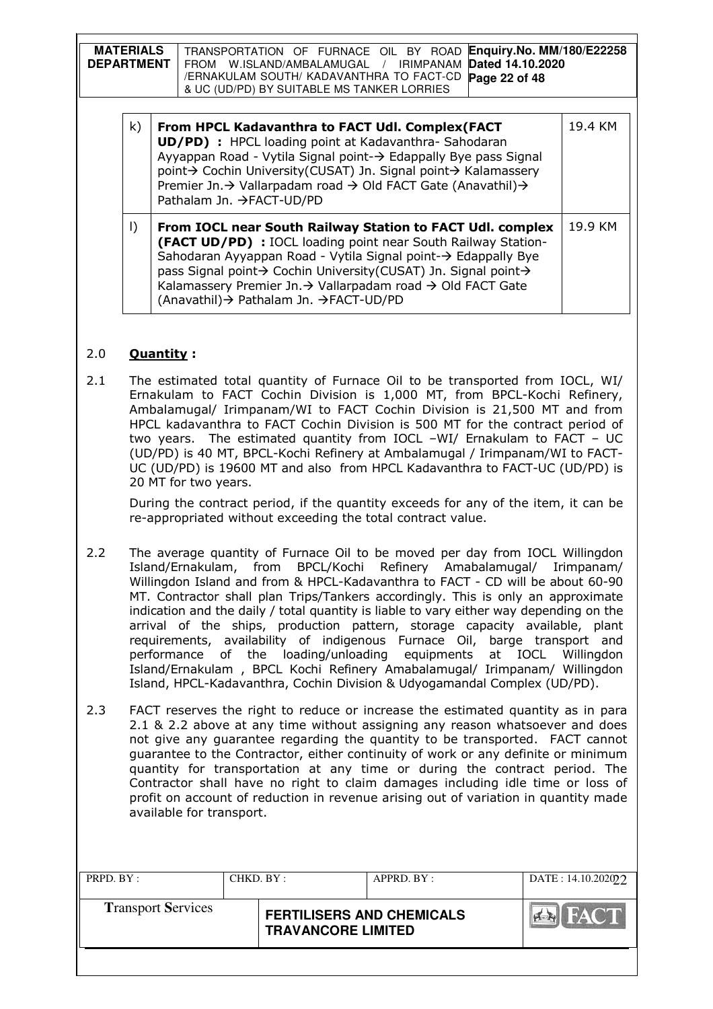| <b>MATERIALS</b><br><b>DEPARTMENT</b> |         | Enquiry.No. MM/180/E22258<br>TRANSPORTATION OF FURNACE OIL BY ROAD<br>Dated 14.10.2020<br>W.ISLAND/AMBALAMUGAL / IRIMPANAM<br>FROM<br>/ERNAKULAM SOUTH/ KADAVANTHRA TO FACT-CD<br>Page 22 of 48<br>& UC (UD/PD) BY SUITABLE MS TANKER LORRIES                                                                                                                        |         |
|---------------------------------------|---------|----------------------------------------------------------------------------------------------------------------------------------------------------------------------------------------------------------------------------------------------------------------------------------------------------------------------------------------------------------------------|---------|
|                                       | k)      | From HPCL Kadavanthra to FACT Udl. Complex (FACT<br>UD/PD) : HPCL loading point at Kadavanthra-Sahodaran<br>Ayyappan Road - Vytila Signal point-→ Edappally Bye pass Signal<br>point→ Cochin University(CUSAT) Jn. Signal point→ Kalamassery<br>Premier Jn. → Vallarpadam road → Old FACT Gate (Anavathil) →<br>Pathalam Jn. →FACT-UD/PD                             | 19.4 KM |
|                                       | $\vert$ | From IOCL near South Railway Station to FACT Udl. complex<br>(FACT UD/PD) : IOCL loading point near South Railway Station-<br>Sahodaran Ayyappan Road - Vytila Signal point-→ Edappally Bye<br>pass Signal point→ Cochin University(CUSAT) Jn. Signal point→<br>Kalamassery Premier Jn.→ Vallarpadam road → Old FACT Gate<br>(Anavathil) → Pathalam Jn. → FACT-UD/PD | 19.9 KM |

# 2.0 Quantity :

2.1 The estimated total quantity of Furnace Oil to be transported from IOCL, WI/ Ernakulam to FACT Cochin Division is 1,000 MT, from BPCL-Kochi Refinery, Ambalamugal/ Irimpanam/WI to FACT Cochin Division is 21,500 MT and from HPCL kadavanthra to FACT Cochin Division is 500 MT for the contract period of two years. The estimated quantity from IOCL –WI/ Ernakulam to FACT – UC (UD/PD) is 40 MT, BPCL-Kochi Refinery at Ambalamugal / Irimpanam/WI to FACT-UC (UD/PD) is 19600 MT and also from HPCL Kadavanthra to FACT-UC (UD/PD) is 20 MT for two years.

During the contract period, if the quantity exceeds for any of the item, it can be re-appropriated without exceeding the total contract value.

- 2.2 The average quantity of Furnace Oil to be moved per day from IOCL Willingdon Island/Ernakulam, from BPCL/Kochi Refinery Amabalamugal/ Irimpanam/ Willingdon Island and from & HPCL-Kadavanthra to FACT - CD will be about 60-90 MT. Contractor shall plan Trips/Tankers accordingly. This is only an approximate indication and the daily / total quantity is liable to vary either way depending on the arrival of the ships, production pattern, storage capacity available, plant requirements, availability of indigenous Furnace Oil, barge transport and performance of the loading/unloading equipments at IOCL Willingdon Island/Ernakulam , BPCL Kochi Refinery Amabalamugal/ Irimpanam/ Willingdon Island, HPCL-Kadavanthra, Cochin Division & Udyogamandal Complex (UD/PD).
- 2.3 FACT reserves the right to reduce or increase the estimated quantity as in para 2.1 & 2.2 above at any time without assigning any reason whatsoever and does not give any guarantee regarding the quantity to be transported. FACT cannot guarantee to the Contractor, either continuity of work or any definite or minimum quantity for transportation at any time or during the contract period. The Contractor shall have no right to claim damages including idle time or loss of profit on account of reduction in revenue arising out of variation in quantity made available for transport.

| PRPD. BY:                 | CHKD. BY: |                                                               | APPRD. BY: | DATA: 14.10.202022 |
|---------------------------|-----------|---------------------------------------------------------------|------------|--------------------|
| <b>Transport Services</b> |           | <b>FERTILISERS AND CHEMICALS</b><br><b>TRAVANCORE LIMITED</b> |            | <b>HACT</b>        |
|                           |           |                                                               |            |                    |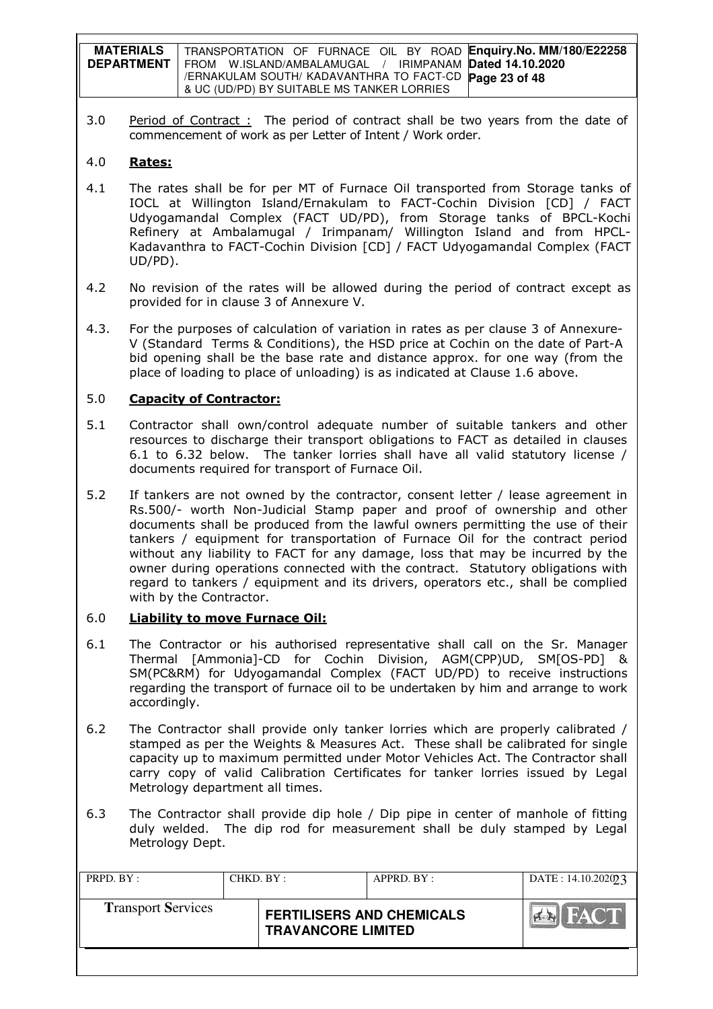| <b>MATERIALS</b>  | TRANSPORTATION OF FURNACE OIL BY ROAD Enquiry. No. MM/180/E22258 |
|-------------------|------------------------------------------------------------------|
| <b>DEPARTMENT</b> | FROM W.ISLAND/AMBALAMUGAL / IRIMPANAM Dated 14.10.2020           |
|                   | /ERNAKULAM SOUTH/ KADAVANTHRA TO FACT-CD Page 23 of 48           |
|                   | & UC (UD/PD) BY SUITABLE MS TANKER LORRIES                       |

3.0 Period of Contract : The period of contract shall be two years from the date of commencement of work as per Letter of Intent / Work order.

## 4.0 Rates:

- 4.1 The rates shall be for per MT of Furnace Oil transported from Storage tanks of IOCL at Willington Island/Ernakulam to FACT-Cochin Division [CD] / FACT Udyogamandal Complex (FACT UD/PD), from Storage tanks of BPCL-Kochi Refinery at Ambalamugal / Irimpanam/ Willington Island and from HPCL-Kadavanthra to FACT-Cochin Division [CD] / FACT Udyogamandal Complex (FACT UD/PD).
- 4.2 No revision of the rates will be allowed during the period of contract except as provided for in clause 3 of Annexure V.
- 4.3. For the purposes of calculation of variation in rates as per clause 3 of Annexure-V (Standard Terms & Conditions), the HSD price at Cochin on the date of Part-A bid opening shall be the base rate and distance approx. for one way (from the place of loading to place of unloading) is as indicated at Clause 1.6 above.

## 5.0 Capacity of Contractor:

- 5.1 Contractor shall own/control adequate number of suitable tankers and other resources to discharge their transport obligations to FACT as detailed in clauses 6.1 to 6.32 below. The tanker lorries shall have all valid statutory license / documents required for transport of Furnace Oil.
- 5.2 If tankers are not owned by the contractor, consent letter / lease agreement in Rs.500/- worth Non-Judicial Stamp paper and proof of ownership and other documents shall be produced from the lawful owners permitting the use of their tankers / equipment for transportation of Furnace Oil for the contract period without any liability to FACT for any damage, loss that may be incurred by the owner during operations connected with the contract. Statutory obligations with regard to tankers / equipment and its drivers, operators etc., shall be complied with by the Contractor.

### 6.0 Liability to move Furnace Oil:

- 6.1 The Contractor or his authorised representative shall call on the Sr. Manager Thermal [Ammonia]-CD for Cochin Division, AGM(CPP)UD, SM[OS-PD] & SM(PC&RM) for Udyogamandal Complex (FACT UD/PD) to receive instructions regarding the transport of furnace oil to be undertaken by him and arrange to work accordingly.
- 6.2 The Contractor shall provide only tanker lorries which are properly calibrated / stamped as per the Weights & Measures Act. These shall be calibrated for single capacity up to maximum permitted under Motor Vehicles Act. The Contractor shall carry copy of valid Calibration Certificates for tanker lorries issued by Legal Metrology department all times.
- 6.3 The Contractor shall provide dip hole / Dip pipe in center of manhole of fitting duly welded. The dip rod for measurement shall be duly stamped by Legal Metrology Dept.

| PRPD. BY:                 | CHKD. BY: |                                                               | APPRD. BY: | DATE: 14.10.202023         |
|---------------------------|-----------|---------------------------------------------------------------|------------|----------------------------|
| <b>Transport Services</b> |           | <b>FERTILISERS AND CHEMICALS</b><br><b>TRAVANCORE LIMITED</b> |            | <b>FACT</b><br>$O(\log N)$ |
|                           |           |                                                               |            |                            |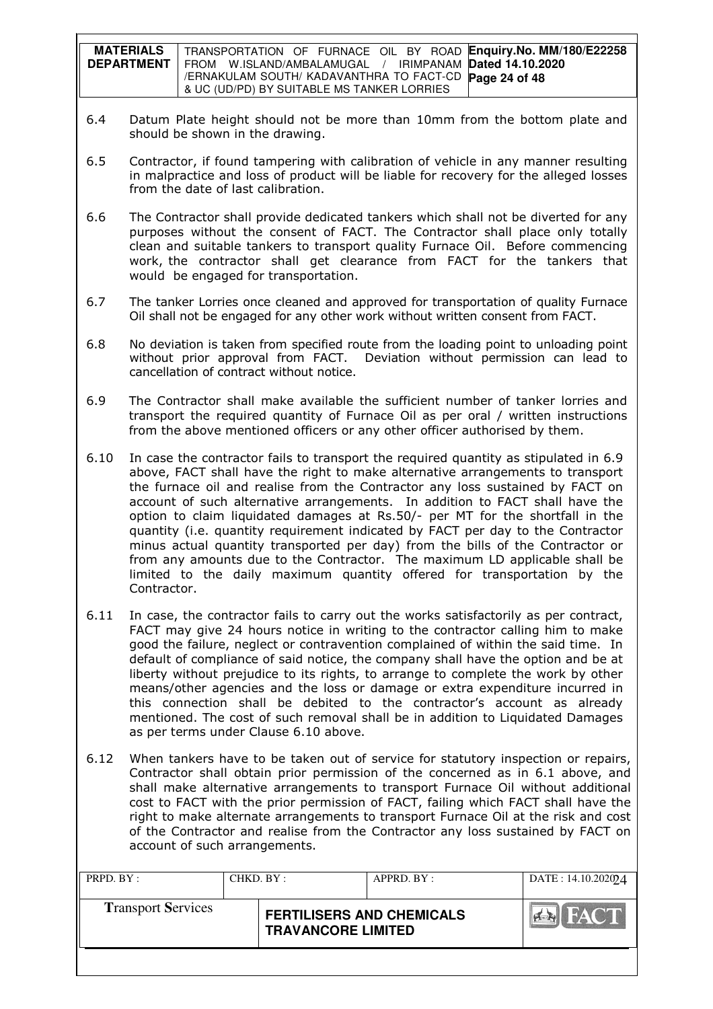| <b>MATERIALS</b>  | TRANSPORTATION OF FURNACE OIL BY ROAD Enquiry. No. MM/180/E22258 |
|-------------------|------------------------------------------------------------------|
| <b>DEPARTMENT</b> | FROM W.ISLAND/AMBALAMUGAL / IRIMPANAM Dated 14.10.2020           |
|                   | /ERNAKULAM SOUTH/ KADAVANTHRA TO FACT-CD Page 24 of 48           |
|                   | & UC (UD/PD) BY SUITABLE MS TANKER LORRIES                       |

- 6.4 Datum Plate height should not be more than 10mm from the bottom plate and should be shown in the drawing.
- 6.5 Contractor, if found tampering with calibration of vehicle in any manner resulting in malpractice and loss of product will be liable for recovery for the alleged losses from the date of last calibration.
- 6.6 The Contractor shall provide dedicated tankers which shall not be diverted for any purposes without the consent of FACT. The Contractor shall place only totally clean and suitable tankers to transport quality Furnace Oil. Before commencing work, the contractor shall get clearance from FACT for the tankers that would be engaged for transportation.
- 6.7 The tanker Lorries once cleaned and approved for transportation of quality Furnace Oil shall not be engaged for any other work without written consent from FACT.
- 6.8 No deviation is taken from specified route from the loading point to unloading point without prior approval from FACT. Deviation without permission can lead to cancellation of contract without notice.
- 6.9 The Contractor shall make available the sufficient number of tanker lorries and transport the required quantity of Furnace Oil as per oral / written instructions from the above mentioned officers or any other officer authorised by them.
- 6.10 In case the contractor fails to transport the required quantity as stipulated in 6.9 above, FACT shall have the right to make alternative arrangements to transport the furnace oil and realise from the Contractor any loss sustained by FACT on account of such alternative arrangements. In addition to FACT shall have the option to claim liquidated damages at Rs.50/- per MT for the shortfall in the quantity (i.e. quantity requirement indicated by FACT per day to the Contractor minus actual quantity transported per day) from the bills of the Contractor or from any amounts due to the Contractor. The maximum LD applicable shall be limited to the daily maximum quantity offered for transportation by the Contractor.
- 6.11 In case, the contractor fails to carry out the works satisfactorily as per contract, FACT may give 24 hours notice in writing to the contractor calling him to make good the failure, neglect or contravention complained of within the said time. In default of compliance of said notice, the company shall have the option and be at liberty without prejudice to its rights, to arrange to complete the work by other means/other agencies and the loss or damage or extra expenditure incurred in this connection shall be debited to the contractor's account as already mentioned. The cost of such removal shall be in addition to Liquidated Damages as per terms under Clause 6.10 above.
- 6.12 When tankers have to be taken out of service for statutory inspection or repairs, Contractor shall obtain prior permission of the concerned as in 6.1 above, and shall make alternative arrangements to transport Furnace Oil without additional cost to FACT with the prior permission of FACT, failing which FACT shall have the right to make alternate arrangements to transport Furnace Oil at the risk and cost of the Contractor and realise from the Contractor any loss sustained by FACT on account of such arrangements.

| PRPD. BY:                 | CHKD. BY : |                                                               | APPRD. BY: | DATE: 14.10.202024 |
|---------------------------|------------|---------------------------------------------------------------|------------|--------------------|
| <b>Transport Services</b> |            | <b>FERTILISERS AND CHEMICALS</b><br><b>TRAVANCORE LIMITED</b> |            | <b>EN FACT</b>     |
|                           |            |                                                               |            |                    |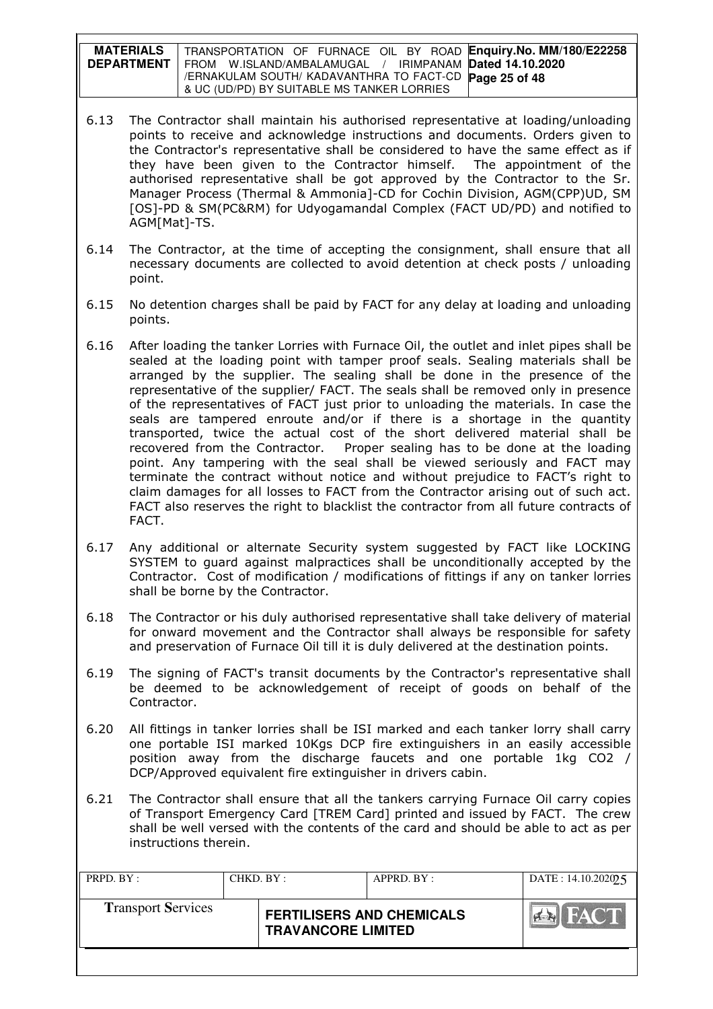**MATERIALS DEPARTMENT**  TRANSPORTATION OF FURNACE OIL BY ROAD **Enquiry.No. MM/180/E22258**  FROM W.ISLAND/AMBALAMUGAL / IRIMPANAM **Dated 14.10.2020**  /ERNAKULAM SOUTH/ KADAVANTHRA TO FACT-CD **Page 25 of 48** & UC (UD/PD) BY SUITABLE MS TANKER LORRIES

- 6.13 The Contractor shall maintain his authorised representative at loading/unloading points to receive and acknowledge instructions and documents. Orders given to the Contractor's representative shall be considered to have the same effect as if they have been given to the Contractor himself. The appointment of the authorised representative shall be got approved by the Contractor to the Sr. Manager Process (Thermal & Ammonia]-CD for Cochin Division, AGM(CPP)UD, SM [OS]-PD & SM(PC&RM) for Udyogamandal Complex (FACT UD/PD) and notified to AGM[Mat]-TS.
- 6.14 The Contractor, at the time of accepting the consignment, shall ensure that all necessary documents are collected to avoid detention at check posts / unloading point.
- 6.15 No detention charges shall be paid by FACT for any delay at loading and unloading points.
- 6.16 After loading the tanker Lorries with Furnace Oil, the outlet and inlet pipes shall be sealed at the loading point with tamper proof seals. Sealing materials shall be arranged by the supplier. The sealing shall be done in the presence of the representative of the supplier/ FACT. The seals shall be removed only in presence of the representatives of FACT just prior to unloading the materials. In case the seals are tampered enroute and/or if there is a shortage in the quantity transported, twice the actual cost of the short delivered material shall be recovered from the Contractor. Proper sealing has to be done at the loading point. Any tampering with the seal shall be viewed seriously and FACT may terminate the contract without notice and without prejudice to FACT's right to claim damages for all losses to FACT from the Contractor arising out of such act. FACT also reserves the right to blacklist the contractor from all future contracts of FACT.
- 6.17 Any additional or alternate Security system suggested by FACT like LOCKING SYSTEM to guard against malpractices shall be unconditionally accepted by the Contractor. Cost of modification / modifications of fittings if any on tanker lorries shall be borne by the Contractor.
- 6.18 The Contractor or his duly authorised representative shall take delivery of material for onward movement and the Contractor shall always be responsible for safety and preservation of Furnace Oil till it is duly delivered at the destination points.
- 6.19 The signing of FACT's transit documents by the Contractor's representative shall be deemed to be acknowledgement of receipt of goods on behalf of the Contractor.
- 6.20 All fittings in tanker lorries shall be ISI marked and each tanker lorry shall carry one portable ISI marked 10Kgs DCP fire extinguishers in an easily accessible position away from the discharge faucets and one portable 1kg CO2 / DCP/Approved equivalent fire extinguisher in drivers cabin.
- 6.21 The Contractor shall ensure that all the tankers carrying Furnace Oil carry copies of Transport Emergency Card [TREM Card] printed and issued by FACT. The crew shall be well versed with the contents of the card and should be able to act as per instructions therein.

| PRPD. BY:                 | CHKD. BY : |                                                               | APPRD. BY: | DATE: 14.10.202025 |
|---------------------------|------------|---------------------------------------------------------------|------------|--------------------|
| <b>Transport Services</b> |            | <b>FERTILISERS AND CHEMICALS</b><br><b>TRAVANCORE LIMITED</b> |            | FACT               |
|                           |            |                                                               |            |                    |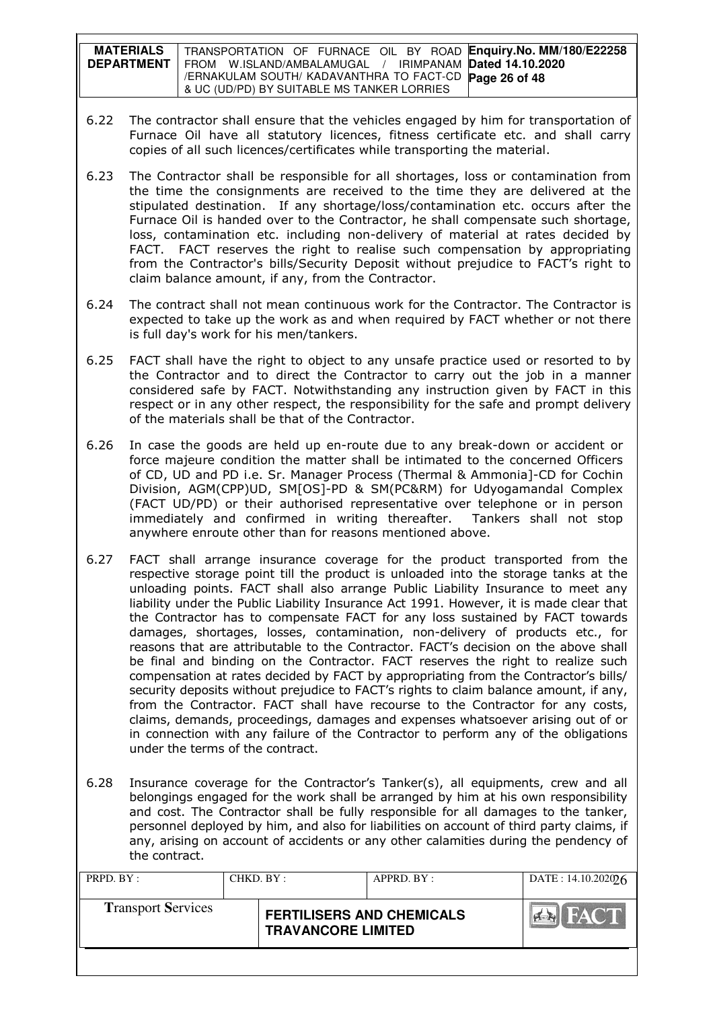**MATERIALS DEPARTMENT**  TRANSPORTATION OF FURNACE OIL BY ROAD **Enquiry.No. MM/180/E22258**  FROM W.ISLAND/AMBALAMUGAL / IRIMPANAM **Dated 14.10.2020**  /ERNAKULAM SOUTH/ KADAVANTHRA TO FACT-CD **Page 26 of 48** & UC (UD/PD) BY SUITABLE MS TANKER LORRIES

- 6.22 The contractor shall ensure that the vehicles engaged by him for transportation of Furnace Oil have all statutory licences, fitness certificate etc. and shall carry copies of all such licences/certificates while transporting the material.
- 6.23 The Contractor shall be responsible for all shortages, loss or contamination from the time the consignments are received to the time they are delivered at the stipulated destination. If any shortage/loss/contamination etc. occurs after the Furnace Oil is handed over to the Contractor, he shall compensate such shortage, loss, contamination etc. including non-delivery of material at rates decided by FACT. FACT reserves the right to realise such compensation by appropriating from the Contractor's bills/Security Deposit without prejudice to FACT's right to claim balance amount, if any, from the Contractor.
- 6.24 The contract shall not mean continuous work for the Contractor. The Contractor is expected to take up the work as and when required by FACT whether or not there is full day's work for his men/tankers.
- 6.25 FACT shall have the right to object to any unsafe practice used or resorted to by the Contractor and to direct the Contractor to carry out the job in a manner considered safe by FACT. Notwithstanding any instruction given by FACT in this respect or in any other respect, the responsibility for the safe and prompt delivery of the materials shall be that of the Contractor.
- 6.26 In case the goods are held up en-route due to any break-down or accident or force majeure condition the matter shall be intimated to the concerned Officers of CD, UD and PD i.e. Sr. Manager Process (Thermal & Ammonia]-CD for Cochin Division, AGM(CPP)UD, SM[OS]-PD & SM(PC&RM) for Udyogamandal Complex (FACT UD/PD) or their authorised representative over telephone or in person immediately and confirmed in writing thereafter. Tankers shall not stop anywhere enroute other than for reasons mentioned above.
- 6.27 FACT shall arrange insurance coverage for the product transported from the respective storage point till the product is unloaded into the storage tanks at the unloading points. FACT shall also arrange Public Liability Insurance to meet any liability under the Public Liability Insurance Act 1991. However, it is made clear that the Contractor has to compensate FACT for any loss sustained by FACT towards damages, shortages, losses, contamination, non-delivery of products etc., for reasons that are attributable to the Contractor. FACT's decision on the above shall be final and binding on the Contractor. FACT reserves the right to realize such compensation at rates decided by FACT by appropriating from the Contractor's bills/ security deposits without prejudice to FACT's rights to claim balance amount, if any, from the Contractor. FACT shall have recourse to the Contractor for any costs, claims, demands, proceedings, damages and expenses whatsoever arising out of or in connection with any failure of the Contractor to perform any of the obligations under the terms of the contract.
- 6.28 Insurance coverage for the Contractor's Tanker(s), all equipments, crew and all belongings engaged for the work shall be arranged by him at his own responsibility and cost. The Contractor shall be fully responsible for all damages to the tanker, personnel deployed by him, and also for liabilities on account of third party claims, if any, arising on account of accidents or any other calamities during the pendency of the contract.

| PRPD. BY:                 | CHKD. BY: |                                                               | APPRD. BY: | DATE: $14.10.202026$     |
|---------------------------|-----------|---------------------------------------------------------------|------------|--------------------------|
| <b>Transport Services</b> |           | <b>FERTILISERS AND CHEMICALS</b><br><b>TRAVANCORE LIMITED</b> |            | <b>FACT</b><br>$ A - R $ |
|                           |           |                                                               |            |                          |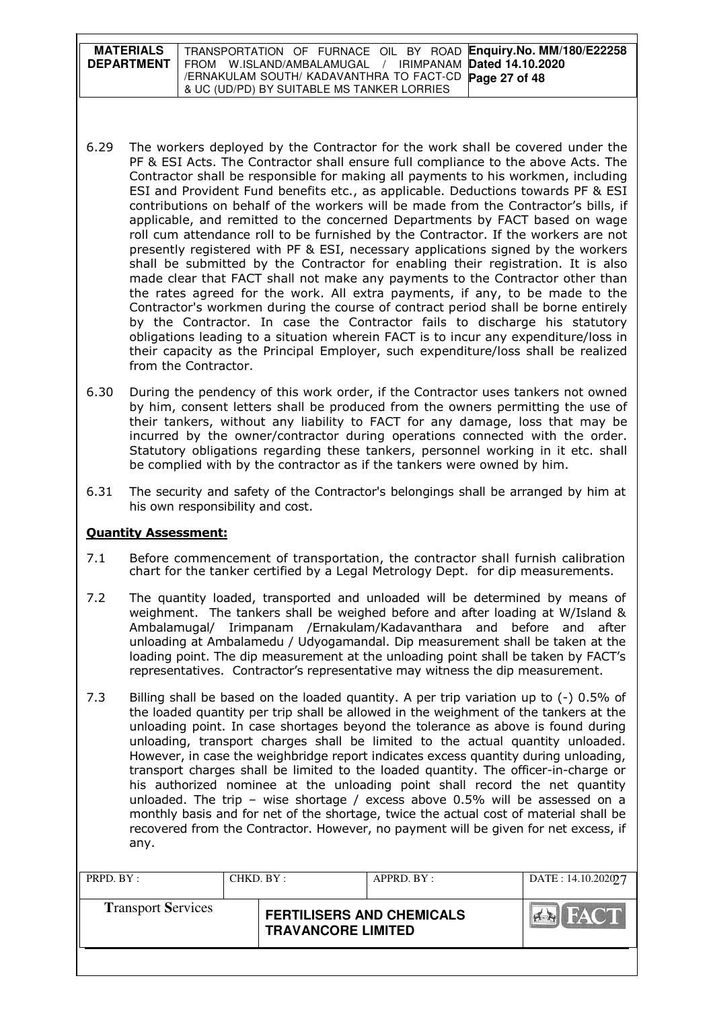| <b>MATERIALS</b>  | TRANSPORTATION OF FURNACE OIL BY ROAD Enquiry. No. MM/180/E22258 |
|-------------------|------------------------------------------------------------------|
| <b>DEPARTMENT</b> | FROM W.ISLAND/AMBALAMUGAL / IRIMPANAM <b>Dated 14.10.2020</b>    |
|                   | /ERNAKULAM SOUTH/ KADAVANTHRA TO FACT-CD Page 27 of 48           |
|                   | & UC (UD/PD) BY SUITABLE MS TANKER LORRIES                       |

- 6.29 The workers deployed by the Contractor for the work shall be covered under the PF & ESI Acts. The Contractor shall ensure full compliance to the above Acts. The Contractor shall be responsible for making all payments to his workmen, including ESI and Provident Fund benefits etc., as applicable. Deductions towards PF & ESI contributions on behalf of the workers will be made from the Contractor's bills, if applicable, and remitted to the concerned Departments by FACT based on wage roll cum attendance roll to be furnished by the Contractor. If the workers are not presently registered with PF & ESI, necessary applications signed by the workers shall be submitted by the Contractor for enabling their registration. It is also made clear that FACT shall not make any payments to the Contractor other than the rates agreed for the work. All extra payments, if any, to be made to the Contractor's workmen during the course of contract period shall be borne entirely by the Contractor. In case the Contractor fails to discharge his statutory obligations leading to a situation wherein FACT is to incur any expenditure/loss in their capacity as the Principal Employer, such expenditure/loss shall be realized from the Contractor.
- 6.30 During the pendency of this work order, if the Contractor uses tankers not owned by him, consent letters shall be produced from the owners permitting the use of their tankers, without any liability to FACT for any damage, loss that may be incurred by the owner/contractor during operations connected with the order. Statutory obligations regarding these tankers, personnel working in it etc. shall be complied with by the contractor as if the tankers were owned by him.
- 6.31 The security and safety of the Contractor's belongings shall be arranged by him at his own responsibility and cost.

# Quantity Assessment:

- 7.1 Before commencement of transportation, the contractor shall furnish calibration chart for the tanker certified by a Legal Metrology Dept. for dip measurements.
- 7.2 The quantity loaded, transported and unloaded will be determined by means of weighment. The tankers shall be weighed before and after loading at W/Island & Ambalamugal/ Irimpanam /Ernakulam/Kadavanthara and before and after unloading at Ambalamedu / Udyogamandal. Dip measurement shall be taken at the loading point. The dip measurement at the unloading point shall be taken by FACT's representatives. Contractor's representative may witness the dip measurement.
- 7.3 Billing shall be based on the loaded quantity. A per trip variation up to (-) 0.5% of the loaded quantity per trip shall be allowed in the weighment of the tankers at the unloading point. In case shortages beyond the tolerance as above is found during unloading, transport charges shall be limited to the actual quantity unloaded. However, in case the weighbridge report indicates excess quantity during unloading, transport charges shall be limited to the loaded quantity. The officer-in-charge or his authorized nominee at the unloading point shall record the net quantity unloaded. The trip – wise shortage / excess above 0.5% will be assessed on a monthly basis and for net of the shortage, twice the actual cost of material shall be recovered from the Contractor. However, no payment will be given for net excess, if any.

| PRPD. BY:                 | CHKD. BY: |                                                               | APPRD. BY: | DATE: 14.10.20209.7         |
|---------------------------|-----------|---------------------------------------------------------------|------------|-----------------------------|
| <b>Transport Services</b> |           | <b>FERTILISERS AND CHEMICALS</b><br><b>TRAVANCORE LIMITED</b> |            | <b>I FACT</b><br><b>PER</b> |
|                           |           |                                                               |            |                             |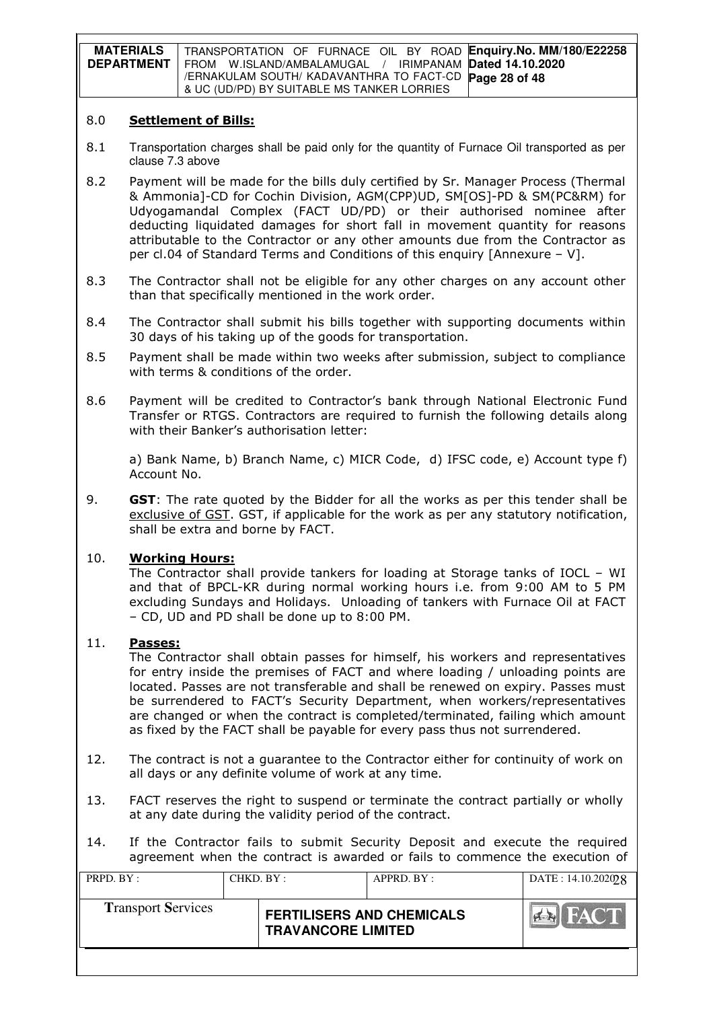**MATERIALS DEPARTMENT**  TRANSPORTATION OF FURNACE OIL BY ROAD **Enquiry.No. MM/180/E22258**  FROM W.ISLAND/AMBALAMUGAL / IRIMPANAM **Dated 14.10.2020**  /ERNAKULAM SOUTH/ KADAVANTHRA TO FACT-CD **Page 28 of 48** & UC (UD/PD) BY SUITABLE MS TANKER LORRIES

#### 8.0 Settlement of Bills:

- 8.1 Transportation charges shall be paid only for the quantity of Furnace Oil transported as per clause 7.3 above
- 8.2 Payment will be made for the bills duly certified by Sr. Manager Process (Thermal & Ammonia]-CD for Cochin Division, AGM(CPP)UD, SM[OS]-PD & SM(PC&RM) for Udyogamandal Complex (FACT UD/PD) or their authorised nominee after deducting liquidated damages for short fall in movement quantity for reasons attributable to the Contractor or any other amounts due from the Contractor as per cl.04 of Standard Terms and Conditions of this enquiry [Annexure – V].
- 8.3 The Contractor shall not be eligible for any other charges on any account other than that specifically mentioned in the work order.
- 8.4 The Contractor shall submit his bills together with supporting documents within 30 days of his taking up of the goods for transportation.
- 8.5 Payment shall be made within two weeks after submission, subject to compliance with terms & conditions of the order.
- 8.6 Payment will be credited to Contractor's bank through National Electronic Fund Transfer or RTGS. Contractors are required to furnish the following details along with their Banker's authorisation letter:

a) Bank Name, b) Branch Name, c) MICR Code, d) IFSC code, e) Account type f) Account No.

9. GST: The rate quoted by the Bidder for all the works as per this tender shall be exclusive of GST. GST, if applicable for the work as per any statutory notification, shall be extra and borne by FACT.

### 10. Working Hours:

The Contractor shall provide tankers for loading at Storage tanks of IOCL – WI and that of BPCL-KR during normal working hours i.e. from 9:00 AM to 5 PM excluding Sundays and Holidays. Unloading of tankers with Furnace Oil at FACT – CD, UD and PD shall be done up to 8:00 PM.

#### 11. Passes:

The Contractor shall obtain passes for himself, his workers and representatives for entry inside the premises of FACT and where loading / unloading points are located. Passes are not transferable and shall be renewed on expiry. Passes must be surrendered to FACT's Security Department, when workers/representatives are changed or when the contract is completed/terminated, failing which amount as fixed by the FACT shall be payable for every pass thus not surrendered.

- 12. The contract is not a guarantee to the Contractor either for continuity of work on all days or any definite volume of work at any time.
- 13. FACT reserves the right to suspend or terminate the contract partially or wholly at any date during the validity period of the contract.
- 14. If the Contractor fails to submit Security Deposit and execute the required agreement when the contract is awarded or fails to commence the execution of

| PRPD. BY:                 | CHKD. BY: |                                                               | APPRD. BY: | DATA: 14.10.20202      |
|---------------------------|-----------|---------------------------------------------------------------|------------|------------------------|
| <b>Transport Services</b> |           | <b>FERTILISERS AND CHEMICALS</b><br><b>TRAVANCORE LIMITED</b> |            | HAC I<br><b>PERSON</b> |
|                           |           |                                                               |            |                        |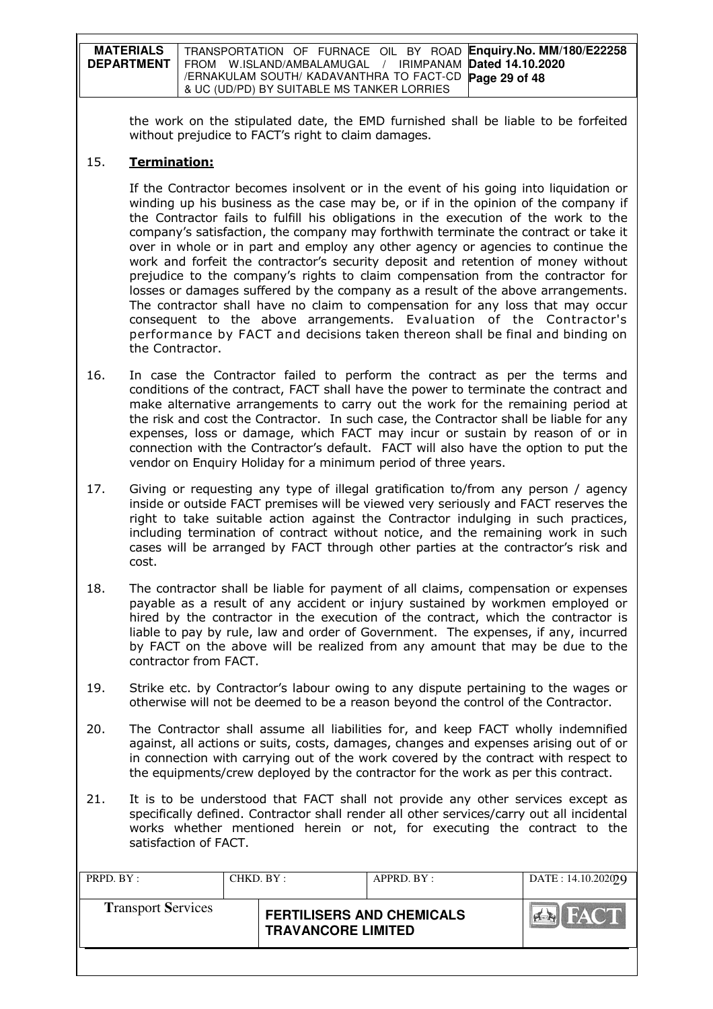| <b>MATERIALS</b>  | TRANSPORTATION OF FURNACE OIL BY ROAD Enquiry. No. MM/180/E22258 |
|-------------------|------------------------------------------------------------------|
| <b>DEPARTMENT</b> | FROM W.ISLAND/AMBALAMUGAL / IRIMPANAM <b>Dated 14.10.2020</b>    |
|                   | /ERNAKULAM SOUTH/ KADAVANTHRA TO FACT-CD Page 29 of 48           |
|                   | & UC (UD/PD) BY SUITABLE MS TANKER LORRIES                       |

the work on the stipulated date, the EMD furnished shall be liable to be forfeited without prejudice to FACT's right to claim damages.

### 15. Termination:

If the Contractor becomes insolvent or in the event of his going into liquidation or winding up his business as the case may be, or if in the opinion of the company if the Contractor fails to fulfill his obligations in the execution of the work to the company's satisfaction, the company may forthwith terminate the contract or take it over in whole or in part and employ any other agency or agencies to continue the work and forfeit the contractor's security deposit and retention of money without prejudice to the company's rights to claim compensation from the contractor for losses or damages suffered by the company as a result of the above arrangements. The contractor shall have no claim to compensation for any loss that may occur consequent to the above arrangements. Evaluation of the Contractor's performance by FACT and decisions taken thereon shall be final and binding on the Contractor.

16. In case the Contractor failed to perform the contract as per the terms and conditions of the contract, FACT shall have the power to terminate the contract and make alternative arrangements to carry out the work for the remaining period at the risk and cost the Contractor. In such case, the Contractor shall be liable for any expenses, loss or damage, which FACT may incur or sustain by reason of or in connection with the Contractor's default. FACT will also have the option to put the vendor on Enquiry Holiday for a minimum period of three years.

17. Giving or requesting any type of illegal gratification to/from any person / agency inside or outside FACT premises will be viewed very seriously and FACT reserves the right to take suitable action against the Contractor indulging in such practices, including termination of contract without notice, and the remaining work in such cases will be arranged by FACT through other parties at the contractor's risk and cost.

- 18. The contractor shall be liable for payment of all claims, compensation or expenses payable as a result of any accident or injury sustained by workmen employed or hired by the contractor in the execution of the contract, which the contractor is liable to pay by rule, law and order of Government. The expenses, if any, incurred by FACT on the above will be realized from any amount that may be due to the contractor from FACT.
- 19. Strike etc. by Contractor's labour owing to any dispute pertaining to the wages or otherwise will not be deemed to be a reason beyond the control of the Contractor.
- 20. The Contractor shall assume all liabilities for, and keep FACT wholly indemnified against, all actions or suits, costs, damages, changes and expenses arising out of or in connection with carrying out of the work covered by the contract with respect to the equipments/crew deployed by the contractor for the work as per this contract.
- 21. It is to be understood that FACT shall not provide any other services except as specifically defined. Contractor shall render all other services/carry out all incidental works whether mentioned herein or not, for executing the contract to the satisfaction of FACT.

| PRPD. BY:                 | CHKD. BY:                 |  | APPRD. BY:                       | DATA: 14.10.202099 |
|---------------------------|---------------------------|--|----------------------------------|--------------------|
| <b>Transport Services</b> | <b>TRAVANCORE LIMITED</b> |  | <b>FERTILISERS AND CHEMICALS</b> | FACT               |
|                           |                           |  |                                  |                    |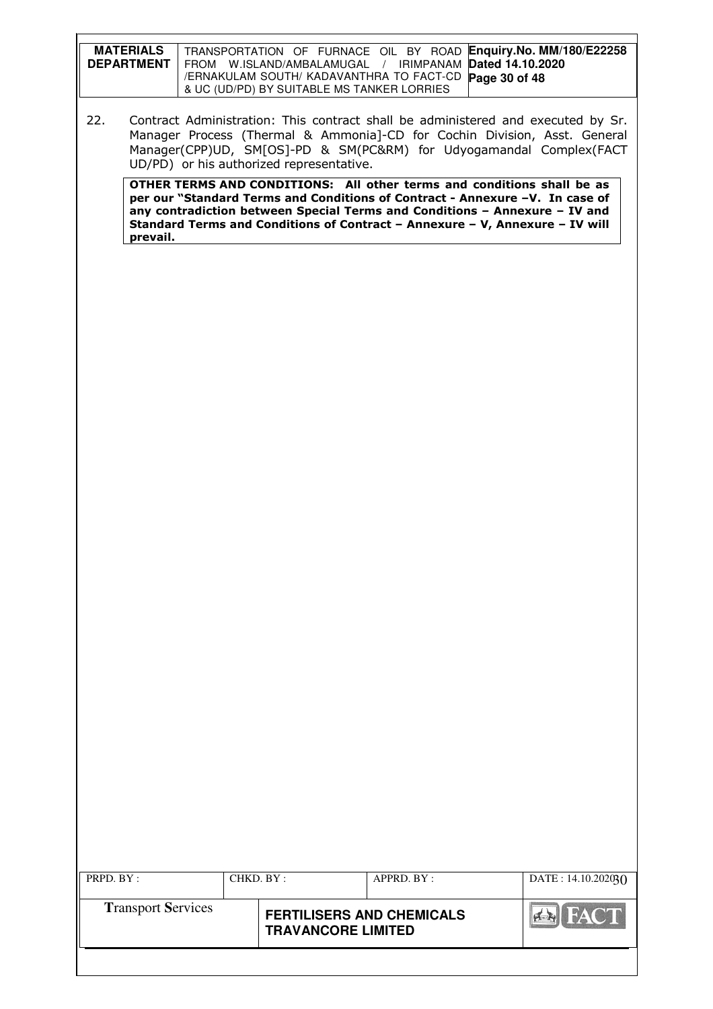| <b>MATERIALS</b><br><b>DEPARTMENT</b> | TRANSPORTATION OF FURNACE OIL BY ROAD Enquiry. No. MM/180/E22258<br>FROM W.ISLAND/AMBALAMUGAL / IRIMPANAM Dated 14.10.2020<br>/ERNAKULAM SOUTH/ KADAVANTHRA TO FACT-CD Page 30 of 48<br>& UC (UD/PD) BY SUITABLE MS TANKER LORRIES   |
|---------------------------------------|--------------------------------------------------------------------------------------------------------------------------------------------------------------------------------------------------------------------------------------|
| 22.                                   | Contract Administration: This contract shall be administered and executed by Sr.<br>Manager Process (Thermal & Ammonia]-CD for Cochin Division, Asst. General<br>Manager(CPP)UD, SM[OS]-PD & SM(PC&RM) for Udyogamandal Complex(FACT |

UD/PD) or his authorized representative.

OTHER TERMS AND CONDITIONS: All other terms and conditions shall be as per our "Standard Terms and Conditions of Contract - Annexure –V. In case of any contradiction between Special Terms and Conditions – Annexure – IV and Standard Terms and Conditions of Contract – Annexure – V, Annexure – IV will prevail.

| PRPD. BY:                 | CHKD. BY:                 |  | APPRD. BY:                       | DATA: 14.10.20203() |
|---------------------------|---------------------------|--|----------------------------------|---------------------|
| <b>Transport Services</b> | <b>TRAVANCORE LIMITED</b> |  | <b>FERTILISERS AND CHEMICALS</b> | FACT<br>$ A - R $   |
|                           |                           |  |                                  |                     |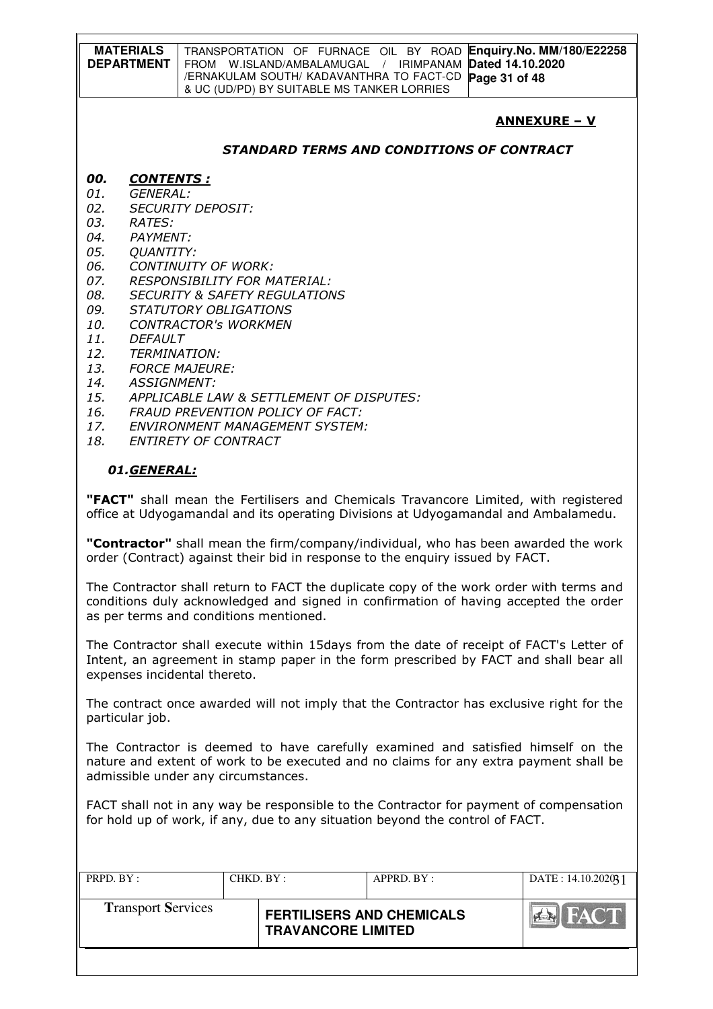|     | <b>MATERIALS</b><br><b>DEPARTMENT</b> | <b>Enguiry.No. MM/180/E22258</b><br>TRANSPORTATION OF FURNACE OIL BY ROAD<br>Dated 14.10.2020<br>IRIMPANAM<br>FROM<br>W.ISLAND/AMBALAMUGAL /<br>/ERNAKULAM SOUTH/ KADAVANTHRA TO FACT-CD<br>Page 31 of 48<br>& UC (UD/PD) BY SUITABLE MS TANKER LORRIES |
|-----|---------------------------------------|---------------------------------------------------------------------------------------------------------------------------------------------------------------------------------------------------------------------------------------------------------|
|     |                                       | <b>ANNEXURE – V</b>                                                                                                                                                                                                                                     |
|     |                                       | <i><b>STANDARD TERMS AND CONDITIONS OF CONTRACT</b></i>                                                                                                                                                                                                 |
| 00. | <b>CONTENTS:</b>                      |                                                                                                                                                                                                                                                         |
| 01. | GENERAL:                              |                                                                                                                                                                                                                                                         |
| 02. |                                       | <b>SECURITY DEPOSIT:</b>                                                                                                                                                                                                                                |
| 03. | RATES:                                |                                                                                                                                                                                                                                                         |
| 04. | PAYMENT:                              |                                                                                                                                                                                                                                                         |
| 05. | <b>QUANTITY:</b>                      |                                                                                                                                                                                                                                                         |
| 06. |                                       | CONTINUITY OF WORK:                                                                                                                                                                                                                                     |
| 07. |                                       | <i>RESPONSIBILITY FOR MATERIAL:</i>                                                                                                                                                                                                                     |
| 08. |                                       | <i>SECURITY &amp; SAFETY REGULATIONS</i>                                                                                                                                                                                                                |

- 09. STATUTORY OBLIGATIONS<br>10. CONTRACTOR's WORKMEN
- 10. CONTRACTOR's WORKMEN
- 11. DEFAULT
- 12. TERMINATION:
- 13. FORCE MAJEURE:
- 14. ASSIGNMENT:
- 15. APPLICABLE LAW & SETTLEMENT OF DISPUTES:
- 16. FRAUD PREVENTION POLICY OF FACT:
- 17. ENVIRONMENT MANAGEMENT SYSTEM:
- 18. ENTIRETY OF CONTRACT

#### 01.GENERAL:

"FACT" shall mean the Fertilisers and Chemicals Travancore Limited, with registered office at Udyogamandal and its operating Divisions at Udyogamandal and Ambalamedu.

"Contractor" shall mean the firm/company/individual, who has been awarded the work order (Contract) against their bid in response to the enquiry issued by FACT.

The Contractor shall return to FACT the duplicate copy of the work order with terms and conditions duly acknowledged and signed in confirmation of having accepted the order as per terms and conditions mentioned.

The Contractor shall execute within 15days from the date of receipt of FACT's Letter of Intent, an agreement in stamp paper in the form prescribed by FACT and shall bear all expenses incidental thereto.

The contract once awarded will not imply that the Contractor has exclusive right for the particular job.

The Contractor is deemed to have carefully examined and satisfied himself on the nature and extent of work to be executed and no claims for any extra payment shall be admissible under any circumstances.

FACT shall not in any way be responsible to the Contractor for payment of compensation for hold up of work, if any, due to any situation beyond the control of FACT.

| PRPD. BY:                 | CHKD. BY:                 |  | APPRD. BY:                       | DATA: 14.10.202031           |
|---------------------------|---------------------------|--|----------------------------------|------------------------------|
| <b>Transport Services</b> | <b>TRAVANCORE LIMITED</b> |  | <b>FERTILISERS AND CHEMICALS</b> | <b>I FACT</b><br><b>PERT</b> |
|                           |                           |  |                                  |                              |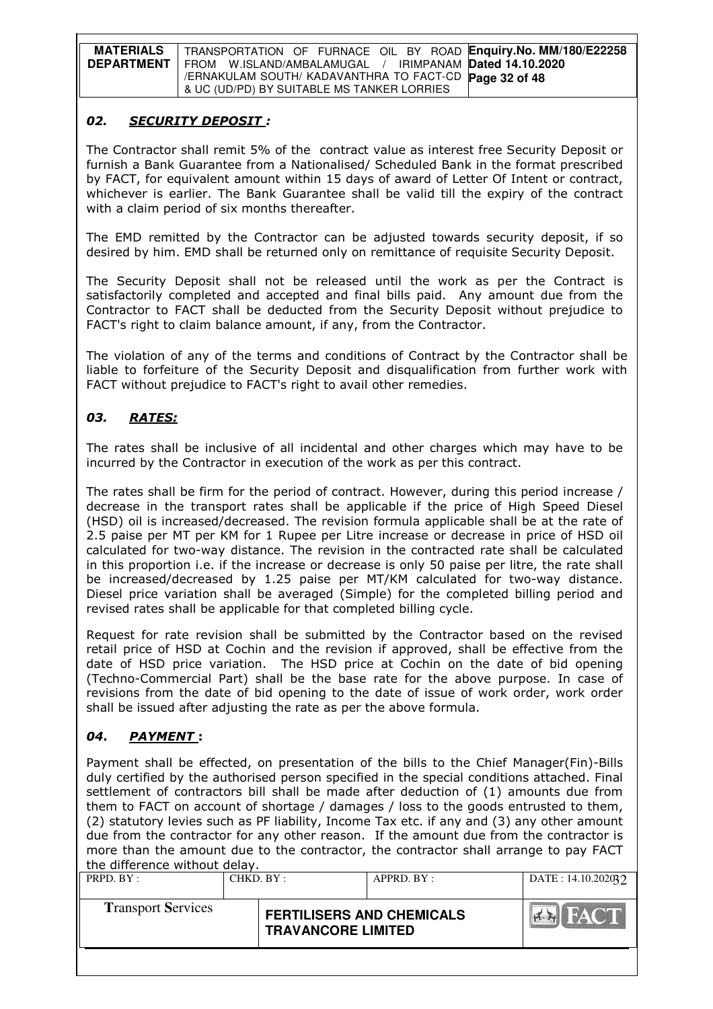| <b>MATERIALS</b>  | TRANSPORTATION OF FURNACE OIL BY ROAD Enquiry.No. MM/180/E22258 |
|-------------------|-----------------------------------------------------------------|
| <b>DEPARTMENT</b> | FROM W.ISLAND/AMBALAMUGAL / IRIMPANAM Dated 14.10.2020          |
|                   | /ERNAKULAM SOUTH/ KADAVANTHRA TO FACT-CD Page 32 of 48          |
|                   | & UC (UD/PD) BY SUITABLE MS TANKER LORRIES                      |

### 02. SECURITY DEPOSIT :

The Contractor shall remit 5% of the contract value as interest free Security Deposit or furnish a Bank Guarantee from a Nationalised/ Scheduled Bank in the format prescribed by FACT, for equivalent amount within 15 days of award of Letter Of Intent or contract, whichever is earlier. The Bank Guarantee shall be valid till the expiry of the contract with a claim period of six months thereafter.

The EMD remitted by the Contractor can be adjusted towards security deposit, if so desired by him. EMD shall be returned only on remittance of requisite Security Deposit.

The Security Deposit shall not be released until the work as per the Contract is satisfactorily completed and accepted and final bills paid. Any amount due from the Contractor to FACT shall be deducted from the Security Deposit without prejudice to FACT's right to claim balance amount, if any, from the Contractor.

The violation of any of the terms and conditions of Contract by the Contractor shall be liable to forfeiture of the Security Deposit and disqualification from further work with FACT without prejudice to FACT's right to avail other remedies.

# 03. RATES:

The rates shall be inclusive of all incidental and other charges which may have to be incurred by the Contractor in execution of the work as per this contract.

The rates shall be firm for the period of contract. However, during this period increase / decrease in the transport rates shall be applicable if the price of High Speed Diesel (HSD) oil is increased/decreased. The revision formula applicable shall be at the rate of 2.5 paise per MT per KM for 1 Rupee per Litre increase or decrease in price of HSD oil calculated for two-way distance. The revision in the contracted rate shall be calculated in this proportion i.e. if the increase or decrease is only 50 paise per litre, the rate shall be increased/decreased by 1.25 paise per MT/KM calculated for two-way distance. Diesel price variation shall be averaged (Simple) for the completed billing period and revised rates shall be applicable for that completed billing cycle.

Request for rate revision shall be submitted by the Contractor based on the revised retail price of HSD at Cochin and the revision if approved, shall be effective from the date of HSD price variation. The HSD price at Cochin on the date of bid opening (Techno-Commercial Part) shall be the base rate for the above purpose. In case of revisions from the date of bid opening to the date of issue of work order, work order shall be issued after adjusting the rate as per the above formula.

### 04. **PAYMENT**:

Payment shall be effected, on presentation of the bills to the Chief Manager(Fin)-Bills duly certified by the authorised person specified in the special conditions attached. Final settlement of contractors bill shall be made after deduction of (1) amounts due from them to FACT on account of shortage / damages / loss to the goods entrusted to them, (2) statutory levies such as PF liability, Income Tax etc. if any and (3) any other amount due from the contractor for any other reason. If the amount due from the contractor is more than the amount due to the contractor, the contractor shall arrange to pay FACT the difference without delay.

| PRPD. BY :                | CHKD. BY: |                                                               | APPRD. BY: | DATA: 14.10.202032 |
|---------------------------|-----------|---------------------------------------------------------------|------------|--------------------|
| <b>Transport Services</b> |           | <b>FERTILISERS AND CHEMICALS</b><br><b>TRAVANCORE LIMITED</b> |            | <b>FACT</b>        |
|                           |           |                                                               |            |                    |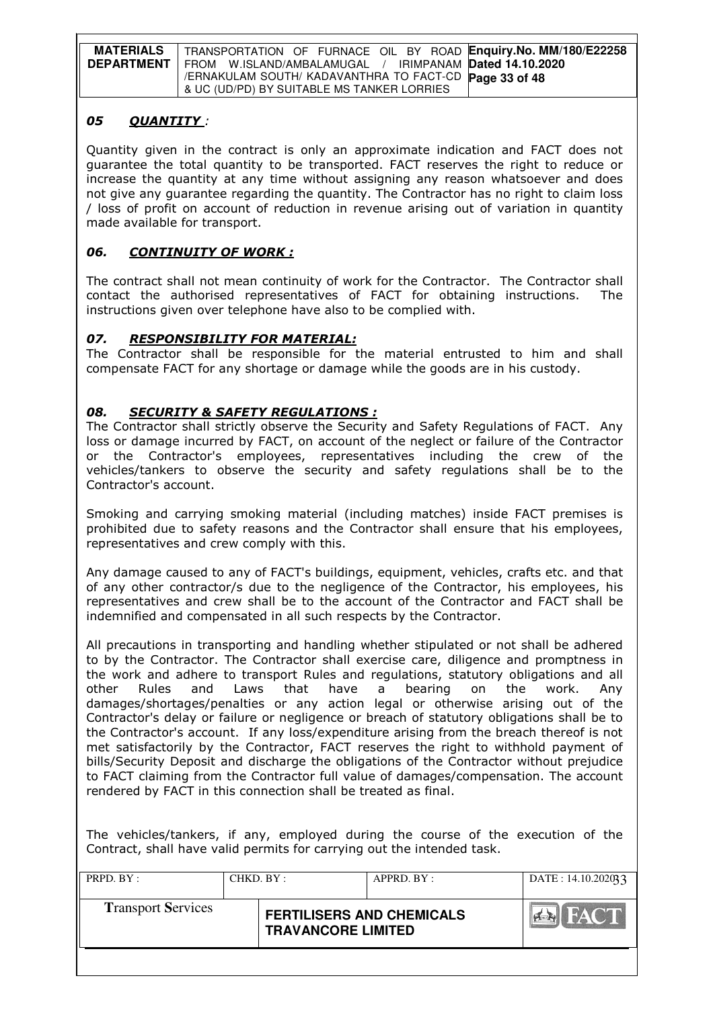| <b>MATERIALS</b>  | TRANSPORTATION OF FURNACE OIL BY ROAD Enquiry. No. MM/180/E22258 |
|-------------------|------------------------------------------------------------------|
| <b>DEPARTMENT</b> | FROM W.ISLAND/AMBALAMUGAL / IRIMPANAM <b>Dated 14.10.2020</b>    |
|                   | /ERNAKULAM SOUTH/ KADAVANTHRA TO FACT-CD Page 33 of 48           |
|                   | & UC (UD/PD) BY SUITABLE MS TANKER LORRIES                       |

### 05 OUANTITY :

Quantity given in the contract is only an approximate indication and FACT does not guarantee the total quantity to be transported. FACT reserves the right to reduce or increase the quantity at any time without assigning any reason whatsoever and does not give any guarantee regarding the quantity. The Contractor has no right to claim loss / loss of profit on account of reduction in revenue arising out of variation in quantity made available for transport.

## 06. CONTINUITY OF WORK :

The contract shall not mean continuity of work for the Contractor. The Contractor shall contact the authorised representatives of FACT for obtaining instructions. The instructions given over telephone have also to be complied with.

## 07. RESPONSIBILITY FOR MATERIAL:

The Contractor shall be responsible for the material entrusted to him and shall compensate FACT for any shortage or damage while the goods are in his custody.

### 08. SECURITY & SAFETY REGULATIONS :

The Contractor shall strictly observe the Security and Safety Regulations of FACT. Any loss or damage incurred by FACT, on account of the neglect or failure of the Contractor or the Contractor's employees, representatives including the crew of the vehicles/tankers to observe the security and safety regulations shall be to the Contractor's account.

Smoking and carrying smoking material (including matches) inside FACT premises is prohibited due to safety reasons and the Contractor shall ensure that his employees, representatives and crew comply with this.

Any damage caused to any of FACT's buildings, equipment, vehicles, crafts etc. and that of any other contractor/s due to the negligence of the Contractor, his employees, his representatives and crew shall be to the account of the Contractor and FACT shall be indemnified and compensated in all such respects by the Contractor.

All precautions in transporting and handling whether stipulated or not shall be adhered to by the Contractor. The Contractor shall exercise care, diligence and promptness in the work and adhere to transport Rules and regulations, statutory obligations and all other Rules and Laws that have a bearing on the work. Any damages/shortages/penalties or any action legal or otherwise arising out of the Contractor's delay or failure or negligence or breach of statutory obligations shall be to the Contractor's account. If any loss/expenditure arising from the breach thereof is not met satisfactorily by the Contractor, FACT reserves the right to withhold payment of bills/Security Deposit and discharge the obligations of the Contractor without prejudice to FACT claiming from the Contractor full value of damages/compensation. The account rendered by FACT in this connection shall be treated as final.

The vehicles/tankers, if any, employed during the course of the execution of the Contract, shall have valid permits for carrying out the intended task.

| PRPD. BY:                 | CHKD. BY : |                                                               | APPRD. BY: | DATE: 14.10.202033 |
|---------------------------|------------|---------------------------------------------------------------|------------|--------------------|
| <b>Transport Services</b> |            | <b>FERTILISERS AND CHEMICALS</b><br><b>TRAVANCORE LIMITED</b> |            | <b>FACT</b>        |
|                           |            |                                                               |            |                    |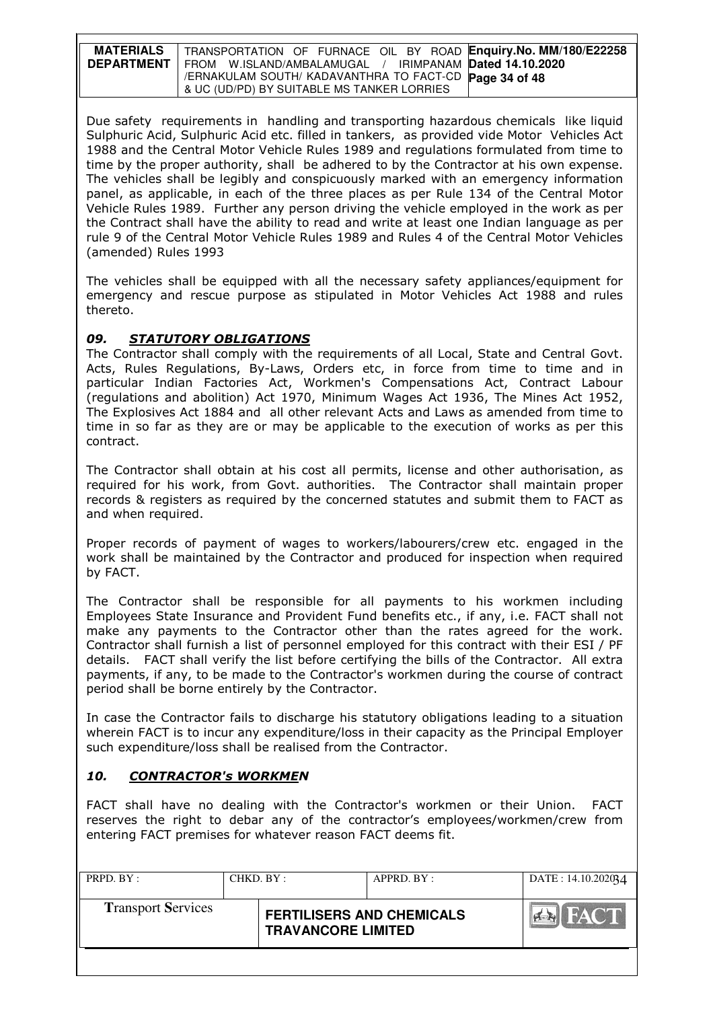| <b>MATERIALS</b>  | TRANSPORTATION OF FURNACE OIL BY ROAD Enquiry. No. MM/180/E22258 |
|-------------------|------------------------------------------------------------------|
| <b>DEPARTMENT</b> | FROM W.ISLAND/AMBALAMUGAL / IRIMPANAM Dated 14.10.2020           |
|                   | /ERNAKULAM SOUTH/KADAVANTHRA TO FACT-CD Page 34 of 48            |
|                   | & UC (UD/PD) BY SUITABLE MS TANKER LORRIES                       |

Due safety requirements in handling and transporting hazardous chemicals like liquid Sulphuric Acid, Sulphuric Acid etc. filled in tankers, as provided vide Motor Vehicles Act 1988 and the Central Motor Vehicle Rules 1989 and regulations formulated from time to time by the proper authority, shall be adhered to by the Contractor at his own expense. The vehicles shall be legibly and conspicuously marked with an emergency information panel, as applicable, in each of the three places as per Rule 134 of the Central Motor Vehicle Rules 1989. Further any person driving the vehicle employed in the work as per the Contract shall have the ability to read and write at least one Indian language as per rule 9 of the Central Motor Vehicle Rules 1989 and Rules 4 of the Central Motor Vehicles (amended) Rules 1993

The vehicles shall be equipped with all the necessary safety appliances/equipment for emergency and rescue purpose as stipulated in Motor Vehicles Act 1988 and rules thereto.

### 09. STATUTORY OBLIGATIONS

The Contractor shall comply with the requirements of all Local, State and Central Govt. Acts, Rules Regulations, By-Laws, Orders etc, in force from time to time and in particular Indian Factories Act, Workmen's Compensations Act, Contract Labour (regulations and abolition) Act 1970, Minimum Wages Act 1936, The Mines Act 1952, The Explosives Act 1884 and all other relevant Acts and Laws as amended from time to time in so far as they are or may be applicable to the execution of works as per this contract.

The Contractor shall obtain at his cost all permits, license and other authorisation, as required for his work, from Govt. authorities. The Contractor shall maintain proper records & registers as required by the concerned statutes and submit them to FACT as and when required.

Proper records of payment of wages to workers/labourers/crew etc. engaged in the work shall be maintained by the Contractor and produced for inspection when required by FACT.

The Contractor shall be responsible for all payments to his workmen including Employees State Insurance and Provident Fund benefits etc., if any, i.e. FACT shall not make any payments to the Contractor other than the rates agreed for the work. Contractor shall furnish a list of personnel employed for this contract with their ESI / PF details. FACT shall verify the list before certifying the bills of the Contractor. All extra payments, if any, to be made to the Contractor's workmen during the course of contract period shall be borne entirely by the Contractor.

In case the Contractor fails to discharge his statutory obligations leading to a situation wherein FACT is to incur any expenditure/loss in their capacity as the Principal Employer such expenditure/loss shall be realised from the Contractor.

### 10. CONTRACTOR's WORKMEN

FACT shall have no dealing with the Contractor's workmen or their Union. FACT reserves the right to debar any of the contractor's employees/workmen/crew from entering FACT premises for whatever reason FACT deems fit.

| PRPD. BY:                 | CHKD. BY: |                                                               | APPRD. BY: | DATE: 14.10.202034 |
|---------------------------|-----------|---------------------------------------------------------------|------------|--------------------|
| <b>Transport Services</b> |           | <b>FERTILISERS AND CHEMICALS</b><br><b>TRAVANCORE LIMITED</b> |            | <b>BIFACT</b>      |
|                           |           |                                                               |            |                    |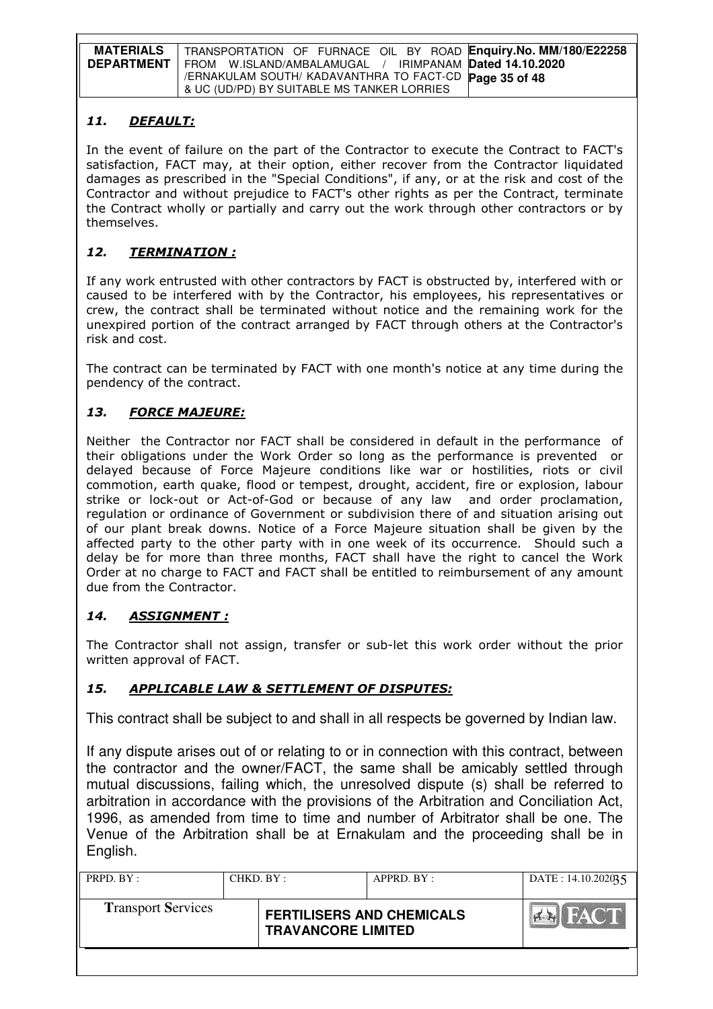| <b>MATERIALS</b>  | TRANSPORTATION OF FURNACE OIL BY ROAD Enquiry. No. MM/180/E22258 |
|-------------------|------------------------------------------------------------------|
| <b>DEPARTMENT</b> | FROM W.ISLAND/AMBALAMUGAL / IRIMPANAM Dated 14.10.2020           |
|                   | /ERNAKULAM SOUTH/ KADAVANTHRA TO FACT-CD Page 35 of 48           |
|                   | & UC (UD/PD) BY SUITABLE MS TANKER LORRIES                       |

# 11. DEFAULT:

In the event of failure on the part of the Contractor to execute the Contract to FACT's satisfaction, FACT may, at their option, either recover from the Contractor liquidated damages as prescribed in the "Special Conditions", if any, or at the risk and cost of the Contractor and without prejudice to FACT's other rights as per the Contract, terminate the Contract wholly or partially and carry out the work through other contractors or by themselves.

# 12. TERMINATION :

If any work entrusted with other contractors by FACT is obstructed by, interfered with or caused to be interfered with by the Contractor, his employees, his representatives or crew, the contract shall be terminated without notice and the remaining work for the unexpired portion of the contract arranged by FACT through others at the Contractor's risk and cost.

The contract can be terminated by FACT with one month's notice at any time during the pendency of the contract.

# 13. FORCE MAJEURE:

Neither the Contractor nor FACT shall be considered in default in the performance of their obligations under the Work Order so long as the performance is prevented or delayed because of Force Majeure conditions like war or hostilities, riots or civil commotion, earth quake, flood or tempest, drought, accident, fire or explosion, labour strike or lock-out or Act-of-God or because of any law and order proclamation, regulation or ordinance of Government or subdivision there of and situation arising out of our plant break downs. Notice of a Force Majeure situation shall be given by the affected party to the other party with in one week of its occurrence. Should such a delay be for more than three months, FACT shall have the right to cancel the Work Order at no charge to FACT and FACT shall be entitled to reimbursement of any amount due from the Contractor.

# 14. ASSIGNMENT :

The Contractor shall not assign, transfer or sub-let this work order without the prior written approval of FACT.

# 15. APPLICABLE LAW & SETTLEMENT OF DISPUTES:

This contract shall be subject to and shall in all respects be governed by Indian law.

If any dispute arises out of or relating to or in connection with this contract, between the contractor and the owner/FACT, the same shall be amicably settled through mutual discussions, failing which, the unresolved dispute (s) shall be referred to arbitration in accordance with the provisions of the Arbitration and Conciliation Act, 1996, as amended from time to time and number of Arbitrator shall be one. The Venue of the Arbitration shall be at Ernakulam and the proceeding shall be in English.

| PRPD. BY :                | CHKD. BY: |                                                               | APPRD. BY: | DATE: $14.10.202035$      |
|---------------------------|-----------|---------------------------------------------------------------|------------|---------------------------|
| <b>Transport Services</b> |           | <b>FERTILISERS AND CHEMICALS</b><br><b>TRAVANCORE LIMITED</b> |            | <b>FACT</b><br><b>PER</b> |
|                           |           |                                                               |            |                           |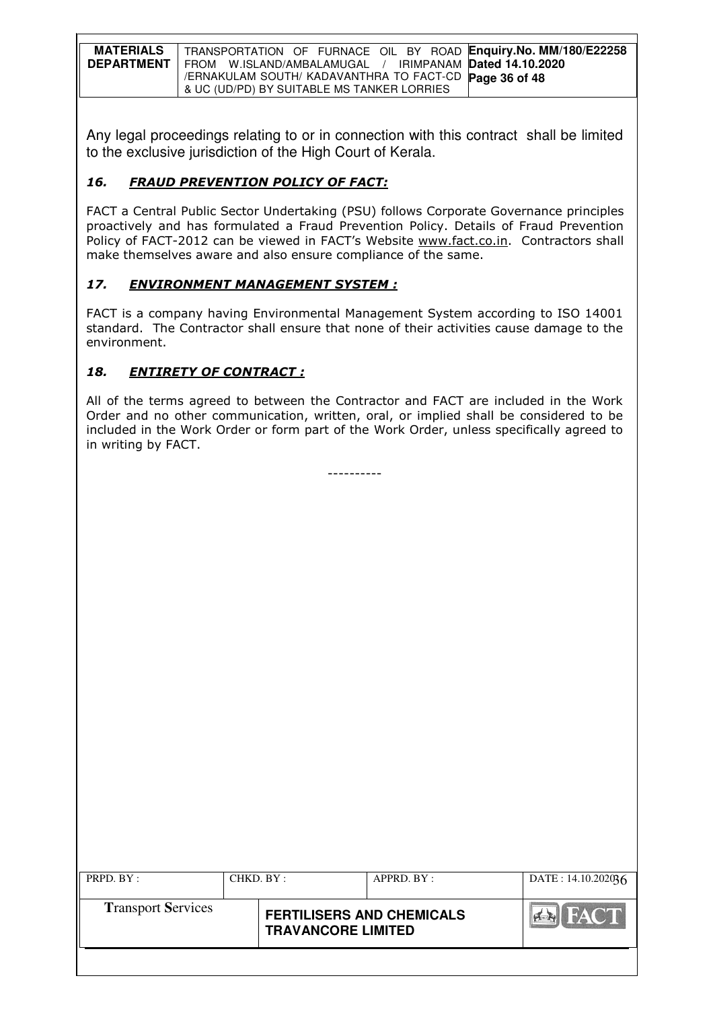| <b>MATERIALS</b>  | TRANSPORTATION OF FURNACE OIL BY ROAD Enquiry.No. MM/180/E22258 |
|-------------------|-----------------------------------------------------------------|
| <b>DEPARTMENT</b> | FROM W.ISLAND/AMBALAMUGAL / IRIMPANAM Dated 14.10.2020          |
|                   | /ERNAKULAM SOUTH/KADAVANTHRA TO FACT-CD Page 36 of 48           |
|                   | & UC (UD/PD) BY SUITABLE MS TANKER LORRIES                      |

Any legal proceedings relating to or in connection with this contract shall be limited to the exclusive jurisdiction of the High Court of Kerala.

# 16. FRAUD PREVENTION POLICY OF FACT:

FACT a Central Public Sector Undertaking (PSU) follows Corporate Governance principles proactively and has formulated a Fraud Prevention Policy. Details of Fraud Prevention Policy of FACT-2012 can be viewed in FACT's Website www.fact.co.in. Contractors shall make themselves aware and also ensure compliance of the same.

# 17. ENVIRONMENT MANAGEMENT SYSTEM :

FACT is a company having Environmental Management System according to ISO 14001 standard. The Contractor shall ensure that none of their activities cause damage to the environment.

# 18. ENTIRETY OF CONTRACT :

All of the terms agreed to between the Contractor and FACT are included in the Work Order and no other communication, written, oral, or implied shall be considered to be included in the Work Order or form part of the Work Order, unless specifically agreed to in writing by FACT.

----------

| PRPD. BY:                 | CHKD. BY: |                                                               | APPRD. BY: | DATE: $14.10.202036$ |
|---------------------------|-----------|---------------------------------------------------------------|------------|----------------------|
| <b>Transport Services</b> |           | <b>FERTILISERS AND CHEMICALS</b><br><b>TRAVANCORE LIMITED</b> |            | <b>HACT</b>          |
|                           |           |                                                               |            |                      |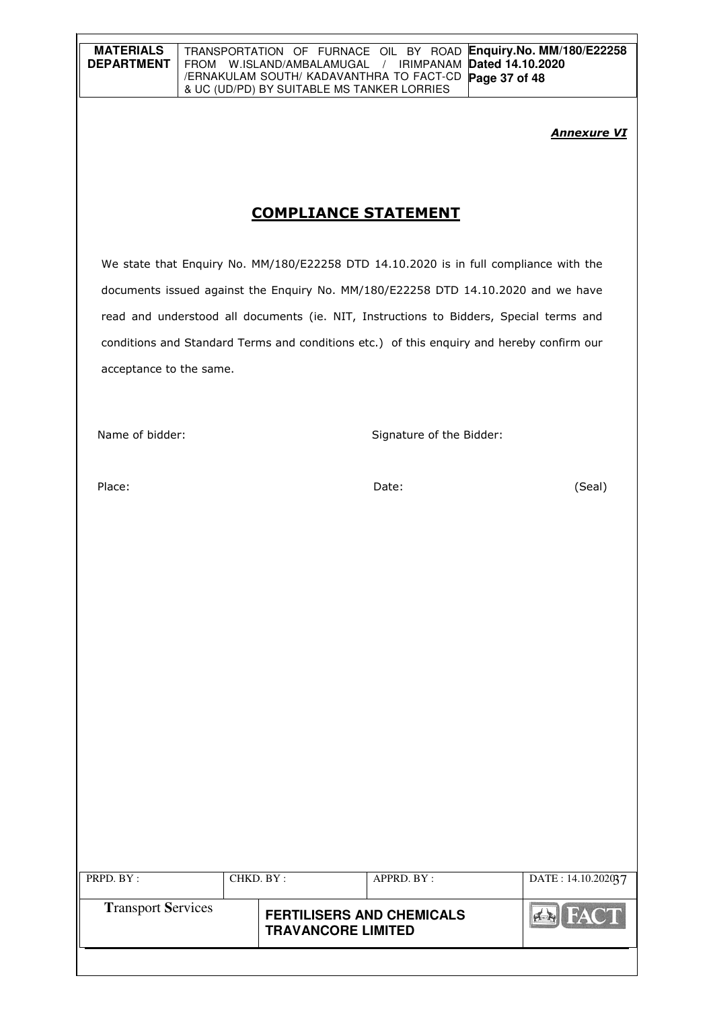| <b>MATERIALS</b> | TRANSPORTATION OF FURNACE OIL BY ROAD Enquiry. No. MM/180/E22258           |
|------------------|----------------------------------------------------------------------------|
|                  | <b>DEPARTMENT</b>   FROM W.ISLAND/AMBALAMUGAL / IRIMPANAM Dated 14.10.2020 |
|                  | I / ERNAKULAM SOUTH/ KADAVANTHRA TO FACT-CD Page 37 of 48                  |
|                  | 8 UC (UD/PD) BY SUITABLE MS TANKER LORRIES                                 |

#### **Annexure VI**

# COMPLIANCE STATEMENT

We state that Enquiry No. MM/180/E22258 DTD 14.10.2020 is in full compliance with the documents issued against the Enquiry No. MM/180/E22258 DTD 14.10.2020 and we have read and understood all documents (ie. NIT, Instructions to Bidders, Special terms and conditions and Standard Terms and conditions etc.) of this enquiry and hereby confirm our acceptance to the same.

Name of bidder: Signature of the Bidder:

Place: Date: (Seal)

| PRPD. BY:                 | CHKD. BY: |                                                               | APPRD. BY: | DATE: 14.10.202037 |
|---------------------------|-----------|---------------------------------------------------------------|------------|--------------------|
| <b>Transport Services</b> |           | <b>FERTILISERS AND CHEMICALS</b><br><b>TRAVANCORE LIMITED</b> |            | FACT               |
|                           |           |                                                               |            |                    |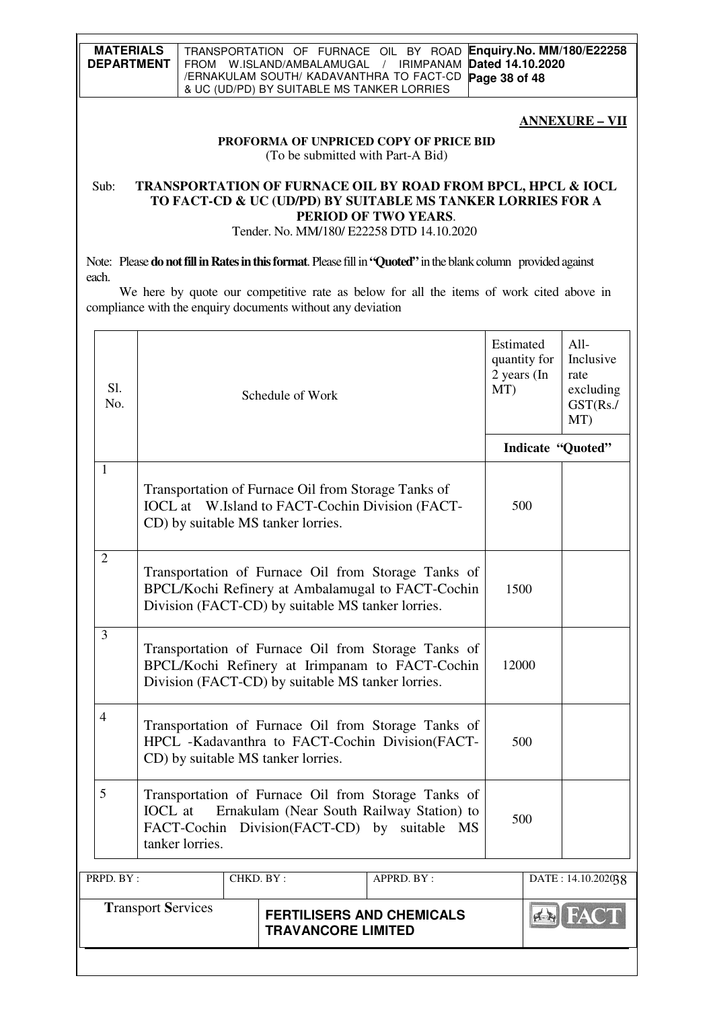#### **ANNEXURE – VII**

#### **PROFORMA OF UNPRICED COPY OF PRICE BID** (To be submitted with Part-A Bid)

## Sub: **TRANSPORTATION OF FURNACE OIL BY ROAD FROM BPCL, HPCL & IOCL TO FACT-CD & UC (UD/PD) BY SUITABLE MS TANKER LORRIES FOR A PERIOD OF TWO YEARS**.

Tender. No. MM/180/ E22258 DTD 14.10.2020

Note: Please **do not fill in Rates in this format**. Please fill in **"Quoted"** in the blank column provided against each.

 We here by quote our competitive rate as below for all the items of work cited above in compliance with the enquiry documents without any deviation

| Sl.<br>No.                                                                                 |                                                                                                                                                                                       |  | Schedule of Work                                                                                                                                    | Estimated<br>$2$ years (In<br>MT) | quantity for      | All-<br>Inclusive<br>rate<br>excluding<br>GST(Rs./<br>MT) |  |
|--------------------------------------------------------------------------------------------|---------------------------------------------------------------------------------------------------------------------------------------------------------------------------------------|--|-----------------------------------------------------------------------------------------------------------------------------------------------------|-----------------------------------|-------------------|-----------------------------------------------------------|--|
|                                                                                            |                                                                                                                                                                                       |  |                                                                                                                                                     |                                   | Indicate "Quoted" |                                                           |  |
| $\mathbf{1}$                                                                               |                                                                                                                                                                                       |  | Transportation of Furnace Oil from Storage Tanks of<br><b>IOCL</b> at W.Island to FACT-Cochin Division (FACT-<br>CD) by suitable MS tanker lorries. | 500                               |                   |                                                           |  |
| $\overline{2}$                                                                             | Transportation of Furnace Oil from Storage Tanks of<br>BPCL/Kochi Refinery at Ambalamugal to FACT-Cochin<br>1500<br>Division (FACT-CD) by suitable MS tanker lorries.                 |  |                                                                                                                                                     |                                   |                   |                                                           |  |
| $\overline{3}$                                                                             | Transportation of Furnace Oil from Storage Tanks of<br>BPCL/Kochi Refinery at Irimpanam to FACT-Cochin<br>Division (FACT-CD) by suitable MS tanker lorries.                           |  |                                                                                                                                                     |                                   |                   | 12000                                                     |  |
| $\overline{4}$                                                                             | Transportation of Furnace Oil from Storage Tanks of<br>HPCL -Kadavanthra to FACT-Cochin Division(FACT-<br>CD) by suitable MS tanker lorries.                                          |  |                                                                                                                                                     |                                   |                   | 500                                                       |  |
| 5                                                                                          | Transportation of Furnace Oil from Storage Tanks of<br><b>IOCL</b> at<br>Ernakulam (Near South Railway Station) to<br>FACT-Cochin Division(FACT-CD) by suitable MS<br>tanker lorries. |  |                                                                                                                                                     |                                   |                   | 500                                                       |  |
| PRPD. BY:<br>CHKD. BY:                                                                     |                                                                                                                                                                                       |  | APPRD. BY:                                                                                                                                          | DATE: 14.10.202038                |                   |                                                           |  |
| <b>Transport Services</b><br><b>FERTILISERS AND CHEMICALS</b><br><b>TRAVANCORE LIMITED</b> |                                                                                                                                                                                       |  |                                                                                                                                                     |                                   |                   | $\left \frac{d}{d\mathbf{x}}\right $                      |  |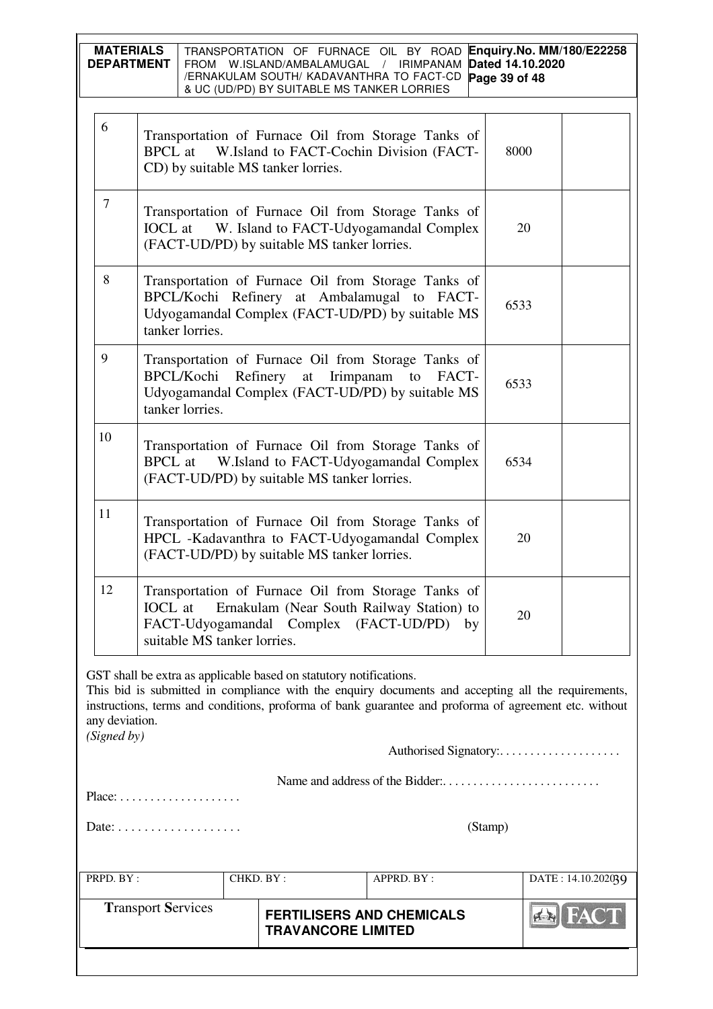| 6<br>Transportation of Furnace Oil from Storage Tanks of<br>W.Island to FACT-Cochin Division (FACT-<br><b>BPCL</b> at<br>8000<br>CD) by suitable MS tanker lorries.<br>$\tau$<br>Transportation of Furnace Oil from Storage Tanks of<br><b>IOCL</b> at W. Island to FACT-Udyogamandal Complex<br>20<br>(FACT-UD/PD) by suitable MS tanker lorries.<br>8<br>Transportation of Furnace Oil from Storage Tanks of<br>BPCL/Kochi Refinery at Ambalamugal to FACT-<br>6533<br>Udyogamandal Complex (FACT-UD/PD) by suitable MS<br>tanker lorries.<br>9<br>Transportation of Furnace Oil from Storage Tanks of<br>Refinery at Irimpanam to<br>BPCL/Kochi<br>FACT-<br>6533<br>Udyogamandal Complex (FACT-UD/PD) by suitable MS<br>tanker lorries.<br>10<br>Transportation of Furnace Oil from Storage Tanks of<br>W.Island to FACT-Udyogamandal Complex<br><b>BPCL</b> at<br>6534<br>(FACT-UD/PD) by suitable MS tanker lorries.<br>11<br>Transportation of Furnace Oil from Storage Tanks of<br>HPCL -Kadavanthra to FACT-Udyogamandal Complex<br>20<br>(FACT-UD/PD) by suitable MS tanker lorries.<br>12<br>Transportation of Furnace Oil from Storage Tanks of<br><b>IOCL</b> at<br>Ernakulam (Near South Railway Station) to<br>20<br>FACT-Udyogamandal Complex (FACT-UD/PD)<br>by<br>suitable MS tanker lorries.<br>GST shall be extra as applicable based on statutory notifications.<br>This bid is submitted in compliance with the enquiry documents and accepting all the requirements,<br>instructions, terms and conditions, proforma of bank guarantee and proforma of agreement etc. without<br>any deviation.<br>(Signed by)<br>$Place: \ldots \ldots \ldots \ldots \ldots$<br>(Stamp)<br>PRPD. BY:<br>CHKD. BY:<br>APPRD. BY:<br>DATE: 14.10.202039<br><b>Transport Services</b><br><b>FERTILISERS AND CHEMICALS</b><br><b>TRAVANCORE LIMITED</b> |  | Enquiry.No. MM/180/E22258<br><b>MATERIALS</b><br>TRANSPORTATION OF FURNACE OIL BY ROAD<br>Dated 14.10.2020<br><b>DEPARTMENT</b><br>FROM W.ISLAND/AMBALAMUGAL<br>/ IRIMPANAM<br>/ERNAKULAM SOUTH/ KADAVANTHRA TO FACT-CD<br>Page 39 of 48<br>& UC (UD/PD) BY SUITABLE MS TANKER LORRIES |  |  |  |  |  |  |
|------------------------------------------------------------------------------------------------------------------------------------------------------------------------------------------------------------------------------------------------------------------------------------------------------------------------------------------------------------------------------------------------------------------------------------------------------------------------------------------------------------------------------------------------------------------------------------------------------------------------------------------------------------------------------------------------------------------------------------------------------------------------------------------------------------------------------------------------------------------------------------------------------------------------------------------------------------------------------------------------------------------------------------------------------------------------------------------------------------------------------------------------------------------------------------------------------------------------------------------------------------------------------------------------------------------------------------------------------------------------------------------------------------------------------------------------------------------------------------------------------------------------------------------------------------------------------------------------------------------------------------------------------------------------------------------------------------------------------------------------------------------------------------------------------------------------------------------------------------|--|----------------------------------------------------------------------------------------------------------------------------------------------------------------------------------------------------------------------------------------------------------------------------------------|--|--|--|--|--|--|
|                                                                                                                                                                                                                                                                                                                                                                                                                                                                                                                                                                                                                                                                                                                                                                                                                                                                                                                                                                                                                                                                                                                                                                                                                                                                                                                                                                                                                                                                                                                                                                                                                                                                                                                                                                                                                                                            |  |                                                                                                                                                                                                                                                                                        |  |  |  |  |  |  |
|                                                                                                                                                                                                                                                                                                                                                                                                                                                                                                                                                                                                                                                                                                                                                                                                                                                                                                                                                                                                                                                                                                                                                                                                                                                                                                                                                                                                                                                                                                                                                                                                                                                                                                                                                                                                                                                            |  |                                                                                                                                                                                                                                                                                        |  |  |  |  |  |  |
|                                                                                                                                                                                                                                                                                                                                                                                                                                                                                                                                                                                                                                                                                                                                                                                                                                                                                                                                                                                                                                                                                                                                                                                                                                                                                                                                                                                                                                                                                                                                                                                                                                                                                                                                                                                                                                                            |  |                                                                                                                                                                                                                                                                                        |  |  |  |  |  |  |
|                                                                                                                                                                                                                                                                                                                                                                                                                                                                                                                                                                                                                                                                                                                                                                                                                                                                                                                                                                                                                                                                                                                                                                                                                                                                                                                                                                                                                                                                                                                                                                                                                                                                                                                                                                                                                                                            |  |                                                                                                                                                                                                                                                                                        |  |  |  |  |  |  |
|                                                                                                                                                                                                                                                                                                                                                                                                                                                                                                                                                                                                                                                                                                                                                                                                                                                                                                                                                                                                                                                                                                                                                                                                                                                                                                                                                                                                                                                                                                                                                                                                                                                                                                                                                                                                                                                            |  |                                                                                                                                                                                                                                                                                        |  |  |  |  |  |  |
|                                                                                                                                                                                                                                                                                                                                                                                                                                                                                                                                                                                                                                                                                                                                                                                                                                                                                                                                                                                                                                                                                                                                                                                                                                                                                                                                                                                                                                                                                                                                                                                                                                                                                                                                                                                                                                                            |  |                                                                                                                                                                                                                                                                                        |  |  |  |  |  |  |
|                                                                                                                                                                                                                                                                                                                                                                                                                                                                                                                                                                                                                                                                                                                                                                                                                                                                                                                                                                                                                                                                                                                                                                                                                                                                                                                                                                                                                                                                                                                                                                                                                                                                                                                                                                                                                                                            |  |                                                                                                                                                                                                                                                                                        |  |  |  |  |  |  |
|                                                                                                                                                                                                                                                                                                                                                                                                                                                                                                                                                                                                                                                                                                                                                                                                                                                                                                                                                                                                                                                                                                                                                                                                                                                                                                                                                                                                                                                                                                                                                                                                                                                                                                                                                                                                                                                            |  |                                                                                                                                                                                                                                                                                        |  |  |  |  |  |  |
|                                                                                                                                                                                                                                                                                                                                                                                                                                                                                                                                                                                                                                                                                                                                                                                                                                                                                                                                                                                                                                                                                                                                                                                                                                                                                                                                                                                                                                                                                                                                                                                                                                                                                                                                                                                                                                                            |  |                                                                                                                                                                                                                                                                                        |  |  |  |  |  |  |
|                                                                                                                                                                                                                                                                                                                                                                                                                                                                                                                                                                                                                                                                                                                                                                                                                                                                                                                                                                                                                                                                                                                                                                                                                                                                                                                                                                                                                                                                                                                                                                                                                                                                                                                                                                                                                                                            |  |                                                                                                                                                                                                                                                                                        |  |  |  |  |  |  |
|                                                                                                                                                                                                                                                                                                                                                                                                                                                                                                                                                                                                                                                                                                                                                                                                                                                                                                                                                                                                                                                                                                                                                                                                                                                                                                                                                                                                                                                                                                                                                                                                                                                                                                                                                                                                                                                            |  |                                                                                                                                                                                                                                                                                        |  |  |  |  |  |  |
|                                                                                                                                                                                                                                                                                                                                                                                                                                                                                                                                                                                                                                                                                                                                                                                                                                                                                                                                                                                                                                                                                                                                                                                                                                                                                                                                                                                                                                                                                                                                                                                                                                                                                                                                                                                                                                                            |  |                                                                                                                                                                                                                                                                                        |  |  |  |  |  |  |
|                                                                                                                                                                                                                                                                                                                                                                                                                                                                                                                                                                                                                                                                                                                                                                                                                                                                                                                                                                                                                                                                                                                                                                                                                                                                                                                                                                                                                                                                                                                                                                                                                                                                                                                                                                                                                                                            |  |                                                                                                                                                                                                                                                                                        |  |  |  |  |  |  |
|                                                                                                                                                                                                                                                                                                                                                                                                                                                                                                                                                                                                                                                                                                                                                                                                                                                                                                                                                                                                                                                                                                                                                                                                                                                                                                                                                                                                                                                                                                                                                                                                                                                                                                                                                                                                                                                            |  |                                                                                                                                                                                                                                                                                        |  |  |  |  |  |  |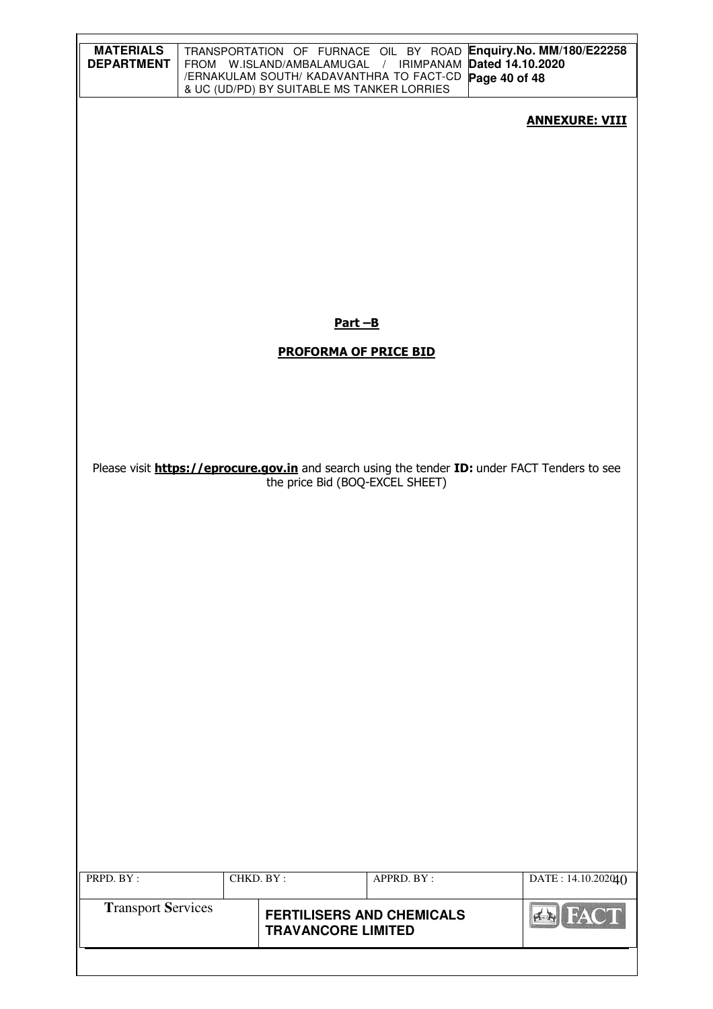| <b>MATERIALS</b><br><b>DEPARTMENT</b> |           | FROM W.ISLAND/AMBALAMUGAL / IRIMPANAM Dated 14.10.2020<br>/ERNAKULAM SOUTH/ KADAVANTHRA TO FACT-CD<br>& UC (UD/PD) BY SUITABLE MS TANKER LORRIES |            | TRANSPORTATION OF FURNACE OIL BY ROAD Enquiry. No. MM/180/E22258<br>Page 40 of 48                     |
|---------------------------------------|-----------|--------------------------------------------------------------------------------------------------------------------------------------------------|------------|-------------------------------------------------------------------------------------------------------|
|                                       |           |                                                                                                                                                  |            | <b>ANNEXURE: VIII</b>                                                                                 |
|                                       |           |                                                                                                                                                  |            |                                                                                                       |
|                                       |           |                                                                                                                                                  |            |                                                                                                       |
|                                       |           |                                                                                                                                                  |            |                                                                                                       |
|                                       |           |                                                                                                                                                  |            |                                                                                                       |
|                                       |           |                                                                                                                                                  |            |                                                                                                       |
|                                       |           | Part-B                                                                                                                                           |            |                                                                                                       |
|                                       |           | <b>PROFORMA OF PRICE BID</b>                                                                                                                     |            |                                                                                                       |
|                                       |           |                                                                                                                                                  |            |                                                                                                       |
|                                       |           |                                                                                                                                                  |            |                                                                                                       |
|                                       |           | the price Bid (BOQ-EXCEL SHEET)                                                                                                                  |            | Please visit <b>https://eprocure.gov.in</b> and search using the tender ID: under FACT Tenders to see |
|                                       |           |                                                                                                                                                  |            |                                                                                                       |
|                                       |           |                                                                                                                                                  |            |                                                                                                       |
|                                       |           |                                                                                                                                                  |            |                                                                                                       |
|                                       |           |                                                                                                                                                  |            |                                                                                                       |
|                                       |           |                                                                                                                                                  |            |                                                                                                       |
|                                       |           |                                                                                                                                                  |            |                                                                                                       |
|                                       |           |                                                                                                                                                  |            |                                                                                                       |
|                                       |           |                                                                                                                                                  |            |                                                                                                       |
|                                       |           |                                                                                                                                                  |            |                                                                                                       |
|                                       |           |                                                                                                                                                  |            |                                                                                                       |
| PRPD. BY:                             | CHKD. BY: |                                                                                                                                                  | APPRD. BY: | DATE: 14.10.202040                                                                                    |
| <b>Transport Services</b>             |           | <b>FERTILISERS AND CHEMICALS</b>                                                                                                                 |            | <b>AN FACT</b>                                                                                        |
|                                       |           | <b>TRAVANCORE LIMITED</b>                                                                                                                        |            |                                                                                                       |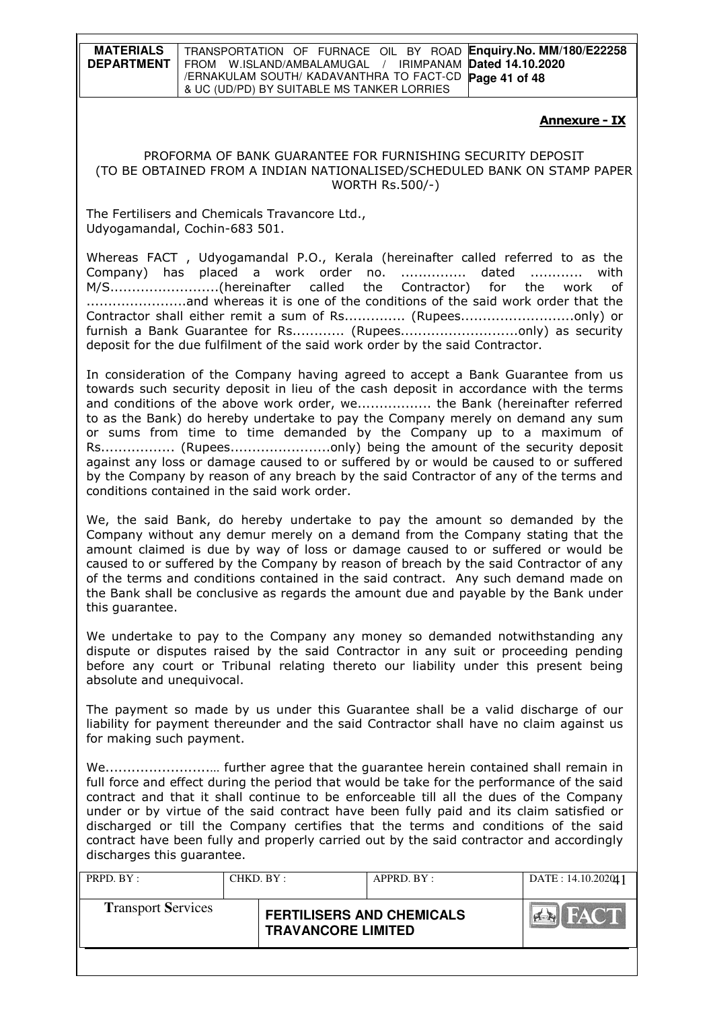**MATERIALS DEPARTMENT**  TRANSPORTATION OF FURNACE OIL BY ROAD **Enquiry.No. MM/180/E22258**  FROM W.ISLAND/AMBALAMUGAL / IRIMPANAM **Dated 14.10.2020**  /ERNAKULAM SOUTH/ KADAVANTHRA TO FACT-CD **Page 41 of 48** & UC (UD/PD) BY SUITABLE MS TANKER LORRIES

#### Annexure - IX

#### PROFORMA OF BANK GUARANTEE FOR FURNISHING SECURITY DEPOSIT (TO BE OBTAINED FROM A INDIAN NATIONALISED/SCHEDULED BANK ON STAMP PAPER WORTH Rs.500/-)

The Fertilisers and Chemicals Travancore Ltd., Udyogamandal, Cochin-683 501.

Whereas FACT , Udyogamandal P.O., Kerala (hereinafter called referred to as the Company) has placed a work order no. ............... dated ............ with M/S.........................(hereinafter called the Contractor) for the work of .......................and whereas it is one of the conditions of the said work order that the Contractor shall either remit a sum of Rs.............. (Rupees..........................only) or furnish a Bank Guarantee for Rs............ (Rupees.................................only) as security deposit for the due fulfilment of the said work order by the said Contractor.

In consideration of the Company having agreed to accept a Bank Guarantee from us towards such security deposit in lieu of the cash deposit in accordance with the terms and conditions of the above work order, we................. the Bank (hereinafter referred to as the Bank) do hereby undertake to pay the Company merely on demand any sum or sums from time to time demanded by the Company up to a maximum of Rs................. (Rupees.......................only) being the amount of the security deposit against any loss or damage caused to or suffered by or would be caused to or suffered by the Company by reason of any breach by the said Contractor of any of the terms and conditions contained in the said work order.

We, the said Bank, do hereby undertake to pay the amount so demanded by the Company without any demur merely on a demand from the Company stating that the amount claimed is due by way of loss or damage caused to or suffered or would be caused to or suffered by the Company by reason of breach by the said Contractor of any of the terms and conditions contained in the said contract. Any such demand made on the Bank shall be conclusive as regards the amount due and payable by the Bank under this guarantee.

We undertake to pay to the Company any money so demanded notwithstanding any dispute or disputes raised by the said Contractor in any suit or proceeding pending before any court or Tribunal relating thereto our liability under this present being absolute and unequivocal.

The payment so made by us under this Guarantee shall be a valid discharge of our liability for payment thereunder and the said Contractor shall have no claim against us for making such payment.

We........................… further agree that the guarantee herein contained shall remain in full force and effect during the period that would be take for the performance of the said contract and that it shall continue to be enforceable till all the dues of the Company under or by virtue of the said contract have been fully paid and its claim satisfied or discharged or till the Company certifies that the terms and conditions of the said contract have been fully and properly carried out by the said contractor and accordingly discharges this guarantee.

| PRPD. BY:                 | CHKD. BY: | APPRD. BY:                                                    |  | DATE: 14.10.202011 |
|---------------------------|-----------|---------------------------------------------------------------|--|--------------------|
| <b>Transport Services</b> |           | <b>FERTILISERS AND CHEMICALS</b><br><b>TRAVANCORE LIMITED</b> |  | FACT<br><b>PER</b> |
|                           |           |                                                               |  |                    |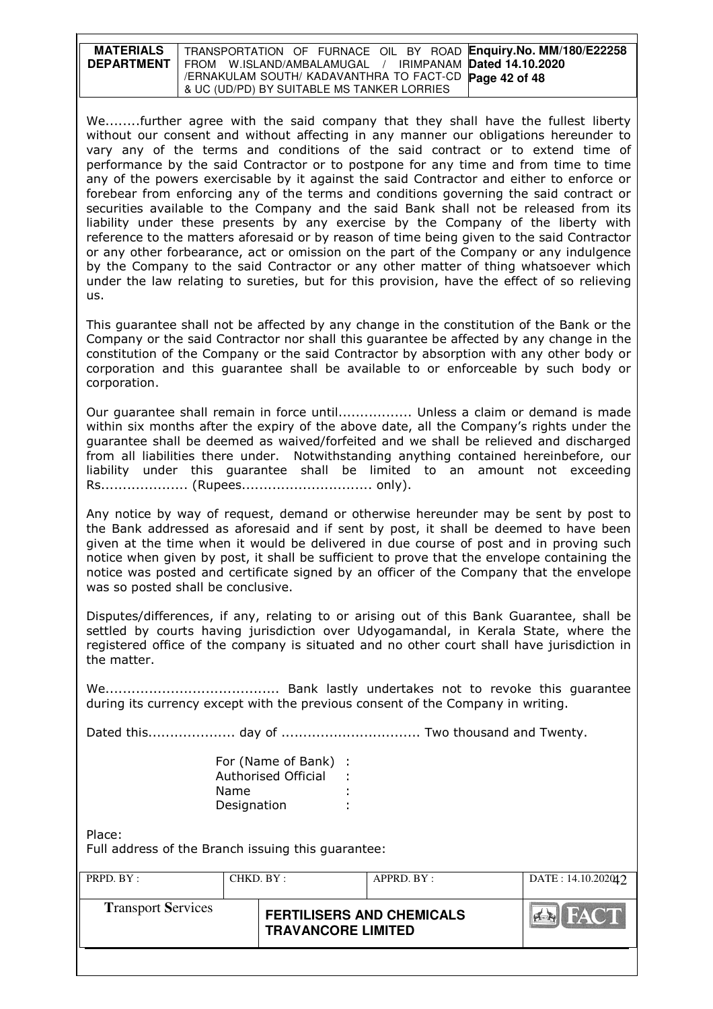| <b>MATERIALS</b>  | TRANSPORTATION OF FURNACE OIL BY ROAD Enquiry. No. MM/180/E22258 |
|-------------------|------------------------------------------------------------------|
| <b>DEPARTMENT</b> | FROM W.ISLAND/AMBALAMUGAL / IRIMPANAM Dated 14.10.2020           |
|                   | /ERNAKULAM SOUTH/ KADAVANTHRA TO FACT-CD Page 42 of 48           |
|                   | & UC (UD/PD) BY SUITABLE MS TANKER LORRIES                       |

We........further agree with the said company that they shall have the fullest liberty without our consent and without affecting in any manner our obligations hereunder to vary any of the terms and conditions of the said contract or to extend time of performance by the said Contractor or to postpone for any time and from time to time any of the powers exercisable by it against the said Contractor and either to enforce or forebear from enforcing any of the terms and conditions governing the said contract or securities available to the Company and the said Bank shall not be released from its liability under these presents by any exercise by the Company of the liberty with reference to the matters aforesaid or by reason of time being given to the said Contractor or any other forbearance, act or omission on the part of the Company or any indulgence by the Company to the said Contractor or any other matter of thing whatsoever which under the law relating to sureties, but for this provision, have the effect of so relieving us.

This guarantee shall not be affected by any change in the constitution of the Bank or the Company or the said Contractor nor shall this guarantee be affected by any change in the constitution of the Company or the said Contractor by absorption with any other body or corporation and this guarantee shall be available to or enforceable by such body or corporation.

Our guarantee shall remain in force until................. Unless a claim or demand is made within six months after the expiry of the above date, all the Company's rights under the guarantee shall be deemed as waived/forfeited and we shall be relieved and discharged from all liabilities there under. Notwithstanding anything contained hereinbefore, our liability under this guarantee shall be limited to an amount not exceeding Rs.................... (Rupees.............................. only).

Any notice by way of request, demand or otherwise hereunder may be sent by post to the Bank addressed as aforesaid and if sent by post, it shall be deemed to have been given at the time when it would be delivered in due course of post and in proving such notice when given by post, it shall be sufficient to prove that the envelope containing the notice was posted and certificate signed by an officer of the Company that the envelope was so posted shall be conclusive.

Disputes/differences, if any, relating to or arising out of this Bank Guarantee, shall be settled by courts having jurisdiction over Udyogamandal, in Kerala State, where the registered office of the company is situated and no other court shall have jurisdiction in the matter.

We........................................ Bank lastly undertakes not to revoke this guarantee during its currency except with the previous consent of the Company in writing.

Dated this.................... day of ................................ Two thousand and Twenty.

| For (Name of Bank) : |  |
|----------------------|--|
| Authorised Official  |  |
| Name                 |  |
| Designation          |  |

Place:

Full address of the Branch issuing this guarantee:

| PRPD. BY:                 | CHKD. BY: | APPRD. BY:                                                    |  | DATA: 14.10.202012 |
|---------------------------|-----------|---------------------------------------------------------------|--|--------------------|
| <b>Transport Services</b> |           | <b>FERTILISERS AND CHEMICALS</b><br><b>TRAVANCORE LIMITED</b> |  | FACT<br>$F = F$    |
|                           |           |                                                               |  |                    |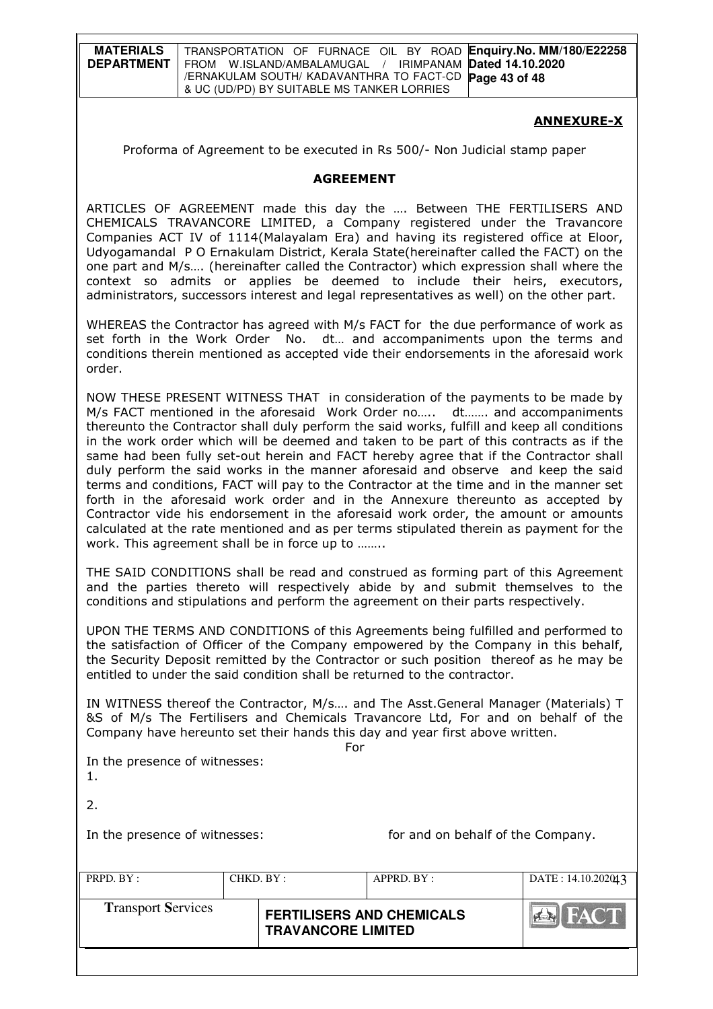| <b>MATERIALS</b>  | <sup>I</sup> TRANSPORTATION OF FURNACE OIL BY ROAD Enquiry. No. MM/180/E22258 |
|-------------------|-------------------------------------------------------------------------------|
| <b>DEPARTMENT</b> | FROM W.ISLAND/AMBALAMUGAL / IRIMPANAM Dated 14.10.2020                        |
|                   | I /ERNAKULAM SOUTH/ KADAVANTHRA TO FACT-CD Page 43 of 48                      |
|                   | & UC (UD/PD) BY SUITABLE MS TANKER LORRIES                                    |

### ANNEXURE-X

Proforma of Agreement to be executed in Rs 500/- Non Judicial stamp paper

#### AGREEMENT

ARTICLES OF AGREEMENT made this day the …. Between THE FERTILISERS AND CHEMICALS TRAVANCORE LIMITED, a Company registered under the Travancore Companies ACT IV of 1114(Malayalam Era) and having its registered office at Eloor, Udyogamandal P O Ernakulam District, Kerala State(hereinafter called the FACT) on the one part and M/s…. (hereinafter called the Contractor) which expression shall where the context so admits or applies be deemed to include their heirs, executors, administrators, successors interest and legal representatives as well) on the other part.

WHEREAS the Contractor has agreed with M/s FACT for the due performance of work as set forth in the Work Order No. dt… and accompaniments upon the terms and conditions therein mentioned as accepted vide their endorsements in the aforesaid work order.

NOW THESE PRESENT WITNESS THAT in consideration of the payments to be made by M/s FACT mentioned in the aforesaid Work Order no….. dt……. and accompaniments thereunto the Contractor shall duly perform the said works, fulfill and keep all conditions in the work order which will be deemed and taken to be part of this contracts as if the same had been fully set-out herein and FACT hereby agree that if the Contractor shall duly perform the said works in the manner aforesaid and observe and keep the said terms and conditions, FACT will pay to the Contractor at the time and in the manner set forth in the aforesaid work order and in the Annexure thereunto as accepted by Contractor vide his endorsement in the aforesaid work order, the amount or amounts calculated at the rate mentioned and as per terms stipulated therein as payment for the work. This agreement shall be in force up to ……..

THE SAID CONDITIONS shall be read and construed as forming part of this Agreement and the parties thereto will respectively abide by and submit themselves to the conditions and stipulations and perform the agreement on their parts respectively.

UPON THE TERMS AND CONDITIONS of this Agreements being fulfilled and performed to the satisfaction of Officer of the Company empowered by the Company in this behalf, the Security Deposit remitted by the Contractor or such position thereof as he may be entitled to under the said condition shall be returned to the contractor.

IN WITNESS thereof the Contractor, M/s…. and The Asst.General Manager (Materials) T &S of M/s The Fertilisers and Chemicals Travancore Ltd, For and on behalf of the Company have hereunto set their hands this day and year first above written.

**For the contract of the contract of the State State State State State State State State State State State State** 

In the presence of witnesses: 1.

 $2<sub>1</sub>$ 

In the presence of witnesses: for and on behalf of the Company.

| PRPD. $BY:$<br>CHKD. BY:  |  | APPRD. BY:                                                    |  | DATE: 14.10.202043 |
|---------------------------|--|---------------------------------------------------------------|--|--------------------|
| <b>Transport Services</b> |  | <b>FERTILISERS AND CHEMICALS</b><br><b>TRAVANCORE LIMITED</b> |  | FACT               |
|                           |  |                                                               |  |                    |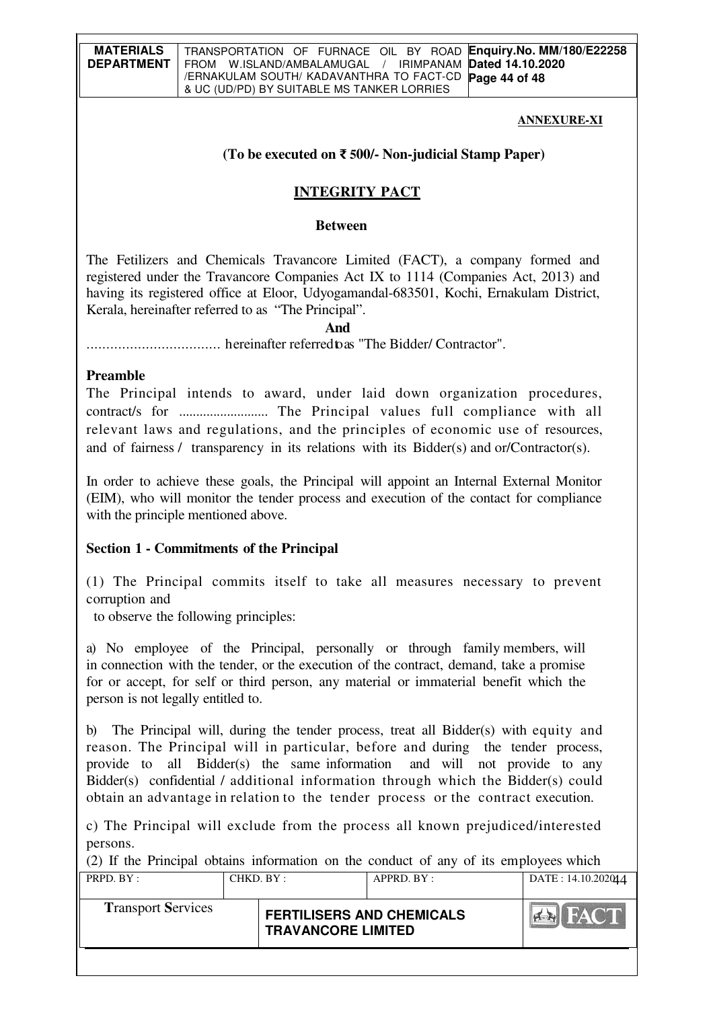### **ANNEXURE-XI**

# **(To be executed on** ₹ **500/- Non-judicial Stamp Paper)**

# **INTEGRITY PACT**

### **Between**

The Fetilizers and Chemicals Travancore Limited (FACT), a company formed and registered under the Travancore Companies Act IX to 1114 (Companies Act, 2013) and having its registered office at Eloor, Udyogamandal-683501, Kochi, Ernakulam District, Kerala, hereinafter referred to as "The Principal".

# **And**

.................................. hereinafter referred to as "The Bidder/ Contractor".

## **Preamble**

The Principal intends to award, under laid down organization procedures, contract/s for .......................... The Principal values full compliance with all relevant laws and regulations, and the principles of economic use of resources, and of fairness / transparency in its relations with its Bidder(s) and or/Contractor(s).

In order to achieve these goals, the Principal will appoint an Internal External Monitor (EIM), who will monitor the tender process and execution of the contact for compliance with the principle mentioned above.

# **Section 1 - Commitments of the Principal**

(1) The Principal commits itself to take all measures necessary to prevent corruption and

to observe the following principles:

a) No employee of the Principal, personally or through family members, will in connection with the tender, or the execution of the contract, demand, take a promise for or accept, for self or third person, any material or immaterial benefit which the person is not legally entitled to.

b) The Principal will, during the tender process, treat all Bidder(s) with equity and reason. The Principal will in particular, before and during the tender process, provide to all Bidder(s) the same information and will not provide to any Bidder(s) confidential / additional information through which the Bidder(s) could obtain an advantage in relation to the tender process or the contract execution.

c) The Principal will exclude from the process all known prejudiced/interested persons.

PRPD. BY : CHKD. BY : APPRD. BY : DATE : 14.10.202044 (2) If the Principal obtains information on the conduct of any of its employees which

| <b>Transport Services</b> | <b>FERTILISERS AND CHEMICALS</b><br><b>TRAVANCORE LIMITED</b> |  |
|---------------------------|---------------------------------------------------------------|--|
|                           |                                                               |  |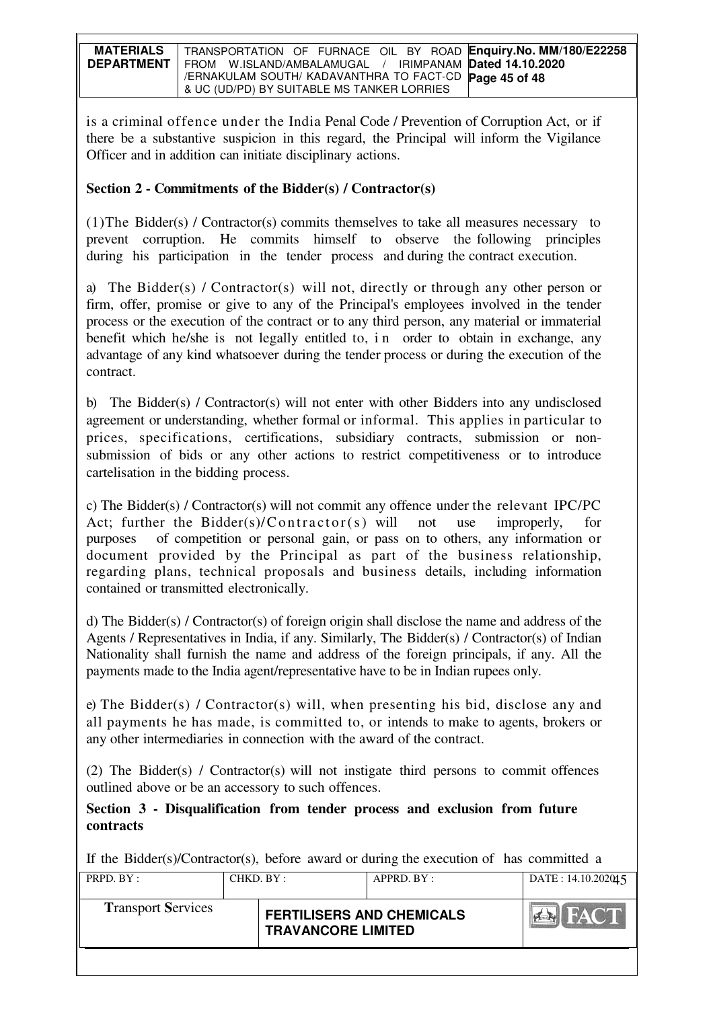| <b>MATERIALS</b>  | TRANSPORTATION OF FURNACE OIL BY ROAD Enquiry.No. MM/180/E22258 |
|-------------------|-----------------------------------------------------------------|
| <b>DEPARTMENT</b> | FROM W.ISLAND/AMBALAMUGAL / IRIMPANAM Dated 14.10.2020          |
|                   | / ERNAKULAM SOUTH/ KADAVANTHRA TO FACT-CD <b>Page 45 of 48</b>  |
|                   | & UC (UD/PD) BY SUITABLE MS TANKER LORRIES                      |

is a criminal offence under the India Penal Code / Prevention of Corruption Act, or if there be a substantive suspicion in this regard, the Principal will inform the Vigilance Officer and in addition can initiate disciplinary actions.

# **Section 2 - Commitments of the Bidder(s) / Contractor(s)**

(1)The Bidder(s) / Contractor(s) commits themselves to take all measures necessary to prevent corruption. He commits himself to observe the following principles during his participation in the tender process and during the contract execution.

a) The Bidder(s) / Contractor(s) will not, directly or through any other person or firm, offer, promise or give to any of the Principal's employees involved in the tender process or the execution of the contract or to any third person, any material or immaterial benefit which he/she is not legally entitled to, i n order to obtain in exchange, any advantage of any kind whatsoever during the tender process or during the execution of the contract.

b) The Bidder(s) / Contractor(s) will not enter with other Bidders into any undisclosed agreement or understanding, whether formal or informal. This applies in particular to prices, specifications, certifications, subsidiary contracts, submission or nonsubmission of bids or any other actions to restrict competitiveness or to introduce cartelisation in the bidding process.

c) The Bidder(s) / Contractor(s) will not commit any offence under the relevant IPC/PC Act; further the Bidder(s)/Contractor(s) will not use improperly, for purposes of competition or personal gain, or pass on to others, any information or document provided by the Principal as part of the business relationship, regarding plans, technical proposals and business details, including information contained or transmitted electronically.

d) The Bidder(s) / Contractor(s) of foreign origin shall disclose the name and address of the Agents / Representatives in India, if any. Similarly, The Bidder(s) / Contractor(s) of Indian Nationality shall furnish the name and address of the foreign principals, if any. All the payments made to the India agent/representative have to be in Indian rupees only.

e) The Bidder(s) / Contractor(s) will, when presenting his bid, disclose any and all payments he has made, is committed to, or intends to make to agents, brokers or any other intermediaries in connection with the award of the contract.

(2) The Bidder(s) / Contractor(s) will not instigate third persons to commit offences outlined above or be an accessory to such offences.

# **Section 3 - Disqualification from tender process and exclusion from future contracts**

If the Bidder(s)/Contractor(s), before award or during the execution of has committed a

| PRPD. BY:<br>CHKD. BY :   |  | APPRD. BY:                                                    |  | DATA: 14.10.202015        |
|---------------------------|--|---------------------------------------------------------------|--|---------------------------|
| <b>Transport Services</b> |  | <b>FERTILISERS AND CHEMICALS</b><br><b>TRAVANCORE LIMITED</b> |  | <b>FACT</b><br><b>PER</b> |
|                           |  |                                                               |  |                           |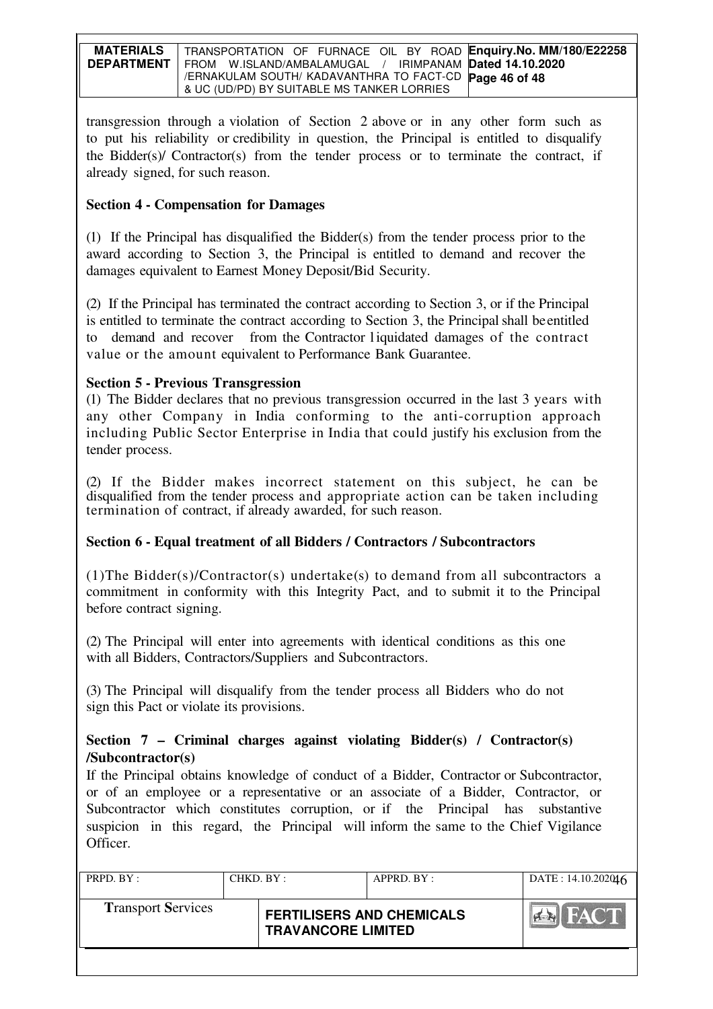| <b>MATERIALS</b>  | TRANSPORTATION OF FURNACE OIL BY ROAD Enquiry.No. MM/180/E22258 |
|-------------------|-----------------------------------------------------------------|
| <b>DEPARTMENT</b> | FROM W.ISLAND/AMBALAMUGAL / IRIMPANAM Dated 14.10.2020          |
|                   | /ERNAKULAM SOUTH/ KADAVANTHRA TO FACT-CD Page 46 of 48          |
|                   | & UC (UD/PD) BY SUITABLE MS TANKER LORRIES                      |

transgression through a violation of Section 2 above or in any other form such as to put his reliability or credibility in question, the Principal is entitled to disqualify the Bidder(s)/ Contractor(s) from the tender process or to terminate the contract, if already signed, for such reason.

# **Section 4 - Compensation for Damages**

(1) If the Principal has disqualified the Bidder(s) from the tender process prior to the award according to Section 3, the Principal is entitled to demand and recover the damages equivalent to Earnest Money Deposit/Bid Security.

(2) If the Principal has terminated the contract according to Section 3, or if the Principal is entitled to terminate the contract according to Section 3, the Principal shall be entitled to demand and recover from the Contractor l iquidated damages of the contract value or the amount equivalent to Performance Bank Guarantee.

# **Section 5 - Previous Transgression**

(1) The Bidder declares that no previous transgression occurred in the last 3 years with any other Company in India conforming to the anti-corruption approach including Public Sector Enterprise in India that could justify his exclusion from the tender process.

(2) If the Bidder makes incorrect statement on this subject, he can be disqualified from the tender process and appropriate action can be taken including termination of contract, if already awarded, for such reason.

# **Section 6 - Equal treatment of all Bidders / Contractors / Subcontractors**

(1)The Bidder(s)/Contractor(s) undertake(s) to demand from all subcontractors a commitment in conformity with this Integrity Pact, and to submit it to the Principal before contract signing.

(2) The Principal will enter into agreements with identical conditions as this one with all Bidders, Contractors/Suppliers and Subcontractors.

(3) The Principal will disqualify from the tender process all Bidders who do not sign this Pact or violate its provisions.

# **Section 7 – Criminal charges against violating Bidder(s) / Contractor(s) /Subcontractor(s)**

If the Principal obtains knowledge of conduct of a Bidder, Contractor or Subcontractor, or of an employee or a representative or an associate of a Bidder, Contractor, or Subcontractor which constitutes corruption, or if the Principal has substantive suspicion in this regard, the Principal will inform the same to the Chief Vigilance Officer.

| PRPD. $BY:$               | CHKD. BY: |                                                               | APPRD. BY: | DATA: 14.10.202016 |
|---------------------------|-----------|---------------------------------------------------------------|------------|--------------------|
| <b>Transport Services</b> |           | <b>FERTILISERS AND CHEMICALS</b><br><b>TRAVANCORE LIMITED</b> |            | <b>FACT</b><br> AB |
|                           |           |                                                               |            |                    |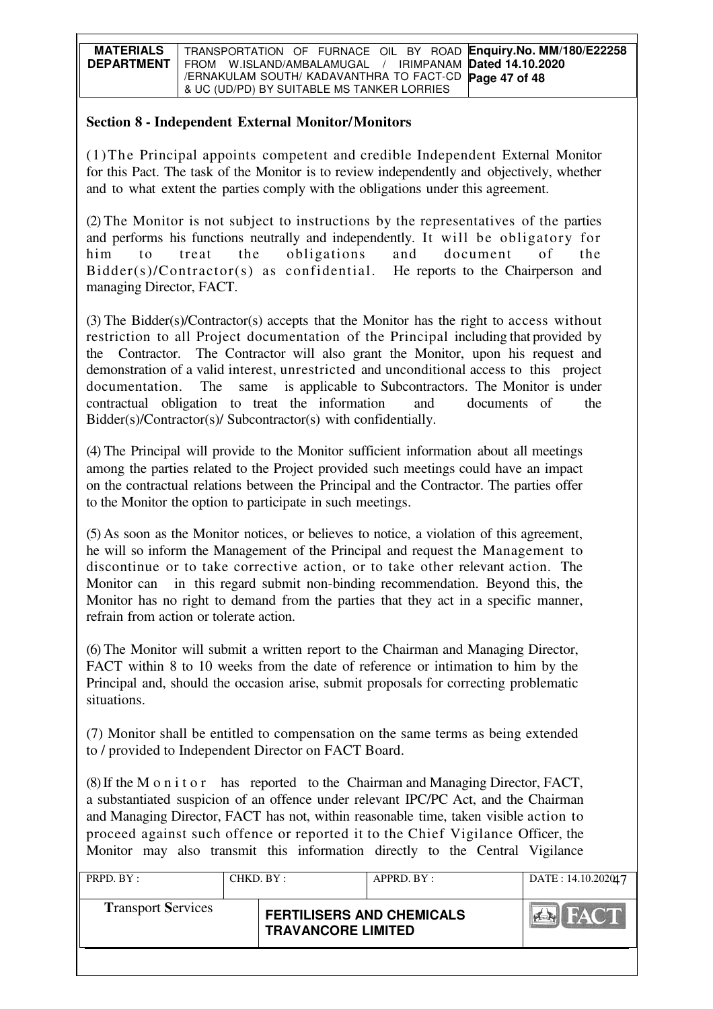| <b>MATERIALS</b>  | TRANSPORTATION OF FURNACE OIL BY ROAD Enquiry. No. MM/180/E22258 |
|-------------------|------------------------------------------------------------------|
| <b>DEPARTMENT</b> | FROM W.ISLAND/AMBALAMUGAL / IRIMPANAM Dated 14.10.2020           |
|                   | /ERNAKULAM SOUTH/ KADAVANTHRA TO FACT-CD Page 47 of 48           |
|                   | & UC (UD/PD) BY SUITABLE MS TANKER LORRIES                       |

# **Section 8 - Independent External Monitor/Monitors**

(1)The Principal appoints competent and credible Independent External Monitor for this Pact. The task of the Monitor is to review independently and objectively, whether and to what extent the parties comply with the obligations under this agreement.

(2) The Monitor is not subject to instructions by the representatives of the parties and performs his functions neutrally and independently. It will be obligatory for him to treat the obligations and document of the Bidder(s)/Contractor(s) as confidential. He reports to the Chairperson and managing Director, FACT.

(3) The Bidder(s)/Contractor(s) accepts that the Monitor has the right to access without restriction to all Project documentation of the Principal including that provided by the Contractor. The Contractor will also grant the Monitor, upon his request and demonstration of a valid interest, unrestricted and unconditional access to this project documentation. The same is applicable to Subcontractors. The Monitor is under contractual obligation to treat the information and documents of the Bidder(s)/Contractor(s)/ Subcontractor(s) with confidentially.

(4) The Principal will provide to the Monitor sufficient information about all meetings among the parties related to the Project provided such meetings could have an impact on the contractual relations between the Principal and the Contractor. The parties offer to the Monitor the option to participate in such meetings.

(5) As soon as the Monitor notices, or believes to notice, a violation of this agreement, he will so inform the Management of the Principal and request the Management to discontinue or to take corrective action, or to take other relevant action. The Monitor can in this regard submit non-binding recommendation. Beyond this, the Monitor has no right to demand from the parties that they act in a specific manner, refrain from action or tolerate action.

(6) The Monitor will submit a written report to the Chairman and Managing Director, FACT within 8 to 10 weeks from the date of reference or intimation to him by the Principal and, should the occasion arise, submit proposals for correcting problematic situations.

(7) Monitor shall be entitled to compensation on the same terms as being extended to / provided to Independent Director on FACT Board.

(8) If the M o n i t o r has reported to the Chairman and Managing Director, FACT, a substantiated suspicion of an offence under relevant IPC/PC Act, and the Chairman and Managing Director, FACT has not, within reasonable time, taken visible action to proceed against such offence or reported it to the Chief Vigilance Officer, the Monitor may also transmit this information directly to the Central Vigilance

| PRPD. BY :                | CHKD. BY : |                                                               | APPRD. BY: | DATE: 14.10.202017 |
|---------------------------|------------|---------------------------------------------------------------|------------|--------------------|
| <b>Transport Services</b> |            | <b>FERTILISERS AND CHEMICALS</b><br><b>TRAVANCORE LIMITED</b> |            | <b>FACT</b>        |
|                           |            |                                                               |            |                    |